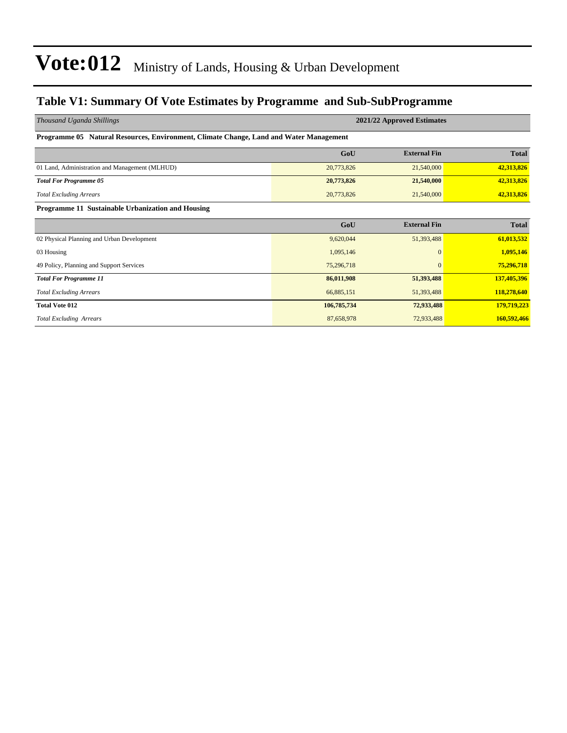#### **Table V1: Summary Of Vote Estimates by Programme and Sub-SubProgramme**

| Thousand Uganda Shillings                                                              | 2021/22 Approved Estimates |                     |              |  |  |  |  |  |
|----------------------------------------------------------------------------------------|----------------------------|---------------------|--------------|--|--|--|--|--|
| Programme 05 Natural Resources, Environment, Climate Change, Land and Water Management |                            |                     |              |  |  |  |  |  |
|                                                                                        | GoU                        | <b>External Fin</b> | <b>Total</b> |  |  |  |  |  |
| 01 Land, Administration and Management (MLHUD)                                         | 20,773,826                 | 21,540,000          | 42,313,826   |  |  |  |  |  |
| <b>Total For Programme 05</b>                                                          | 20,773,826                 | 21,540,000          | 42,313,826   |  |  |  |  |  |
| <b>Total Excluding Arrears</b>                                                         | 20,773,826                 | 21,540,000          | 42,313,826   |  |  |  |  |  |
| Programme 11 Sustainable Urbanization and Housing                                      |                            |                     |              |  |  |  |  |  |
|                                                                                        | GoU                        | <b>External Fin</b> | <b>Total</b> |  |  |  |  |  |
| 02 Physical Planning and Urban Development                                             | 9,620,044                  | 51,393,488          | 61,013,532   |  |  |  |  |  |
| 03 Housing                                                                             | 1,095,146                  | $\mathbf{0}$        | 1,095,146    |  |  |  |  |  |
| 49 Policy, Planning and Support Services                                               | 75,296,718                 | $\Omega$            | 75,296,718   |  |  |  |  |  |
| <b>Total For Programme 11</b>                                                          | 86,011,908                 | 51,393,488          | 137,405,396  |  |  |  |  |  |
| <b>Total Excluding Arrears</b>                                                         | 66,885,151                 | 51,393,488          | 118,278,640  |  |  |  |  |  |
| <b>Total Vote 012</b>                                                                  | 106,785,734                | 72,933,488          | 179,719,223  |  |  |  |  |  |
| <b>Total Excluding Arrears</b>                                                         | 87,658,978                 | 72,933,488          | 160,592,466  |  |  |  |  |  |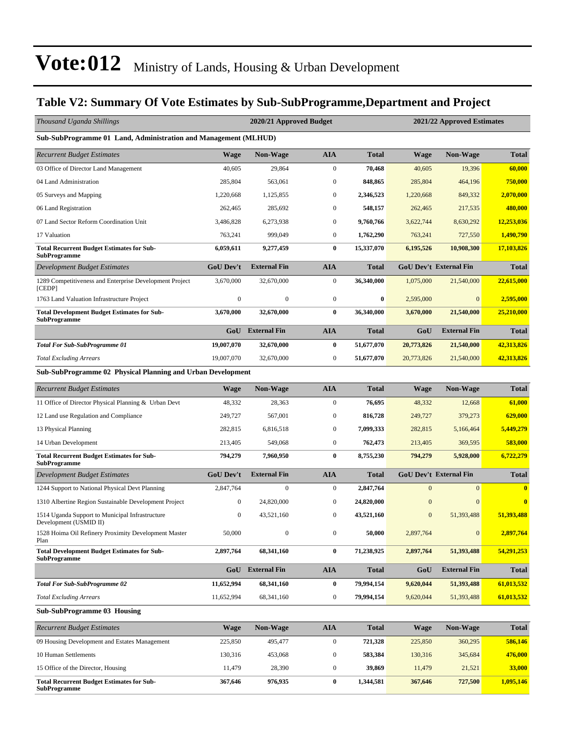#### **Table V2: Summary Of Vote Estimates by Sub-SubProgramme,Department and Project**

| Thousand Uganda Shillings                                                 |                  | 2020/21 Approved Budget<br>2021/22 Approved Estimates |                  |                  |                  |                               |              |  |
|---------------------------------------------------------------------------|------------------|-------------------------------------------------------|------------------|------------------|------------------|-------------------------------|--------------|--|
| Sub-SubProgramme 01 Land, Administration and Management (MLHUD)           |                  |                                                       |                  |                  |                  |                               |              |  |
| <b>Recurrent Budget Estimates</b>                                         | <b>Wage</b>      | <b>Non-Wage</b>                                       | <b>AIA</b>       | Total            | Wage             | <b>Non-Wage</b>               | <b>Total</b> |  |
| 03 Office of Director Land Management                                     | 40,605           | 29,864                                                | $\boldsymbol{0}$ | 70,468           | 40,605           | 19,396                        | 60,000       |  |
| 04 Land Administration                                                    | 285,804          | 563,061                                               | $\boldsymbol{0}$ | 848,865          | 285,804          | 464,196                       | 750,000      |  |
| 05 Surveys and Mapping                                                    | 1,220,668        | 1,125,855                                             | $\boldsymbol{0}$ | 2,346,523        | 1,220,668        | 849,332                       | 2,070,000    |  |
| 06 Land Registration                                                      | 262,465          | 285,692                                               | $\boldsymbol{0}$ | 548,157          | 262,465          | 217,535                       | 480,000      |  |
| 07 Land Sector Reform Coordination Unit                                   | 3,486,828        | 6,273,938                                             | $\boldsymbol{0}$ | 9,760,766        | 3,622,744        | 8,630,292                     | 12,253,036   |  |
| 17 Valuation                                                              | 763,241          | 999,049                                               | $\boldsymbol{0}$ | 1,762,290        | 763,241          | 727,550                       | 1,490,790    |  |
| <b>Total Recurrent Budget Estimates for Sub-</b><br>SubProgramme          | 6,059,611        | 9,277,459                                             | $\bf{0}$         | 15,337,070       | 6,195,526        | 10,908,300                    | 17,103,826   |  |
| <b>Development Budget Estimates</b>                                       | <b>GoU Dev't</b> | <b>External Fin</b>                                   | <b>AIA</b>       | Total            |                  | <b>GoU Dev't External Fin</b> | <b>Total</b> |  |
| 1289 Competitiveness and Enterprise Development Project<br>[CEDP]         | 3,670,000        | 32,670,000                                            | $\boldsymbol{0}$ | 36,340,000       | 1,075,000        | 21,540,000                    | 22,615,000   |  |
| 1763 Land Valuation Infrastructure Project                                | $\boldsymbol{0}$ | $\boldsymbol{0}$                                      | $\boldsymbol{0}$ | $\boldsymbol{0}$ | 2,595,000        | $\boldsymbol{0}$              | 2,595,000    |  |
| <b>Total Development Budget Estimates for Sub-</b><br><b>SubProgramme</b> | 3,670,000        | 32,670,000                                            | $\bf{0}$         | 36,340,000       | 3,670,000        | 21,540,000                    | 25,210,000   |  |
|                                                                           | GoU              | <b>External Fin</b>                                   | <b>AIA</b>       | Total            | GoU              | <b>External Fin</b>           | <b>Total</b> |  |
| <b>Total For Sub-SubProgramme 01</b>                                      | 19,007,070       | 32,670,000                                            | $\bf{0}$         | 51,677,070       | 20,773,826       | 21,540,000                    | 42,313,826   |  |
| <b>Total Excluding Arrears</b>                                            | 19,007,070       | 32,670,000                                            | $\boldsymbol{0}$ | 51,677,070       | 20,773,826       | 21,540,000                    | 42,313,826   |  |
| Sub-SubProgramme 02 Physical Planning and Urban Development               |                  |                                                       |                  |                  |                  |                               |              |  |
| <b>Recurrent Budget Estimates</b>                                         | <b>Wage</b>      | <b>Non-Wage</b>                                       | <b>AIA</b>       | <b>Total</b>     | Wage             | <b>Non-Wage</b>               | <b>Total</b> |  |
| 11 Office of Director Physical Planning & Urban Devt                      | 48,332           | 28,363                                                | $\boldsymbol{0}$ | 76,695           | 48,332           | 12,668                        | 61,000       |  |
| 12 Land use Regulation and Compliance                                     | 249,727          | 567,001                                               | $\boldsymbol{0}$ | 816,728          | 249,727          | 379,273                       | 629,000      |  |
| 13 Physical Planning                                                      | 282,815          | 6,816,518                                             | $\boldsymbol{0}$ | 7,099,333        | 282,815          | 5,166,464                     | 5,449,279    |  |
| 14 Urban Development                                                      | 213,405          | 549,068                                               | $\boldsymbol{0}$ | 762,473          | 213,405          | 369,595                       | 583,000      |  |
| <b>Total Recurrent Budget Estimates for Sub-</b><br>SubProgramme          | 794,279          | 7,960,950                                             | $\bf{0}$         | 8,755,230        | 794,279          | 5,928,000                     | 6,722,279    |  |
| Development Budget Estimates                                              | <b>GoU Dev't</b> | <b>External Fin</b>                                   | <b>AIA</b>       | <b>Total</b>     |                  | <b>GoU Dev't External Fin</b> | <b>Total</b> |  |
| 1244 Support to National Physical Devt Planning                           | 2,847,764        | $\boldsymbol{0}$                                      | $\boldsymbol{0}$ | 2,847,764        | $\mathbf{0}$     | $\mathbf{0}$                  | $\bf{0}$     |  |
| 1310 Albertine Region Sustainable Development Project                     | $\boldsymbol{0}$ | 24,820,000                                            | $\mathbf{0}$     | 24,820,000       | $\mathbf{0}$     | $\mathbf{0}$                  | $\bf{0}$     |  |
| 1514 Uganda Support to Municipal Infrastructure<br>Development (USMID II) | $\boldsymbol{0}$ | 43,521,160                                            | $\boldsymbol{0}$ | 43,521,160       | $\boldsymbol{0}$ | 51,393,488                    | 51,393,488   |  |
| 1528 Hoima Oil Refinery Proximity Development Master<br>Plan              | 50,000           | $\boldsymbol{0}$                                      | $\boldsymbol{0}$ | 50,000           | 2,897,764        | $\boldsymbol{0}$              | 2,897,764    |  |
| <b>Total Development Budget Estimates for Sub-</b><br><b>SubProgramme</b> | 2,897,764        | 68,341,160                                            | $\bf{0}$         | 71,238,925       | 2,897,764        | 51,393,488                    | 54,291,253   |  |
|                                                                           | GoU              | <b>External Fin</b>                                   | <b>AIA</b>       | Total            | GoU              | <b>External Fin</b>           | <b>Total</b> |  |
| <b>Total For Sub-SubProgramme 02</b>                                      | 11,652,994       | 68,341,160                                            | $\bf{0}$         | 79,994,154       | 9,620,044        | 51,393,488                    | 61,013,532   |  |
| <b>Total Excluding Arrears</b>                                            | 11,652,994       | 68, 341, 160                                          | $\boldsymbol{0}$ | 79,994,154       | 9,620,044        | 51,393,488                    | 61,013,532   |  |
| <b>Sub-SubProgramme 03 Housing</b>                                        |                  |                                                       |                  |                  |                  |                               |              |  |
| <b>Recurrent Budget Estimates</b>                                         | <b>Wage</b>      | <b>Non-Wage</b>                                       | <b>AIA</b>       | <b>Total</b>     | Wage             | <b>Non-Wage</b>               | Total        |  |
| 09 Housing Development and Estates Management                             | 225,850          | 495,477                                               | $\boldsymbol{0}$ | 721,328          | 225,850          | 360,295                       | 586,146      |  |
| 10 Human Settlements                                                      | 130,316          | 453,068                                               | $\boldsymbol{0}$ | 583,384          | 130,316          | 345,684                       | 476,000      |  |
| 15 Office of the Director, Housing                                        | 11,479           | 28,390                                                | $\boldsymbol{0}$ | 39,869           | 11,479           | 21,521                        | 33,000       |  |
| <b>Total Recurrent Budget Estimates for Sub-</b>                          | 367,646          | 976,935                                               | $\bf{0}$         | 1,344,581        | 367,646          | 727,500                       | 1,095,146    |  |

**SubProgramme**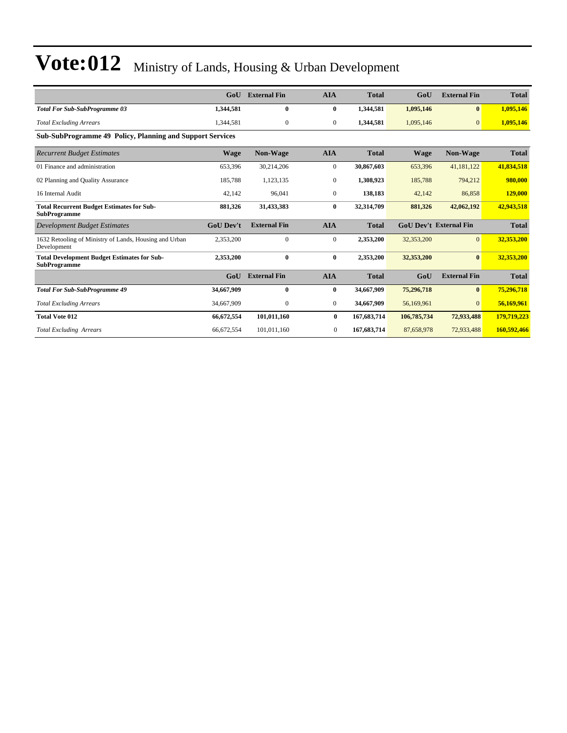|                                                                           | GoU              | <b>External Fin</b> | <b>AIA</b>       | <b>Total</b> | GoU         | <b>External Fin</b>           | <b>Total</b> |
|---------------------------------------------------------------------------|------------------|---------------------|------------------|--------------|-------------|-------------------------------|--------------|
| <b>Total For Sub-SubProgramme 03</b>                                      | 1,344,581        | $\mathbf{0}$        | $\bf{0}$         | 1,344,581    | 1,095,146   | $\mathbf{0}$                  | 1,095,146    |
| <b>Total Excluding Arrears</b>                                            | 1,344,581        | $\mathbf{0}$        | $\overline{0}$   | 1,344,581    | 1,095,146   | $\mathbf{0}$                  | 1,095,146    |
| <b>Sub-SubProgramme 49 Policy, Planning and Support Services</b>          |                  |                     |                  |              |             |                               |              |
| <b>Recurrent Budget Estimates</b>                                         | <b>Wage</b>      | Non-Wage            | <b>AIA</b>       | <b>Total</b> | <b>Wage</b> | Non-Wage                      | <b>Total</b> |
| 01 Finance and administration                                             | 653,396          | 30,214,206          | $\mathbf{0}$     | 30,867,603   | 653,396     | 41,181,122                    | 41,834,518   |
| 02 Planning and Quality Assurance                                         | 185,788          | 1,123,135           | $\boldsymbol{0}$ | 1,308,923    | 185,788     | 794,212                       | 980,000      |
| 16 Internal Audit                                                         | 42,142           | 96,041              | $\mathbf{0}$     | 138,183      | 42,142      | 86,858                        | 129,000      |
| <b>Total Recurrent Budget Estimates for Sub-</b><br><b>SubProgramme</b>   | 881,326          | 31,433,383          | $\bf{0}$         | 32,314,709   | 881,326     | 42,062,192                    | 42,943,518   |
| Development Budget Estimates                                              | <b>GoU Dev't</b> | <b>External Fin</b> | <b>AIA</b>       | <b>Total</b> |             | <b>GoU Dev't External Fin</b> | <b>Total</b> |
| 1632 Retooling of Ministry of Lands, Housing and Urban<br>Development     | 2,353,200        | $\mathbf{0}$        | $\mathbf{0}$     | 2,353,200    | 32,353,200  | $\overline{0}$                | 32,353,200   |
| <b>Total Development Budget Estimates for Sub-</b><br><b>SubProgramme</b> | 2,353,200        | $\mathbf{0}$        | $\bf{0}$         | 2,353,200    | 32,353,200  | $\bf{0}$                      | 32,353,200   |
|                                                                           | GoU              | <b>External Fin</b> | <b>AIA</b>       | <b>Total</b> | GoU         | <b>External Fin</b>           | <b>Total</b> |
| <b>Total For Sub-SubProgramme 49</b>                                      | 34,667,909       | $\mathbf{0}$        | $\bf{0}$         | 34,667,909   | 75,296,718  | $\bf{0}$                      | 75,296,718   |
| <b>Total Excluding Arrears</b>                                            | 34,667,909       | $\mathbf{0}$        | $\mathbf{0}$     | 34,667,909   | 56,169,961  | $\overline{0}$                | 56,169,961   |
| <b>Total Vote 012</b>                                                     | 66,672,554       | 101,011,160         | $\bf{0}$         | 167,683,714  | 106,785,734 | 72,933,488                    | 179,719,223  |
| <b>Total Excluding Arrears</b>                                            | 66,672,554       | 101,011,160         | 0                | 167,683,714  | 87,658,978  | 72,933,488                    | 160,592,466  |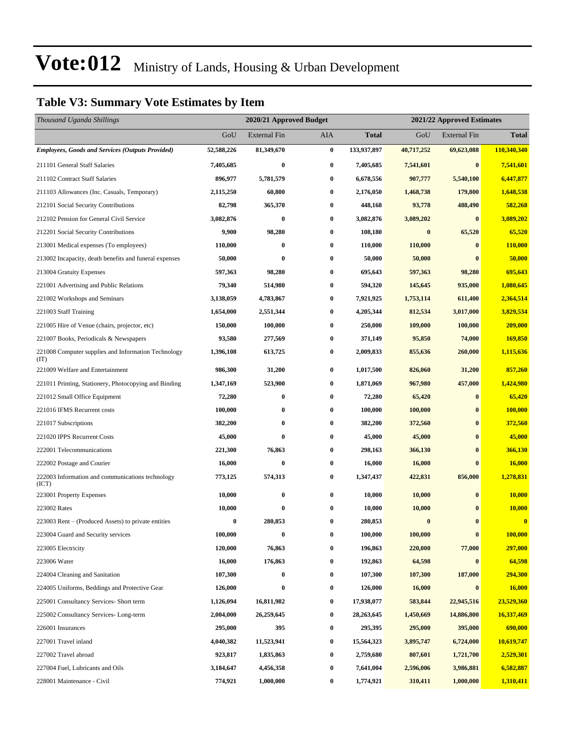#### **Table V3: Summary Vote Estimates by Item**

| Thousand Uganda Shillings                                   |            | 2020/21 Approved Budget |                  |              | 2021/22 Approved Estimates |                     |               |  |
|-------------------------------------------------------------|------------|-------------------------|------------------|--------------|----------------------------|---------------------|---------------|--|
|                                                             | GoU        | <b>External Fin</b>     | AIA              | <b>Total</b> | GoU                        | <b>External Fin</b> | <b>Total</b>  |  |
| <b>Employees, Goods and Services (Outputs Provided)</b>     | 52,588,226 | 81,349,670              | $\pmb{0}$        | 133,937,897  | 40,717,252                 | 69,623,088          | 110,340,340   |  |
| 211101 General Staff Salaries                               | 7,405,685  | $\bf{0}$                | $\bf{0}$         | 7,405,685    | 7,541,601                  | $\bf{0}$            | 7,541,601     |  |
| 211102 Contract Staff Salaries                              | 896,977    | 5,781,579               | $\bf{0}$         | 6,678,556    | 907,777                    | 5,540,100           | 6,447,877     |  |
| 211103 Allowances (Inc. Casuals, Temporary)                 | 2,115,250  | 60,800                  | $\bf{0}$         | 2,176,050    | 1,468,738                  | 179,800             | 1,648,538     |  |
| 212101 Social Security Contributions                        | 82,798     | 365,370                 | $\bf{0}$         | 448,168      | 93,778                     | 488,490             | 582,268       |  |
| 212102 Pension for General Civil Service                    | 3,082,876  | $\bf{0}$                | $\bf{0}$         | 3,082,876    | 3,089,202                  | $\bf{0}$            | 3,089,202     |  |
| 212201 Social Security Contributions                        | 9,900      | 98,280                  | $\bf{0}$         | 108,180      | $\bf{0}$                   | 65,520              | 65,520        |  |
| 213001 Medical expenses (To employees)                      | 110,000    | $\bf{0}$                | $\bf{0}$         | 110,000      | 110,000                    | $\bf{0}$            | 110,000       |  |
| 213002 Incapacity, death benefits and funeral expenses      | 50,000     | $\bf{0}$                | $\bf{0}$         | 50,000       | 50,000                     | 0                   | 50,000        |  |
| 213004 Gratuity Expenses                                    | 597,363    | 98,280                  | $\bf{0}$         | 695,643      | 597,363                    | 98,280              | 695,643       |  |
| 221001 Advertising and Public Relations                     | 79,340     | 514,980                 | $\bf{0}$         | 594,320      | 145,645                    | 935,000             | 1,080,645     |  |
| 221002 Workshops and Seminars                               | 3,138,059  | 4,783,867               | $\bf{0}$         | 7,921,925    | 1,753,114                  | 611,400             | 2,364,514     |  |
| 221003 Staff Training                                       | 1,654,000  | 2,551,344               | $\bf{0}$         | 4,205,344    | 812,534                    | 3,017,000           | 3,829,534     |  |
| 221005 Hire of Venue (chairs, projector, etc)               | 150,000    | 100,000                 | $\bf{0}$         | 250,000      | 109,000                    | 100,000             | 209,000       |  |
| 221007 Books, Periodicals & Newspapers                      | 93,580     | 277,569                 | $\bf{0}$         | 371,149      | 95,850                     | 74,000              | 169,850       |  |
| 221008 Computer supplies and Information Technology<br>(TT) | 1,396,108  | 613,725                 | $\bf{0}$         | 2,009,833    | 855,636                    | 260,000             | 1,115,636     |  |
| 221009 Welfare and Entertainment                            | 986,300    | 31,200                  | $\bf{0}$         | 1,017,500    | 826,060                    | 31,200              | 857,260       |  |
| 221011 Printing, Stationery, Photocopying and Binding       | 1,347,169  | 523,900                 | $\bf{0}$         | 1,871,069    | 967,980                    | 457,000             | 1,424,980     |  |
| 221012 Small Office Equipment                               | 72,280     | $\bf{0}$                | $\bf{0}$         | 72,280       | 65,420                     | $\bf{0}$            | 65,420        |  |
| 221016 IFMS Recurrent costs                                 | 100,000    | 0                       | $\bf{0}$         | 100,000      | 100,000                    | $\bf{0}$            | 100,000       |  |
| 221017 Subscriptions                                        | 382,200    | $\bf{0}$                | $\bf{0}$         | 382,200      | 372,560                    | $\bf{0}$            | 372,560       |  |
| 221020 IPPS Recurrent Costs                                 | 45,000     | $\bf{0}$                | $\bf{0}$         | 45,000       | 45,000                     | $\bf{0}$            | 45,000        |  |
| 222001 Telecommunications                                   | 221,300    | 76,863                  | $\boldsymbol{0}$ | 298,163      | 366,130                    | $\bf{0}$            | 366,130       |  |
| 222002 Postage and Courier                                  | 16,000     | $\bf{0}$                | $\bf{0}$         | 16,000       | 16,000                     | $\bf{0}$            | 16,000        |  |
| 222003 Information and communications technology<br>(ICT)   | 773,125    | 574,313                 | $\bf{0}$         | 1,347,437    | 422,831                    | 856,000             | 1,278,831     |  |
| 223001 Property Expenses                                    | 10,000     | $\bf{0}$                | $\bf{0}$         | 10,000       | 10,000                     | $\bf{0}$            | 10,000        |  |
| 223002 Rates                                                | 10,000     | $\bf{0}$                | $\bf{0}$         | 10,000       | 10,000                     | $\bf{0}$            | <b>10,000</b> |  |
| 223003 Rent – (Produced Assets) to private entities         | 0          | 280,853                 | 0                | 280,853      | $\bf{0}$                   | $\bf{0}$            | $\bf{0}$      |  |
| 223004 Guard and Security services                          | 100,000    | $\bf{0}$                | $\bf{0}$         | 100,000      | 100,000                    | $\bf{0}$            | 100,000       |  |
| 223005 Electricity                                          | 120,000    | 76,863                  | $\bf{0}$         | 196,863      | 220,000                    | 77,000              | 297,000       |  |
| 223006 Water                                                | 16,000     | 176,863                 | $\boldsymbol{0}$ | 192,863      | 64,598                     | $\bf{0}$            | 64,598        |  |
| 224004 Cleaning and Sanitation                              | 107,300    | $\bf{0}$                | $\bf{0}$         | 107,300      | 107,300                    | 187,000             | 294,300       |  |
| 224005 Uniforms, Beddings and Protective Gear               | 126,000    | $\bf{0}$                | $\bf{0}$         | 126,000      | 16,000                     | $\bf{0}$            | 16,000        |  |
| 225001 Consultancy Services- Short term                     | 1,126,094  | 16,811,982              | $\bf{0}$         | 17,938,077   | 583,844                    | 22,945,516          | 23,529,360    |  |
| 225002 Consultancy Services-Long-term                       | 2,004,000  | 26,259,645              | $\bf{0}$         | 28, 263, 645 | 1,450,669                  | 14,886,800          | 16,337,469    |  |
| 226001 Insurances                                           | 295,000    | 395                     | $\bf{0}$         | 295,395      | 295,000                    | 395,000             | 690,000       |  |
| 227001 Travel inland                                        | 4,040,382  | 11,523,941              | $\bf{0}$         | 15,564,323   | 3,895,747                  | 6,724,000           | 10,619,747    |  |
| 227002 Travel abroad                                        | 923,817    | 1,835,863               | $\bf{0}$         | 2,759,680    | 807,601                    | 1,721,700           | 2,529,301     |  |
| 227004 Fuel, Lubricants and Oils                            | 3,184,647  | 4,456,358               | $\bf{0}$         | 7,641,004    | 2,596,006                  | 3,986,881           | 6,582,887     |  |
| 228001 Maintenance - Civil                                  | 774,921    | 1,000,000               | $\bf{0}$         | 1,774,921    | 310,411                    | 1,000,000           | 1,310,411     |  |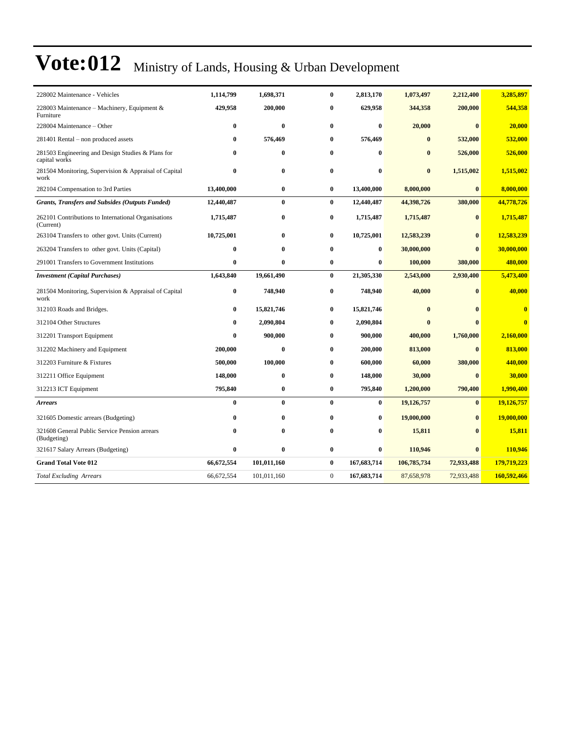| 228002 Maintenance - Vehicles                                      | 1,114,799  | 1,698,371    | $\bf{0}$       | 2,813,170   | 1,073,497   | 2,212,400    | 3,285,897               |
|--------------------------------------------------------------------|------------|--------------|----------------|-------------|-------------|--------------|-------------------------|
| 228003 Maintenance – Machinery, Equipment &<br>Furniture           | 429,958    | 200,000      | 0              | 629,958     | 344,358     | 200,000      | 544,358                 |
| 228004 Maintenance - Other                                         | $\bf{0}$   | $\bf{0}$     | 0              | $\bf{0}$    | 20,000      | $\mathbf{0}$ | 20,000                  |
| 281401 Rental – non produced assets                                | $\bf{0}$   | 576,469      | 0              | 576,469     | $\bf{0}$    | 532,000      | 532,000                 |
| 281503 Engineering and Design Studies & Plans for<br>capital works | $\bf{0}$   | $\bf{0}$     | 0              | $\bf{0}$    | $\bf{0}$    | 526,000      | 526,000                 |
| 281504 Monitoring, Supervision & Appraisal of Capital<br>work      | $\bf{0}$   | $\bf{0}$     | 0              | $\bf{0}$    | $\bf{0}$    | 1,515,002    | 1,515,002               |
| 282104 Compensation to 3rd Parties                                 | 13,400,000 | $\bf{0}$     | $\bf{0}$       | 13,400,000  | 8,000,000   | $\bf{0}$     | 8,000,000               |
| <b>Grants, Transfers and Subsides (Outputs Funded)</b>             | 12,440,487 | $\bf{0}$     | $\bf{0}$       | 12,440,487  | 44,398,726  | 380,000      | 44,778,726              |
| 262101 Contributions to International Organisations<br>(Current)   | 1,715,487  | $\bf{0}$     | $\bf{0}$       | 1,715,487   | 1,715,487   | $\bf{0}$     | 1,715,487               |
| 263104 Transfers to other govt. Units (Current)                    | 10,725,001 | $\mathbf{0}$ | $\bf{0}$       | 10,725,001  | 12,583,239  | $\mathbf{0}$ | 12,583,239              |
| 263204 Transfers to other govt. Units (Capital)                    | $\bf{0}$   | $\mathbf{0}$ | 0              | $\bf{0}$    | 30,000,000  | $\mathbf{0}$ | 30,000,000              |
| 291001 Transfers to Government Institutions                        | $\bf{0}$   | $\bf{0}$     | $\bf{0}$       | $\bf{0}$    | 100,000     | 380,000      | 480,000                 |
| <b>Investment</b> (Capital Purchases)                              | 1,643,840  | 19,661,490   | $\bf{0}$       | 21,305,330  | 2,543,000   | 2,930,400    | 5,473,400               |
| 281504 Monitoring, Supervision & Appraisal of Capital<br>work      | $\bf{0}$   | 748,940      | $\bf{0}$       | 748,940     | 40,000      | $\mathbf{0}$ | 40,000                  |
| 312103 Roads and Bridges.                                          | 0          | 15,821,746   | 0              | 15,821,746  | $\bf{0}$    | $\mathbf{0}$ | $\bf{0}$                |
| 312104 Other Structures                                            | $\bf{0}$   | 2,090,804    | 0              | 2,090,804   | $\bf{0}$    | $\mathbf{0}$ | $\overline{\mathbf{0}}$ |
| 312201 Transport Equipment                                         | $\bf{0}$   | 900,000      | 0              | 900,000     | 400,000     | 1,760,000    | 2,160,000               |
| 312202 Machinery and Equipment                                     | 200,000    | $\bf{0}$     | 0              | 200,000     | 813,000     | $\bf{0}$     | 813,000                 |
| 312203 Furniture & Fixtures                                        | 500,000    | 100,000      | 0              | 600,000     | 60,000      | 380,000      | 440,000                 |
| 312211 Office Equipment                                            | 148,000    | $\bf{0}$     | 0              | 148,000     | 30,000      | $\bf{0}$     | 30,000                  |
| 312213 ICT Equipment                                               | 795,840    | $\bf{0}$     | 0              | 795,840     | 1,200,000   | 790,400      | 1,990,400               |
| <b>Arrears</b>                                                     | $\bf{0}$   | $\mathbf{0}$ | $\bf{0}$       | $\bf{0}$    | 19,126,757  | $\bf{0}$     | 19,126,757              |
| 321605 Domestic arrears (Budgeting)                                | $\bf{0}$   | $\bf{0}$     | 0              | $\bf{0}$    | 19,000,000  | $\bf{0}$     | 19,000,000              |
| 321608 General Public Service Pension arrears<br>(Budgeting)       | $\bf{0}$   | $\bf{0}$     | 0              | $\bf{0}$    | 15,811      | $\mathbf{0}$ | 15,811                  |
| 321617 Salary Arrears (Budgeting)                                  | $\bf{0}$   | $\bf{0}$     | 0              | $\bf{0}$    | 110,946     | $\bf{0}$     | 110,946                 |
| <b>Grand Total Vote 012</b>                                        | 66,672,554 | 101,011,160  | $\bf{0}$       | 167,683,714 | 106,785,734 | 72,933,488   | 179,719,223             |
| <b>Total Excluding Arrears</b>                                     | 66,672,554 | 101,011,160  | $\overline{0}$ | 167,683,714 | 87,658,978  | 72,933,488   | 160,592,466             |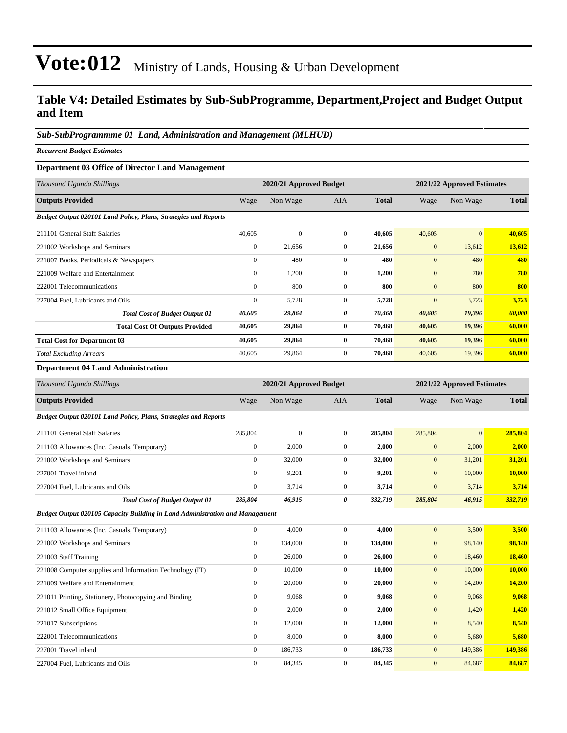#### **Table V4: Detailed Estimates by Sub-SubProgramme, Department,Project and Budget Output and Item**

#### *Sub-SubProgrammme 01 Land, Administration and Management (MLHUD)*

*Recurrent Budget Estimates*

#### **Department 03 Office of Director Land Management**

| Thousand Uganda Shillings                                       |                  | 2020/21 Approved Budget |                |              |              | 2021/22 Approved Estimates |              |
|-----------------------------------------------------------------|------------------|-------------------------|----------------|--------------|--------------|----------------------------|--------------|
| <b>Outputs Provided</b>                                         | Wage             | Non Wage                | <b>AIA</b>     | <b>Total</b> | Wage         | Non Wage                   | <b>Total</b> |
| Budget Output 020101 Land Policy, Plans, Strategies and Reports |                  |                         |                |              |              |                            |              |
| 211101 General Staff Salaries                                   | 40,605           | $\Omega$                | $\overline{0}$ | 40,605       | 40,605       | $\mathbf{0}$               | 40,605       |
| 221002 Workshops and Seminars                                   | $\boldsymbol{0}$ | 21,656                  | $\mathbf{0}$   | 21,656       | $\mathbf{0}$ | 13,612                     | 13,612       |
| 221007 Books, Periodicals & Newspapers                          | $\mathbf{0}$     | 480                     | $\Omega$       | 480          | $\mathbf{0}$ | 480                        | 480          |
| 221009 Welfare and Entertainment                                | $\mathbf{0}$     | 1,200                   | $\Omega$       | 1,200        | $\mathbf{0}$ | 780                        | 780          |
| 222001 Telecommunications                                       | $\mathbf{0}$     | 800                     | $\mathbf{0}$   | 800          | $\mathbf{0}$ | 800                        | 800          |
| 227004 Fuel, Lubricants and Oils                                | $\bf{0}$         | 5,728                   | $\overline{0}$ | 5,728        | $\mathbf{0}$ | 3,723                      | 3,723        |
| <b>Total Cost of Budget Output 01</b>                           | 40,605           | 29,864                  | 0              | 70,468       | 40,605       | 19,396                     | 60,000       |
| <b>Total Cost Of Outputs Provided</b>                           | 40,605           | 29,864                  | $\bf{0}$       | 70,468       | 40,605       | 19,396                     | 60,000       |
| <b>Total Cost for Department 03</b>                             | 40,605           | 29,864                  | $\bf{0}$       | 70,468       | 40,605       | 19,396                     | 60,000       |
| <b>Total Excluding Arrears</b>                                  | 40,605           | 29,864                  | $\overline{0}$ | 70,468       | 40,605       | 19,396                     | 60,000       |

#### **Department 04 Land Administration**

| Thousand Uganda Shillings                                                    |                  | 2020/21 Approved Budget |                | 2021/22 Approved Estimates |                  |              |              |
|------------------------------------------------------------------------------|------------------|-------------------------|----------------|----------------------------|------------------|--------------|--------------|
| <b>Outputs Provided</b>                                                      | Wage             | Non Wage                | <b>AIA</b>     | <b>Total</b>               | Wage             | Non Wage     | <b>Total</b> |
| Budget Output 020101 Land Policy, Plans, Strategies and Reports              |                  |                         |                |                            |                  |              |              |
| 211101 General Staff Salaries                                                | 285,804          | $\boldsymbol{0}$        | $\overline{0}$ | 285,804                    | 285,804          | $\mathbf{0}$ | 285,804      |
| 211103 Allowances (Inc. Casuals, Temporary)                                  | $\boldsymbol{0}$ | 2,000                   | $\mathbf{0}$   | 2,000                      | $\boldsymbol{0}$ | 2,000        | 2,000        |
| 221002 Workshops and Seminars                                                | $\overline{0}$   | 32,000                  | $\overline{0}$ | 32,000                     | $\mathbf{0}$     | 31,201       | 31,201       |
| 227001 Travel inland                                                         | $\overline{0}$   | 9,201                   | $\overline{0}$ | 9,201                      | $\overline{0}$   | 10,000       | 10.000       |
| 227004 Fuel, Lubricants and Oils                                             | $\mathbf{0}$     | 3,714                   | $\overline{0}$ | 3,714                      | $\mathbf{0}$     | 3,714        | 3,714        |
| <b>Total Cost of Budget Output 01</b>                                        | 285,804          | 46,915                  | 0              | 332,719                    | 285,804          | 46,915       | 332,719      |
| Budget Output 020105 Capacity Building in Land Administration and Management |                  |                         |                |                            |                  |              |              |
| 211103 Allowances (Inc. Casuals, Temporary)                                  | $\overline{0}$   | 4.000                   | $\overline{0}$ | 4.000                      | $\mathbf{0}$     | 3,500        | 3,500        |
| 221002 Workshops and Seminars                                                | $\mathbf{0}$     | 134,000                 | $\overline{0}$ | 134,000                    | $\boldsymbol{0}$ | 98,140       | 98,140       |
| 221003 Staff Training                                                        | $\overline{0}$   | 26,000                  | $\overline{0}$ | 26,000                     | $\overline{0}$   | 18,460       | 18,460       |
| 221008 Computer supplies and Information Technology (IT)                     | $\boldsymbol{0}$ | 10,000                  | $\overline{0}$ | 10,000                     | $\mathbf{0}$     | 10,000       | 10,000       |
| 221009 Welfare and Entertainment                                             | $\theta$         | 20,000                  | $\Omega$       | 20,000                     | $\overline{0}$   | 14,200       | 14,200       |
| 221011 Printing, Stationery, Photocopying and Binding                        | $\overline{0}$   | 9,068                   | $\overline{0}$ | 9,068                      | $\boldsymbol{0}$ | 9,068        | 9,068        |
| 221012 Small Office Equipment                                                | $\mathbf{0}$     | 2,000                   | $\overline{0}$ | 2,000                      | $\boldsymbol{0}$ | 1,420        | 1,420        |
| 221017 Subscriptions                                                         | $\overline{0}$   | 12,000                  | $\overline{0}$ | 12,000                     | $\mathbf{0}$     | 8,540        | 8,540        |
| 222001 Telecommunications                                                    | $\mathbf{0}$     | 8,000                   | $\overline{0}$ | 8,000                      | $\boldsymbol{0}$ | 5,680        | 5.680        |
| 227001 Travel inland                                                         | $\overline{0}$   | 186,733                 | $\overline{0}$ | 186,733                    | $\mathbf{0}$     | 149,386      | 149,386      |
| 227004 Fuel, Lubricants and Oils                                             | $\mathbf{0}$     | 84,345                  | $\overline{0}$ | 84,345                     | $\overline{0}$   | 84,687       | 84,687       |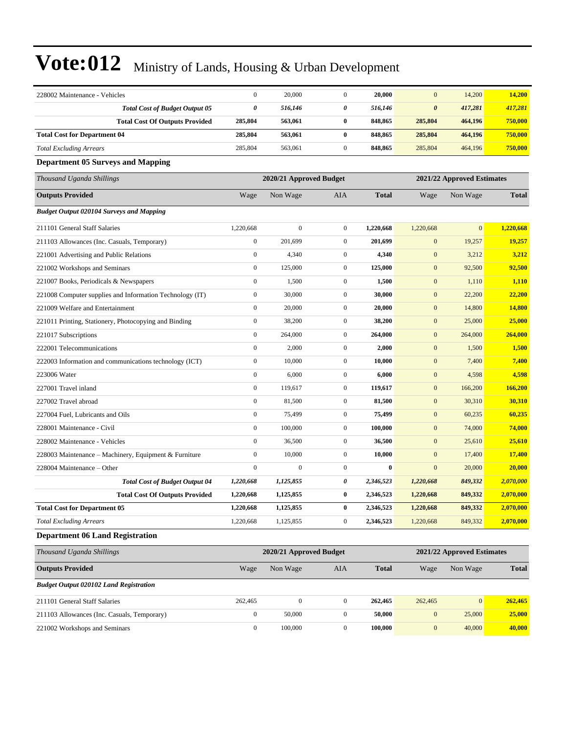| 228002 Maintenance - Vehicles                            | $\boldsymbol{0}$ | 20,000                  | $\boldsymbol{0}$ | 20,000       | $\mathbf{0}$          | 14,200                     | 14,200       |
|----------------------------------------------------------|------------------|-------------------------|------------------|--------------|-----------------------|----------------------------|--------------|
| <b>Total Cost of Budget Output 05</b>                    | 0                | 516,146                 | 0                | 516,146      | $\boldsymbol{\theta}$ | 417,281                    | 417,281      |
| <b>Total Cost Of Outputs Provided</b>                    | 285,804          | 563,061                 | $\bf{0}$         | 848,865      | 285,804               | 464,196                    | 750,000      |
| <b>Total Cost for Department 04</b>                      | 285,804          | 563,061                 | $\bf{0}$         | 848,865      | 285,804               | 464,196                    | 750,000      |
| <b>Total Excluding Arrears</b>                           | 285,804          | 563,061                 | $\boldsymbol{0}$ | 848,865      | 285,804               | 464,196                    | 750,000      |
| <b>Department 05 Surveys and Mapping</b>                 |                  |                         |                  |              |                       |                            |              |
| Thousand Uganda Shillings                                |                  | 2020/21 Approved Budget |                  |              |                       | 2021/22 Approved Estimates |              |
| <b>Outputs Provided</b>                                  | Wage             | Non Wage                | AIA              | <b>Total</b> | Wage                  | Non Wage                   | <b>Total</b> |
| <b>Budget Output 020104 Surveys and Mapping</b>          |                  |                         |                  |              |                       |                            |              |
| 211101 General Staff Salaries                            | 1,220,668        | $\mathbf{0}$            | $\boldsymbol{0}$ | 1,220,668    | 1,220,668             | $\mathbf{0}$               | 1,220,668    |
| 211103 Allowances (Inc. Casuals, Temporary)              | $\boldsymbol{0}$ | 201,699                 | $\boldsymbol{0}$ | 201,699      | $\boldsymbol{0}$      | 19,257                     | 19,257       |
| 221001 Advertising and Public Relations                  | $\boldsymbol{0}$ | 4,340                   | $\boldsymbol{0}$ | 4,340        | $\boldsymbol{0}$      | 3,212                      | 3,212        |
| 221002 Workshops and Seminars                            | $\boldsymbol{0}$ | 125,000                 | $\boldsymbol{0}$ | 125,000      | $\boldsymbol{0}$      | 92,500                     | 92,500       |
| 221007 Books, Periodicals & Newspapers                   | $\boldsymbol{0}$ | 1,500                   | $\boldsymbol{0}$ | 1,500        | $\mathbf{0}$          | 1,110                      | 1,110        |
| 221008 Computer supplies and Information Technology (IT) | $\boldsymbol{0}$ | 30,000                  | $\boldsymbol{0}$ | 30,000       | $\mathbf{0}$          | 22,200                     | 22,200       |
| 221009 Welfare and Entertainment                         | $\boldsymbol{0}$ | 20,000                  | $\boldsymbol{0}$ | 20,000       | $\boldsymbol{0}$      | 14,800                     | 14,800       |
| 221011 Printing, Stationery, Photocopying and Binding    | $\boldsymbol{0}$ | 38,200                  | $\boldsymbol{0}$ | 38,200       | $\boldsymbol{0}$      | 25,000                     | 25,000       |
| 221017 Subscriptions                                     | $\boldsymbol{0}$ | 264,000                 | $\boldsymbol{0}$ | 264,000      | $\boldsymbol{0}$      | 264,000                    | 264,000      |
| 222001 Telecommunications                                | $\boldsymbol{0}$ | 2,000                   | $\boldsymbol{0}$ | 2,000        | $\mathbf{0}$          | 1,500                      | 1,500        |
| 222003 Information and communications technology (ICT)   | $\boldsymbol{0}$ | 10,000                  | $\boldsymbol{0}$ | 10,000       | $\mathbf{0}$          | 7,400                      | 7,400        |
| 223006 Water                                             | $\overline{0}$   | 6,000                   | $\boldsymbol{0}$ | 6,000        | $\boldsymbol{0}$      | 4,598                      | 4,598        |
| 227001 Travel inland                                     | $\boldsymbol{0}$ | 119,617                 | $\boldsymbol{0}$ | 119,617      | $\boldsymbol{0}$      | 166,200                    | 166,200      |
| 227002 Travel abroad                                     | $\boldsymbol{0}$ | 81,500                  | $\boldsymbol{0}$ | 81,500       | $\boldsymbol{0}$      | 30,310                     | 30,310       |
| 227004 Fuel, Lubricants and Oils                         | $\boldsymbol{0}$ | 75,499                  | $\boldsymbol{0}$ | 75,499       | $\mathbf{0}$          | 60,235                     | 60,235       |
| 228001 Maintenance - Civil                               | $\boldsymbol{0}$ | 100,000                 | $\boldsymbol{0}$ | 100,000      | $\mathbf{0}$          | 74,000                     | 74,000       |
| 228002 Maintenance - Vehicles                            | $\boldsymbol{0}$ | 36,500                  | $\boldsymbol{0}$ | 36,500       | $\boldsymbol{0}$      | 25,610                     | 25,610       |
| 228003 Maintenance – Machinery, Equipment & Furniture    | $\boldsymbol{0}$ | 10,000                  | $\boldsymbol{0}$ | 10,000       | $\mathbf{0}$          | 17,400                     | 17,400       |
| 228004 Maintenance - Other                               | $\boldsymbol{0}$ | $\boldsymbol{0}$        | $\boldsymbol{0}$ | $\bf{0}$     | $\mathbf{0}$          | 20,000                     | 20,000       |
| <b>Total Cost of Budget Output 04</b>                    | 1,220,668        | 1,125,855               | 0                | 2,346,523    | 1,220,668             | 849,332                    | 2,070,000    |
| <b>Total Cost Of Outputs Provided</b>                    | 1,220,668        | 1,125,855               | $\bf{0}$         | 2,346,523    | 1,220,668             | 849.332                    | 2,070,000    |
| <b>Total Cost for Department 05</b>                      | 1,220,668        | 1,125,855               | $\bf{0}$         | 2,346,523    | 1,220,668             | 849,332                    | 2,070,000    |
| <b>Total Excluding Arrears</b>                           | 1,220,668        | 1,125,855               | $\boldsymbol{0}$ | 2,346,523    | 1,220,668             | 849,332                    | 2,070,000    |
| <b>Department 06 Land Registration</b>                   |                  |                         |                  |              |                       |                            |              |
| Thousand Uganda Shillings                                |                  | 2020/21 Approved Budget |                  |              |                       | 2021/22 Approved Estimates |              |
| <b>Outputs Provided</b>                                  | Wage             | Non Wage                | AIA              | <b>Total</b> | Wage                  | Non Wage                   | <b>Total</b> |
| <b>Budget Output 020102 Land Registration</b>            |                  |                         |                  |              |                       |                            |              |
| 211101 General Staff Salaries                            | 262,465          | $\boldsymbol{0}$        | $\boldsymbol{0}$ | 262,465      | 262,465               | $\boldsymbol{0}$           | 262,465      |
| 211103 Allowances (Inc. Casuals, Temporary)              | $\boldsymbol{0}$ | 50,000                  | $\boldsymbol{0}$ | 50,000       | $\boldsymbol{0}$      | 25,000                     | 25,000       |
| 221002 Workshops and Seminars                            | $\boldsymbol{0}$ | 100,000                 | $\boldsymbol{0}$ | 100,000      | $\boldsymbol{0}$      | 40,000                     | 40,000       |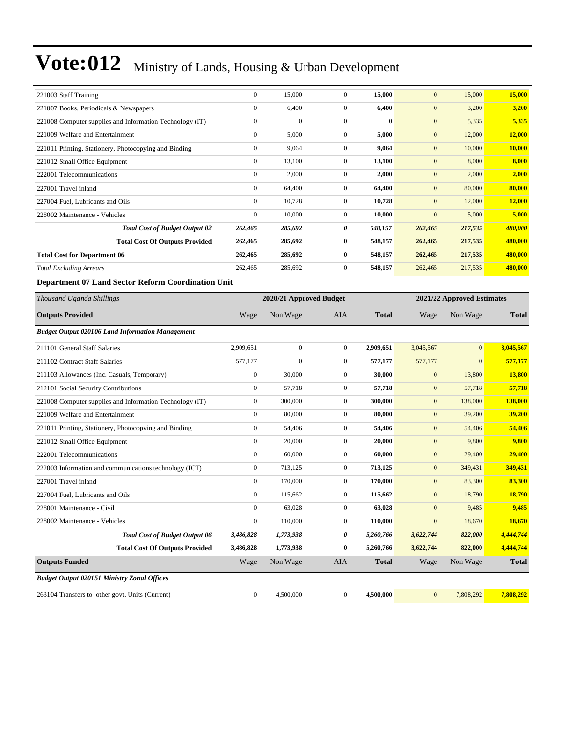| 221003 Staff Training                                    | $\mathbf{0}$ | 15,000       | $\mathbf{0}$   | 15,000   | $\mathbf{0}$ | 15,000  | 15,000  |
|----------------------------------------------------------|--------------|--------------|----------------|----------|--------------|---------|---------|
| 221007 Books, Periodicals & Newspapers                   | $\mathbf{0}$ | 6,400        | $\mathbf{0}$   | 6,400    | $\mathbf{0}$ | 3,200   | 3,200   |
| 221008 Computer supplies and Information Technology (IT) | $\mathbf{0}$ | $\mathbf{0}$ | $\mathbf{0}$   | $\bf{0}$ | $\mathbf{0}$ | 5,335   | 5,335   |
| 221009 Welfare and Entertainment                         | $\mathbf{0}$ | 5,000        | $\mathbf{0}$   | 5,000    | $\mathbf{0}$ | 12,000  | 12,000  |
| 221011 Printing, Stationery, Photocopying and Binding    | $\mathbf{0}$ | 9,064        | $\overline{0}$ | 9,064    | $\mathbf{0}$ | 10,000  | 10,000  |
| 221012 Small Office Equipment                            | $\mathbf{0}$ | 13,100       | $\overline{0}$ | 13,100   | $\mathbf{0}$ | 8,000   | 8,000   |
| 222001 Telecommunications                                | $\mathbf{0}$ | 2,000        | $\overline{0}$ | 2,000    | $\mathbf{0}$ | 2,000   | 2,000   |
| 227001 Travel inland                                     | $\mathbf{0}$ | 64,400       | $\overline{0}$ | 64,400   | $\mathbf{0}$ | 80,000  | 80,000  |
| 227004 Fuel, Lubricants and Oils                         | $\mathbf{0}$ | 10,728       | $\mathbf{0}$   | 10,728   | $\mathbf{0}$ | 12,000  | 12,000  |
| 228002 Maintenance - Vehicles                            | $\mathbf{0}$ | 10,000       | $\overline{0}$ | 10,000   | $\mathbf{0}$ | 5,000   | 5,000   |
| <b>Total Cost of Budget Output 02</b>                    | 262,465      | 285,692      | 0              | 548,157  | 262,465      | 217,535 | 480,000 |
| <b>Total Cost Of Outputs Provided</b>                    | 262,465      | 285,692      | $\bf{0}$       | 548,157  | 262,465      | 217,535 | 480,000 |
| <b>Total Cost for Department 06</b>                      | 262,465      | 285,692      | $\bf{0}$       | 548,157  | 262,465      | 217,535 | 480,000 |
| <b>Total Excluding Arrears</b>                           | 262,465      | 285,692      | $\mathbf{0}$   | 548,157  | 262,465      | 217,535 | 480,000 |

#### **Department 07 Land Sector Reform Coordination Unit**

| Thousand Uganda Shillings                                |                  | 2020/21 Approved Budget<br>2021/22 Approved Estimates |                  |              |              |                |              |  |
|----------------------------------------------------------|------------------|-------------------------------------------------------|------------------|--------------|--------------|----------------|--------------|--|
| <b>Outputs Provided</b>                                  | Wage             | Non Wage                                              | <b>AIA</b>       | <b>Total</b> | Wage         | Non Wage       | <b>Total</b> |  |
| <b>Budget Output 020106 Land Information Management</b>  |                  |                                                       |                  |              |              |                |              |  |
| 211101 General Staff Salaries                            | 2,909,651        | $\mathbf{0}$                                          | $\overline{0}$   | 2,909,651    | 3,045,567    | $\overline{0}$ | 3,045,567    |  |
| 211102 Contract Staff Salaries                           | 577,177          | $\boldsymbol{0}$                                      | $\boldsymbol{0}$ | 577,177      | 577,177      | $\overline{0}$ | 577,177      |  |
| 211103 Allowances (Inc. Casuals, Temporary)              | $\boldsymbol{0}$ | 30,000                                                | $\boldsymbol{0}$ | 30,000       | $\mathbf{0}$ | 13,800         | 13,800       |  |
| 212101 Social Security Contributions                     | $\mathbf{0}$     | 57,718                                                | $\mathbf{0}$     | 57,718       | $\mathbf{0}$ | 57,718         | 57,718       |  |
| 221008 Computer supplies and Information Technology (IT) | $\mathbf{0}$     | 300,000                                               | $\overline{0}$   | 300,000      | $\mathbf{0}$ | 138,000        | 138,000      |  |
| 221009 Welfare and Entertainment                         | $\mathbf{0}$     | 80,000                                                | $\boldsymbol{0}$ | 80,000       | $\mathbf{0}$ | 39,200         | 39,200       |  |
| 221011 Printing, Stationery, Photocopying and Binding    | $\mathbf{0}$     | 54,406                                                | $\overline{0}$   | 54,406       | $\mathbf{0}$ | 54,406         | 54,406       |  |
| 221012 Small Office Equipment                            | $\mathbf{0}$     | 20,000                                                | $\overline{0}$   | 20,000       | $\mathbf{0}$ | 9,800          | 9,800        |  |
| 222001 Telecommunications                                | $\mathbf{0}$     | 60,000                                                | $\overline{0}$   | 60,000       | $\mathbf{0}$ | 29,400         | 29,400       |  |
| 222003 Information and communications technology (ICT)   | $\mathbf{0}$     | 713,125                                               | $\overline{0}$   | 713,125      | $\mathbf{0}$ | 349,431        | 349,431      |  |
| 227001 Travel inland                                     | $\mathbf{0}$     | 170,000                                               | $\overline{0}$   | 170,000      | $\mathbf{0}$ | 83,300         | 83,300       |  |
| 227004 Fuel, Lubricants and Oils                         | $\mathbf{0}$     | 115,662                                               | $\overline{0}$   | 115,662      | $\mathbf{0}$ | 18,790         | 18,790       |  |
| 228001 Maintenance - Civil                               | $\mathbf{0}$     | 63,028                                                | $\overline{0}$   | 63,028       | $\mathbf{0}$ | 9.485          | 9,485        |  |
| 228002 Maintenance - Vehicles                            | $\mathbf{0}$     | 110,000                                               | $\boldsymbol{0}$ | 110,000      | $\mathbf{0}$ | 18,670         | 18,670       |  |
| <b>Total Cost of Budget Output 06</b>                    | 3,486,828        | 1,773,938                                             | 0                | 5,260,766    | 3,622,744    | 822,000        | 4,444,744    |  |
| <b>Total Cost Of Outputs Provided</b>                    | 3,486,828        | 1,773,938                                             | $\bf{0}$         | 5,260,766    | 3,622,744    | 822,000        | 4,444,744    |  |
| <b>Outputs Funded</b>                                    | Wage             | Non Wage                                              | <b>AIA</b>       | <b>Total</b> | Wage         | Non Wage       | <b>Total</b> |  |
| <b>Budget Output 020151 Ministry Zonal Offices</b>       |                  |                                                       |                  |              |              |                |              |  |
| 263104 Transfers to other govt. Units (Current)          | $\mathbf{0}$     | 4,500,000                                             | $\overline{0}$   | 4.500.000    | $\mathbf{0}$ | 7,808,292      | 7.808.292    |  |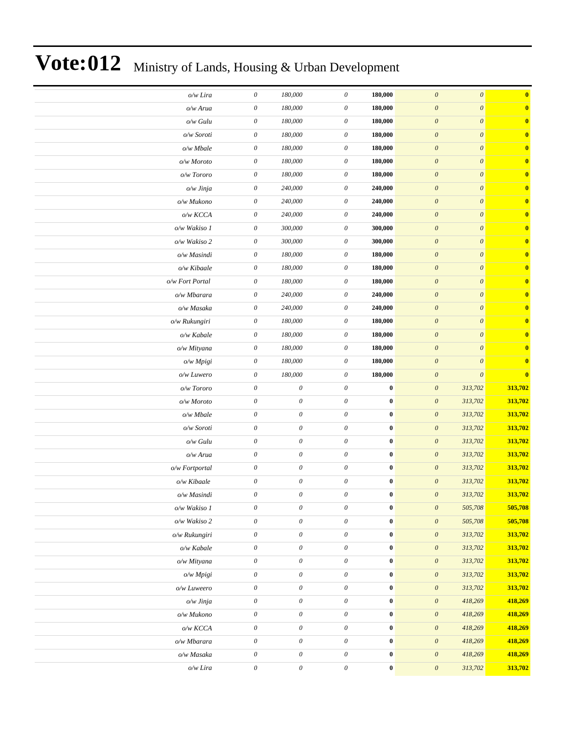| $\bf{0}$     | $\boldsymbol{\mathit{0}}$ | $\boldsymbol{\theta}$     | 180,000          | $\boldsymbol{\mathit{0}}$ | 180,000                   | $\boldsymbol{\mathit{0}}$ | o/w Lira         |
|--------------|---------------------------|---------------------------|------------------|---------------------------|---------------------------|---------------------------|------------------|
| $\mathbf{0}$ | $\boldsymbol{\theta}$     | $\boldsymbol{\theta}$     | 180,000          | $\boldsymbol{\theta}$     | 180,000                   | $\boldsymbol{\theta}$     | o/w Arua         |
| $\bf{0}$     | $\boldsymbol{\theta}$     | $\boldsymbol{\mathit{0}}$ | 180,000          | $\boldsymbol{\mathit{0}}$ | 180,000                   | 0                         | o/w Gulu         |
| $\bf{0}$     | $\boldsymbol{\theta}$     | $\boldsymbol{\mathit{0}}$ | 180,000          | $\boldsymbol{\theta}$     | 180,000                   | $\boldsymbol{\mathit{0}}$ | o/w Soroti       |
| $\bf{0}$     | $\boldsymbol{\theta}$     | $\boldsymbol{\mathit{0}}$ | 180,000          | $\boldsymbol{\mathit{0}}$ | 180,000                   | $\boldsymbol{\mathit{0}}$ | $o/w$ Mbale      |
| $\mathbf{0}$ | $\boldsymbol{\theta}$     | $\boldsymbol{\theta}$     | 180,000          | $\boldsymbol{\theta}$     | 180,000                   | $\boldsymbol{\mathit{0}}$ | o/w Moroto       |
| $\bf{0}$     | $\boldsymbol{\theta}$     | $\boldsymbol{\mathit{0}}$ | 180,000          | $\boldsymbol{\mathit{0}}$ | 180,000                   | $\boldsymbol{\mathit{0}}$ | o/w Tororo       |
| $\bf{0}$     | $\boldsymbol{\theta}$     | $\boldsymbol{\mathit{0}}$ | 240,000          | $\boldsymbol{\mathit{0}}$ | 240,000                   | $\boldsymbol{\mathit{0}}$ | o/w Jinja        |
| $\bf{0}$     | $\boldsymbol{\theta}$     | $\boldsymbol{\mathit{0}}$ | 240,000          | $\boldsymbol{\theta}$     | 240,000                   | $\boldsymbol{\mathit{0}}$ | o/w Mukono       |
| $\bf{0}$     | $\boldsymbol{\theta}$     | $\boldsymbol{\mathit{0}}$ | 240,000          | $\boldsymbol{\mathit{0}}$ | 240,000                   | $\boldsymbol{\mathit{0}}$ | o/w KCCA         |
| $\mathbf{0}$ | $\boldsymbol{\theta}$     | $\boldsymbol{\theta}$     | 300,000          | $\boldsymbol{\theta}$     | 300,000                   | $\boldsymbol{\mathit{0}}$ | o/w Wakiso 1     |
| $\bf{0}$     | $\boldsymbol{\theta}$     | $\boldsymbol{\mathit{0}}$ | 300,000          | $\boldsymbol{\mathit{0}}$ | 300,000                   | $\boldsymbol{\mathit{0}}$ | o/w Wakiso 2     |
| $\bf{0}$     | $\boldsymbol{\theta}$     | $\boldsymbol{\mathit{0}}$ | 180,000          | $\boldsymbol{\theta}$     | 180,000                   | $\boldsymbol{\mathit{0}}$ | o/w Masindi      |
| $\bf{0}$     | $\boldsymbol{\theta}$     | $\boldsymbol{\mathit{0}}$ | 180,000          | $\boldsymbol{\mathit{0}}$ | 180,000                   | $\boldsymbol{\mathit{0}}$ | o/w Kibaale      |
| $\bf{0}$     | $\boldsymbol{\theta}$     | $\boldsymbol{\mathit{0}}$ | 180,000          | $\boldsymbol{\mathit{0}}$ | 180,000                   | $\boldsymbol{\mathit{0}}$ | o/w Fort Portal  |
| $\mathbf{0}$ | $\boldsymbol{\theta}$     | $\boldsymbol{\theta}$     | 240,000          | $\boldsymbol{\theta}$     | 240,000                   | $\boldsymbol{\mathit{0}}$ | o/w Mbarara      |
| $\bf{0}$     | $\boldsymbol{\theta}$     | $\boldsymbol{\mathit{0}}$ | 240,000          | $\boldsymbol{\mathit{0}}$ | 240,000                   | $\boldsymbol{\mathit{0}}$ | o/w Masaka       |
| $\bf{0}$     | $\boldsymbol{\theta}$     | $\boldsymbol{\mathit{0}}$ | 180,000          | $\boldsymbol{\mathit{0}}$ | 180,000                   | $\boldsymbol{\mathit{0}}$ | o/w Rukungiri    |
| $\bf{0}$     | $\boldsymbol{\theta}$     | $\boldsymbol{\mathit{0}}$ | 180,000          | $\boldsymbol{\mathit{0}}$ | 180,000                   | $\boldsymbol{\mathit{0}}$ | o/w Kabale       |
| $\bf{0}$     | $\boldsymbol{\theta}$     | $\boldsymbol{\mathit{0}}$ | 180,000          | $\boldsymbol{\mathit{0}}$ | 180,000                   | $\boldsymbol{\mathit{0}}$ | o/w Mityana      |
| $\mathbf{0}$ | $\boldsymbol{\theta}$     | $\boldsymbol{\theta}$     | 180,000          | $\boldsymbol{\mathit{0}}$ | 180,000                   | $\boldsymbol{\mathit{0}}$ | o/w Mpigi        |
| $\bf{0}$     | $\boldsymbol{\theta}$     | $\boldsymbol{\mathit{0}}$ | 180,000          | $\boldsymbol{\mathit{0}}$ | 180,000                   | $\boldsymbol{\mathit{0}}$ | o/w Luwero       |
| 313,702      | 313,702                   | $\boldsymbol{\mathit{0}}$ | $\bf{0}$         | $\mathcal O$              | $\boldsymbol{\theta}$     | $\boldsymbol{\mathit{0}}$ | o/w Tororo       |
| 313,702      | 313,702                   | $\boldsymbol{\mathit{0}}$ | $\pmb{0}$        | $\boldsymbol{\theta}$     | $\boldsymbol{\theta}$     | $\boldsymbol{\theta}$     | o/w Moroto       |
| 313,702      | 313,702                   | $\boldsymbol{\mathit{0}}$ | $\pmb{0}$        | $\boldsymbol{\mathit{0}}$ | $\boldsymbol{\theta}$     | 0                         | $o/w$ Mbale      |
| 313,702      | 313,702                   | $\boldsymbol{\mathit{0}}$ | $\pmb{0}$        | $\boldsymbol{\mathit{0}}$ | $\boldsymbol{\mathit{0}}$ | $\boldsymbol{\theta}$     | o/w Soroti       |
| 313,702      | 313,702                   | $\boldsymbol{\mathit{0}}$ | $\bf{0}$         | $\boldsymbol{\mathit{0}}$ | $\boldsymbol{\mathit{0}}$ | $\boldsymbol{\mathit{0}}$ | o/w Gulu         |
| 313,702      | 313,702                   | $\boldsymbol{\mathit{0}}$ | $\bf{0}$         | $\mathcal O$              | $\boldsymbol{\theta}$     | $\boldsymbol{\mathit{0}}$ | o/w Arua         |
| 313,702      | 313,702                   | $\boldsymbol{\theta}$     | $\pmb{0}$        | $\boldsymbol{\theta}$     | $\boldsymbol{\theta}$     | $\boldsymbol{\mathit{0}}$ | $o/w$ Fortportal |
| 313,702      | 313,702                   | $\boldsymbol{\mathit{0}}$ | $\bf{0}$         | $\boldsymbol{\mathit{0}}$ | $\boldsymbol{\theta}$     | $\boldsymbol{\mathit{0}}$ | o/w Kibaale      |
| 313,702      | 313,702                   | $\boldsymbol{\theta}$     | $\bf{0}$         | $\theta$                  | 0                         | $\boldsymbol{\mathit{0}}$ | o/w Masindi      |
| 505,708      | 505,708                   | $\boldsymbol{\mathit{0}}$ | $\bf{0}$         | $\mathcal O$              | $\boldsymbol{\mathit{0}}$ | $\boldsymbol{\mathit{0}}$ | o/w Wakiso 1     |
| 505,708      | 505,708                   | $\boldsymbol{\mathit{0}}$ | $\pmb{0}$        | $\boldsymbol{\theta}$     | $\boldsymbol{\mathit{0}}$ | $\boldsymbol{\theta}$     | o/w Wakiso 2     |
| 313,702      | 313,702                   | $\boldsymbol{\theta}$     | $\boldsymbol{0}$ | $\boldsymbol{\theta}$     | $\boldsymbol{\theta}$     | $\mathcal O$              | o/w Rukungiri    |
| 313,702      | 313,702                   | $\boldsymbol{\theta}$     | $\boldsymbol{0}$ | $\mathcal O$              | $\boldsymbol{\theta}$     | $\mathcal O$              | o/w Kabale       |
| 313,702      | 313,702                   | $\boldsymbol{\theta}$     | $\pmb{0}$        | $\mathcal O$              | $\boldsymbol{\mathit{0}}$ | $\mathcal O$              | o/w Mityana      |
| 313,702      | 313,702                   | $\boldsymbol{\mathit{0}}$ | $\pmb{0}$        | $\boldsymbol{\mathit{0}}$ | $\boldsymbol{\theta}$     | $\boldsymbol{\theta}$     | o/w Mpigi        |
| 313,702      | 313,702                   | $\boldsymbol{\mathit{0}}$ | $\pmb{0}$        | $\boldsymbol{\theta}$     | $\boldsymbol{\mathit{0}}$ | $\boldsymbol{\mathit{0}}$ | o/w Luweero      |
| 418,269      | 418,269                   | $\boldsymbol{\mathit{0}}$ | $\bf{0}$         | $\boldsymbol{\theta}$     | $\boldsymbol{\theta}$     | ${\cal O}$                | $o/w$ Jinja      |
| 418,269      | 418,269                   | $\boldsymbol{\theta}$     | $\boldsymbol{0}$ | $\boldsymbol{\theta}$     | $\boldsymbol{\theta}$     | $\mathcal O$              | o/w Mukono       |
| 418,269      | 418,269                   | $\boldsymbol{\theta}$     | $\pmb{0}$        | $\mathcal O$              | $\boldsymbol{\theta}$     | $\mathcal O$              | $o/w$ KCCA       |
| 418,269      | 418,269                   | $\boldsymbol{\mathit{0}}$ | $\pmb{0}$        | $\boldsymbol{\mathit{0}}$ | $\boldsymbol{\theta}$     | $\boldsymbol{\theta}$     | o/w Mbarara      |
| 418,269      | 418,269                   | $\boldsymbol{\mathit{0}}$ | $\pmb{0}$        | $\boldsymbol{\theta}$     | $\boldsymbol{\mathit{0}}$ | $\boldsymbol{\mathit{0}}$ | o/w Masaka       |
| 313,702      | 313,702                   | $\boldsymbol{\theta}$     | $\bf{0}$         | $\boldsymbol{\theta}$     | $\boldsymbol{\theta}$     | $\boldsymbol{\mathit{0}}$ | o/w Lira         |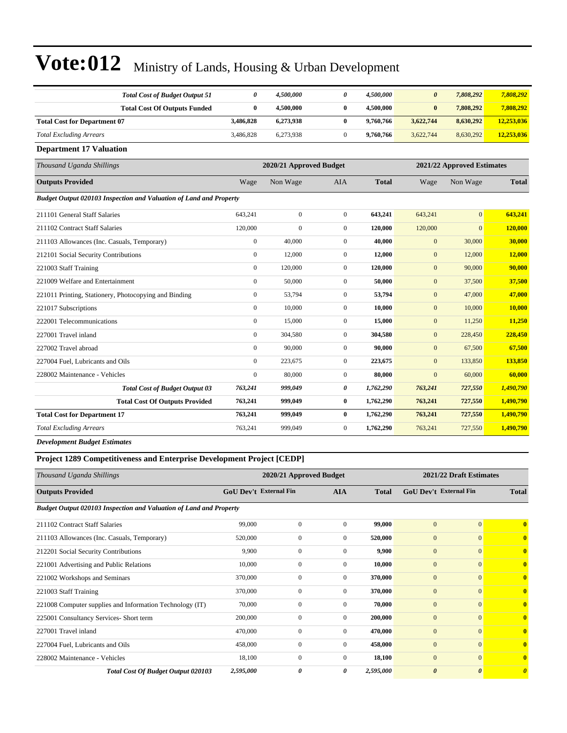|                  | 4,500,000                                                                                             | 0              | 4,500,000               | $\boldsymbol{\theta}$ | 7,808,292      | 7,808,292                  |
|------------------|-------------------------------------------------------------------------------------------------------|----------------|-------------------------|-----------------------|----------------|----------------------------|
| $\bf{0}$         | 4,500,000                                                                                             | $\bf{0}$       | 4,500,000               | $\bf{0}$              | 7,808,292      | 7,808,292                  |
|                  | 6,273,938                                                                                             | $\bf{0}$       | 9,760,766               | 3,622,744             | 8,630,292      | 12,253,036                 |
|                  | 6,273,938                                                                                             | $\overline{0}$ | 9,760,766               | 3,622,744             | 8,630,292      | 12,253,036                 |
|                  |                                                                                                       |                |                         |                       |                |                            |
|                  |                                                                                                       |                |                         |                       |                |                            |
|                  | Non Wage                                                                                              | <b>AIA</b>     | <b>Total</b>            | Wage                  | Non Wage       | <b>Total</b>               |
|                  |                                                                                                       |                |                         |                       |                |                            |
|                  | $\mathbf{0}$                                                                                          | $\overline{0}$ | 643,241                 | 643,241               | $\mathbf{0}$   | 643,241                    |
|                  | $\mathbf{0}$                                                                                          | $\overline{0}$ | 120,000                 | 120,000               | $\overline{0}$ | 120,000                    |
| $\mathbf{0}$     | 40,000                                                                                                | $\overline{0}$ | 40,000                  | $\mathbf{0}$          | 30,000         | 30,000                     |
| $\mathbf{0}$     | 12,000                                                                                                | $\overline{0}$ | 12,000                  | $\mathbf{0}$          | 12,000         | 12,000                     |
| $\mathbf{0}$     | 120,000                                                                                               | $\overline{0}$ | 120,000                 | $\mathbf{0}$          | 90,000         | 90,000                     |
| $\mathbf{0}$     | 50,000                                                                                                | $\overline{0}$ | 50,000                  | $\mathbf{0}$          | 37,500         | 37,500                     |
| $\boldsymbol{0}$ | 53,794                                                                                                | $\overline{0}$ | 53,794                  | $\boldsymbol{0}$      | 47,000         | 47,000                     |
| $\mathbf{0}$     | 10,000                                                                                                | $\overline{0}$ | 10,000                  | $\mathbf{0}$          | 10,000         | 10,000                     |
| $\mathbf{0}$     | 15,000                                                                                                | $\overline{0}$ | 15,000                  | $\mathbf{0}$          | 11,250         | 11,250                     |
| $\mathbf{0}$     | 304,580                                                                                               | $\overline{0}$ | 304,580                 | $\mathbf{0}$          | 228,450        | 228,450                    |
| $\mathbf{0}$     | 90,000                                                                                                | $\overline{0}$ | 90.000                  | $\mathbf{0}$          | 67,500         | 67,500                     |
| $\mathbf{0}$     | 223,675                                                                                               | $\overline{0}$ | 223,675                 | $\mathbf{0}$          | 133,850        | 133,850                    |
| $\boldsymbol{0}$ | 80,000                                                                                                | $\overline{0}$ | 80,000                  | $\mathbf{0}$          | 60,000         | 60,000                     |
|                  | 999,049                                                                                               | 0              | 1,762,290               | 763,241               | 727,550        | 1,490,790                  |
|                  | 999,049                                                                                               | $\bf{0}$       | 1,762,290               | 763,241               | 727,550        | 1,490,790                  |
|                  | 999,049                                                                                               | $\bf{0}$       | 1,762,290               | 763,241               | 727,550        | 1,490,790                  |
|                  | 999,049                                                                                               | $\overline{0}$ | 1,762,290               | 763,241               | 727,550        | 1,490,790                  |
|                  | 0<br>3,486,828<br>3,486,828<br>Wage<br>643.241<br>120,000<br>763,241<br>763,241<br>763,241<br>763,241 |                | 2020/21 Approved Budget |                       |                | 2021/22 Approved Estimates |

*Development Budget Estimates*

#### **Project 1289 Competitiveness and Enterprise Development Project [CEDP]**

| Thousand Uganda Shillings                                          |                               | 2020/21 Approved Budget |              |              |                               | 2021/22 Draft Estimates |                       |
|--------------------------------------------------------------------|-------------------------------|-------------------------|--------------|--------------|-------------------------------|-------------------------|-----------------------|
| <b>Outputs Provided</b>                                            | <b>GoU Dev't External Fin</b> |                         | <b>AIA</b>   | <b>Total</b> | <b>GoU Dev't External Fin</b> |                         | <b>Total</b>          |
| Budget Output 020103 Inspection and Valuation of Land and Property |                               |                         |              |              |                               |                         |                       |
| 211102 Contract Staff Salaries                                     | 99,000                        | $\mathbf{0}$            | $\Omega$     | 99,000       | $\overline{0}$                | $\overline{0}$          | $\mathbf{0}$          |
| 211103 Allowances (Inc. Casuals, Temporary)                        | 520,000                       | $\mathbf{0}$            | $\mathbf{0}$ | 520,000      | $\mathbf{0}$                  | $\mathbf{0}$            | $\mathbf{0}$          |
| 212201 Social Security Contributions                               | 9,900                         | $\mathbf{0}$            | $\mathbf{0}$ | 9,900        | $\overline{0}$                | $\mathbf{0}$            | $\mathbf{0}$          |
| 221001 Advertising and Public Relations                            | 10,000                        | $\mathbf{0}$            | $\Omega$     | 10,000       | $\overline{0}$                | $\Omega$                | $\mathbf{0}$          |
| 221002 Workshops and Seminars                                      | 370,000                       | $\mathbf{0}$            | $\mathbf{0}$ | 370,000      | $\overline{0}$                | $\mathbf{0}$            | $\mathbf{0}$          |
| 221003 Staff Training                                              | 370,000                       | $\mathbf{0}$            | $\mathbf{0}$ | 370,000      | $\overline{0}$                | $\mathbf{0}$            | $\mathbf{0}$          |
| 221008 Computer supplies and Information Technology (IT)           | 70,000                        | $\mathbf{0}$            | $\mathbf{0}$ | 70,000       | $\overline{0}$                | $\mathbf{0}$            | $\mathbf{0}$          |
| 225001 Consultancy Services- Short term                            | 200,000                       | $\mathbf{0}$            | $\mathbf{0}$ | 200,000      | $\overline{0}$                | $\Omega$                | $\mathbf{0}$          |
| 227001 Travel inland                                               | 470,000                       | $\mathbf{0}$            | $\Omega$     | 470,000      | $\overline{0}$                | $\mathbf{0}$            | $\mathbf{0}$          |
| 227004 Fuel, Lubricants and Oils                                   | 458,000                       | $\mathbf{0}$            | $\mathbf{0}$ | 458,000      | $\mathbf{0}$                  | $\mathbf{0}$            | $\mathbf{0}$          |
| 228002 Maintenance - Vehicles                                      | 18,100                        | $\mathbf{0}$            | $\mathbf{0}$ | 18,100       | $\mathbf{0}$                  | $\mathbf{0}$            | $\mathbf{0}$          |
| <b>Total Cost Of Budget Output 020103</b>                          | 2,595,000                     | 0                       | 0            | 2,595,000    | $\boldsymbol{\theta}$         | $\boldsymbol{\theta}$   | $\boldsymbol{\theta}$ |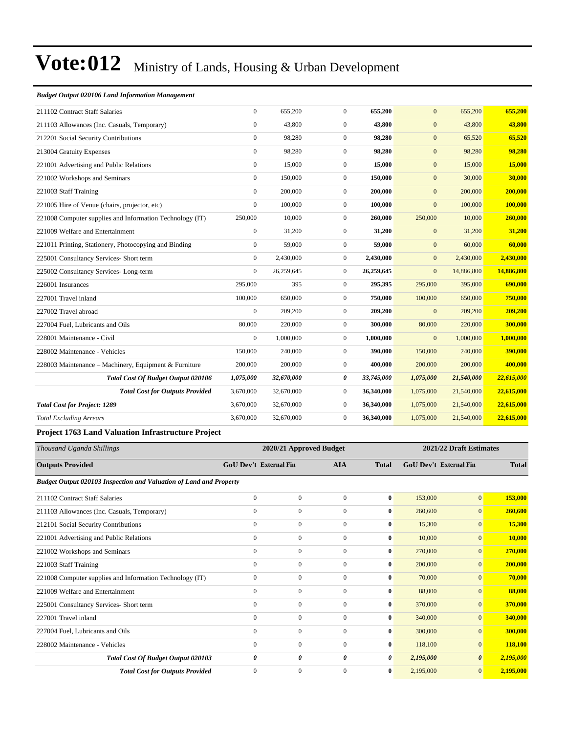#### *Budget Output 020106 Land Information Management*

| 211102 Contract Staff Salaries                                                                                                                                                                                                                                                                                                                       | $\mathbf{0}$     | 655,200    | $\overline{0}$   | 655,200    | $\mathbf{0}$ | 655,200    | 655,200    |
|------------------------------------------------------------------------------------------------------------------------------------------------------------------------------------------------------------------------------------------------------------------------------------------------------------------------------------------------------|------------------|------------|------------------|------------|--------------|------------|------------|
| 211103 Allowances (Inc. Casuals, Temporary)                                                                                                                                                                                                                                                                                                          | $\mathbf{0}$     | 43,800     | $\boldsymbol{0}$ | 43,800     | $\mathbf{0}$ | 43,800     | 43,800     |
| 212201 Social Security Contributions                                                                                                                                                                                                                                                                                                                 | $\boldsymbol{0}$ | 98,280     | $\boldsymbol{0}$ | 98,280     | $\mathbf{0}$ | 65,520     | 65,520     |
| 213004 Gratuity Expenses                                                                                                                                                                                                                                                                                                                             | $\mathbf{0}$     | 98,280     | $\boldsymbol{0}$ | 98,280     | $\mathbf{0}$ | 98,280     | 98,280     |
| 221001 Advertising and Public Relations                                                                                                                                                                                                                                                                                                              | $\mathbf{0}$     | 15,000     | $\boldsymbol{0}$ | 15,000     | $\mathbf{0}$ | 15,000     | 15,000     |
| 221002 Workshops and Seminars                                                                                                                                                                                                                                                                                                                        | $\mathbf{0}$     | 150,000    | $\boldsymbol{0}$ | 150,000    | $\mathbf{0}$ | 30,000     | 30,000     |
| 221003 Staff Training                                                                                                                                                                                                                                                                                                                                | $\mathbf{0}$     | 200,000    | $\overline{0}$   | 200,000    | $\mathbf{0}$ | 200,000    | 200,000    |
| 221005 Hire of Venue (chairs, projector, etc)                                                                                                                                                                                                                                                                                                        | $\mathbf{0}$     | 100,000    | $\overline{0}$   | 100,000    | $\mathbf{0}$ | 100,000    | 100,000    |
| 221008 Computer supplies and Information Technology (IT)                                                                                                                                                                                                                                                                                             | 250,000          | 10,000     | $\mathbf{0}$     | 260,000    | 250,000      | 10,000     | 260,000    |
| 221009 Welfare and Entertainment                                                                                                                                                                                                                                                                                                                     | $\overline{0}$   | 31,200     | $\boldsymbol{0}$ | 31,200     | $\mathbf{0}$ | 31,200     | 31,200     |
| 221011 Printing, Stationery, Photocopying and Binding                                                                                                                                                                                                                                                                                                | $\boldsymbol{0}$ | 59,000     | $\boldsymbol{0}$ | 59,000     | $\mathbf{0}$ | 60,000     | 60,000     |
| 225001 Consultancy Services- Short term                                                                                                                                                                                                                                                                                                              | $\mathbf{0}$     | 2,430,000  | $\boldsymbol{0}$ | 2,430,000  | $\mathbf{0}$ | 2,430,000  | 2,430,000  |
| 225002 Consultancy Services-Long-term                                                                                                                                                                                                                                                                                                                | $\mathbf{0}$     | 26,259,645 | $\boldsymbol{0}$ | 26,259,645 | $\mathbf{0}$ | 14,886,800 | 14,886,800 |
| 226001 Insurances                                                                                                                                                                                                                                                                                                                                    | 295,000          | 395        | $\boldsymbol{0}$ | 295,395    | 295,000      | 395,000    | 690,000    |
| 227001 Travel inland                                                                                                                                                                                                                                                                                                                                 | 100,000          | 650,000    | $\mathbf{0}$     | 750,000    | 100,000      | 650,000    | 750,000    |
| 227002 Travel abroad                                                                                                                                                                                                                                                                                                                                 | $\mathbf{0}$     | 209,200    | $\mathbf{0}$     | 209,200    | $\mathbf{0}$ | 209,200    | 209,200    |
| 227004 Fuel, Lubricants and Oils                                                                                                                                                                                                                                                                                                                     | 80,000           | 220,000    | $\mathbf{0}$     | 300,000    | 80,000       | 220,000    | 300,000    |
| 228001 Maintenance - Civil                                                                                                                                                                                                                                                                                                                           | $\mathbf{0}$     | 1,000,000  | $\mathbf{0}$     | 1,000,000  | $\mathbf{0}$ | 1,000,000  | 1,000,000  |
| 228002 Maintenance - Vehicles                                                                                                                                                                                                                                                                                                                        | 150,000          | 240,000    | $\mathbf{0}$     | 390,000    | 150,000      | 240,000    | 390,000    |
| 228003 Maintenance – Machinery, Equipment & Furniture                                                                                                                                                                                                                                                                                                | 200,000          | 200,000    | $\boldsymbol{0}$ | 400,000    | 200,000      | 200,000    | 400,000    |
| <b>Total Cost Of Budget Output 020106</b>                                                                                                                                                                                                                                                                                                            | 1,075,000        | 32,670,000 | 0                | 33,745,000 | 1,075,000    | 21,540,000 | 22,615,000 |
| <b>Total Cost for Outputs Provided</b>                                                                                                                                                                                                                                                                                                               | 3,670,000        | 32,670,000 | $\boldsymbol{0}$ | 36,340,000 | 1,075,000    | 21,540,000 | 22,615,000 |
| <b>Total Cost for Project: 1289</b>                                                                                                                                                                                                                                                                                                                  | 3,670,000        | 32,670,000 | $\overline{0}$   | 36,340,000 | 1,075,000    | 21,540,000 | 22,615,000 |
| <b>Total Excluding Arrears</b>                                                                                                                                                                                                                                                                                                                       | 3,670,000        | 32,670,000 | $\boldsymbol{0}$ | 36,340,000 | 1,075,000    | 21,540,000 | 22,615,000 |
| $\mathbf{1}$ $\mathbf{1}$ $\mathbf{1}$ $\mathbf{2}$ $\mathbf{3}$ $\mathbf{1}$ $\mathbf{3}$ $\mathbf{1}$ $\mathbf{3}$ $\mathbf{1}$ $\mathbf{1}$ $\mathbf{3}$ $\mathbf{1}$ $\mathbf{1}$ $\mathbf{3}$ $\mathbf{1}$ $\mathbf{1}$ $\mathbf{3}$ $\mathbf{1}$ $\mathbf{1}$ $\mathbf{3}$ $\mathbf{1}$ $\mathbf{3}$ $\mathbf{1}$ $\mathbf{$<br>$\mathbf{r}$ . |                  |            |                  |            |              |            |            |

#### **Project 1763 Land Valuation Infrastructure Project**

| Thousand Uganda Shillings                                                 |                               | 2020/21 Approved Budget |              |              |                               | 2021/22 Draft Estimates |              |  |  |
|---------------------------------------------------------------------------|-------------------------------|-------------------------|--------------|--------------|-------------------------------|-------------------------|--------------|--|--|
| <b>Outputs Provided</b>                                                   | <b>GoU Dev't External Fin</b> |                         | <b>AIA</b>   | <b>Total</b> | <b>GoU</b> Dev't External Fin |                         | <b>Total</b> |  |  |
| <b>Budget Output 020103 Inspection and Valuation of Land and Property</b> |                               |                         |              |              |                               |                         |              |  |  |
| 211102 Contract Staff Salaries                                            | $\mathbf{0}$                  | $\overline{0}$          | $\mathbf{0}$ | $\bf{0}$     | 153,000                       | $\mathbf{0}$            | 153,000      |  |  |
| 211103 Allowances (Inc. Casuals, Temporary)                               | $\mathbf{0}$                  | $\mathbf{0}$            | $\mathbf{0}$ | $\bf{0}$     | 260,600                       | $\overline{0}$          | 260,600      |  |  |
| 212101 Social Security Contributions                                      | $\mathbf{0}$                  | $\mathbf{0}$            | $\mathbf{0}$ | $\bf{0}$     | 15,300                        | $\overline{0}$          | 15,300       |  |  |
| 221001 Advertising and Public Relations                                   | $\mathbf{0}$                  | $\mathbf{0}$            | $\mathbf{0}$ | $\bf{0}$     | 10,000                        | $\overline{0}$          | 10,000       |  |  |
| 221002 Workshops and Seminars                                             | $\mathbf{0}$                  | $\mathbf{0}$            | $\Omega$     | $\bf{0}$     | 270,000                       | $\overline{0}$          | 270,000      |  |  |
| 221003 Staff Training                                                     | $\mathbf{0}$                  | $\mathbf{0}$            | $\mathbf{0}$ | $\mathbf{0}$ | 200,000                       | $\overline{0}$          | 200,000      |  |  |
| 221008 Computer supplies and Information Technology (IT)                  | $\boldsymbol{0}$              | $\mathbf{0}$            | $\mathbf{0}$ | $\bf{0}$     | 70,000                        | $\overline{0}$          | 70,000       |  |  |
| 221009 Welfare and Entertainment                                          | $\mathbf{0}$                  | $\mathbf{0}$            | $\mathbf{0}$ | $\bf{0}$     | 88,000                        | $\overline{0}$          | 88,000       |  |  |
| 225001 Consultancy Services- Short term                                   | $\mathbf{0}$                  | $\mathbf{0}$            | $\mathbf{0}$ | $\bf{0}$     | 370,000                       | $\overline{0}$          | 370,000      |  |  |
| 227001 Travel inland                                                      | $\mathbf{0}$                  | $\mathbf{0}$            | $\mathbf{0}$ | $\bf{0}$     | 340,000                       | $\mathbf{0}$            | 340,000      |  |  |
| 227004 Fuel, Lubricants and Oils                                          | $\mathbf{0}$                  | $\mathbf{0}$            | $\Omega$     | $\bf{0}$     | 300,000                       | $\mathbf{0}$            | 300,000      |  |  |
| 228002 Maintenance - Vehicles                                             | $\mathbf{0}$                  | $\mathbf{0}$            | $\Omega$     | $\bf{0}$     | 118,100                       | $\overline{0}$          | 118,100      |  |  |
| <b>Total Cost Of Budget Output 020103</b>                                 | 0                             | 0                       | 0            | 0            | 2,195,000                     | $\boldsymbol{\theta}$   | 2,195,000    |  |  |
| <b>Total Cost for Outputs Provided</b>                                    | $\mathbf{0}$                  | $\mathbf{0}$            | $\mathbf{0}$ | $\bf{0}$     | 2,195,000                     | $\overline{0}$          | 2,195,000    |  |  |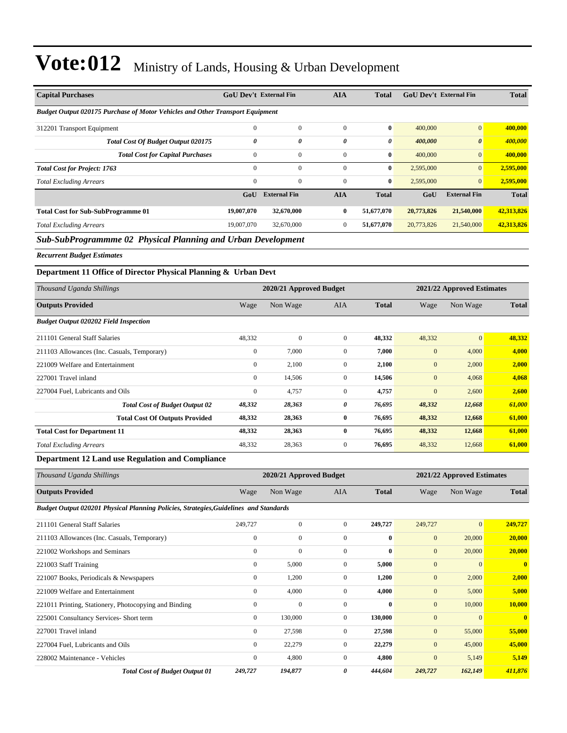| <b>Capital Purchases</b>                                                             | <b>GoU Dev't External Fin</b> |                     | <b>AIA</b>   | <b>Total</b> | <b>GoU Dev't External Fin</b> |                       | <b>Total</b> |
|--------------------------------------------------------------------------------------|-------------------------------|---------------------|--------------|--------------|-------------------------------|-----------------------|--------------|
| <b>Budget Output 020175 Purchase of Motor Vehicles and Other Transport Equipment</b> |                               |                     |              |              |                               |                       |              |
| 312201 Transport Equipment                                                           | $\mathbf{0}$                  | $\mathbf{0}$        | $\Omega$     | $\bf{0}$     | 400,000                       | $\vert 0 \vert$       | 400,000      |
| Total Cost Of Budget Output 020175                                                   | 0                             | 0                   | 0            | 0            | 400,000                       | $\boldsymbol{\theta}$ | 400,000      |
| <b>Total Cost for Capital Purchases</b>                                              | $\mathbf{0}$                  | $\mathbf{0}$        | $\mathbf{0}$ | $\bf{0}$     | 400,000                       | $\overline{0}$        | 400,000      |
| <b>Total Cost for Project: 1763</b>                                                  | $\Omega$                      | $\mathbf{0}$        | $\Omega$     | $\bf{0}$     | 2,595,000                     | $\vert 0 \vert$       | 2,595,000    |
| <b>Total Excluding Arrears</b>                                                       | $\Omega$                      | $\overline{0}$      | $\Omega$     | $\bf{0}$     | 2,595,000                     | $\overline{0}$        | 2,595,000    |
|                                                                                      | GoU                           | <b>External Fin</b> | <b>AIA</b>   | <b>Total</b> | GoU                           | <b>External Fin</b>   | <b>Total</b> |
| <b>Total Cost for Sub-SubProgramme 01</b>                                            | 19,007,070                    | 32,670,000          | $\bf{0}$     | 51,677,070   | 20,773,826                    | 21,540,000            | 42,313,826   |
| <b>Total Excluding Arrears</b>                                                       | 19,007,070                    | 32,670,000          | $\mathbf{0}$ | 51,677,070   | 20,773,826                    | 21,540,000            | 42,313,826   |
| <b>Sub SubProgrammy 0.0 Physical Planning and Urban Development</b>                  |                               |                     |              |              |                               |                       |              |

*Sub-SubProgrammme 02 Physical Planning and Urban Development*

*Recurrent Budget Estimates*

#### **Department 11 Office of Director Physical Planning & Urban Devt**

| Thousand Uganda Shillings                    |                | 2020/21 Approved Budget |                |              |              | 2021/22 Approved Estimates |              |  |  |
|----------------------------------------------|----------------|-------------------------|----------------|--------------|--------------|----------------------------|--------------|--|--|
| <b>Outputs Provided</b>                      | Wage           | Non Wage                | <b>AIA</b>     | <b>Total</b> | Wage         | Non Wage                   | <b>Total</b> |  |  |
| <b>Budget Output 020202 Field Inspection</b> |                |                         |                |              |              |                            |              |  |  |
| 211101 General Staff Salaries                | 48,332         | $\mathbf{0}$            | $\mathbf{0}$   | 48,332       | 48,332       | $\overline{0}$             | 48,332       |  |  |
| 211103 Allowances (Inc. Casuals, Temporary)  | $\mathbf{0}$   | 7,000                   | $\overline{0}$ | 7,000        | $\mathbf{0}$ | 4,000                      | 4,000        |  |  |
| 221009 Welfare and Entertainment             | $\mathbf{0}$   | 2,100                   | $\overline{0}$ | 2,100        | $\mathbf{0}$ | 2,000                      | 2,000        |  |  |
| 227001 Travel inland                         | $\overline{0}$ | 14,506                  | $\overline{0}$ | 14,506       | $\mathbf{0}$ | 4,068                      | 4,068        |  |  |
| 227004 Fuel, Lubricants and Oils             | $\bf{0}$       | 4,757                   | $\mathbf{0}$   | 4,757        | $\mathbf{0}$ | 2,600                      | 2,600        |  |  |
| <b>Total Cost of Budget Output 02</b>        | 48,332         | 28,363                  | 0              | 76,695       | 48,332       | 12,668                     | 61,000       |  |  |
| <b>Total Cost Of Outputs Provided</b>        | 48,332         | 28,363                  | $\bf{0}$       | 76,695       | 48,332       | 12,668                     | 61,000       |  |  |
| <b>Total Cost for Department 11</b>          | 48,332         | 28,363                  | $\bf{0}$       | 76,695       | 48,332       | 12,668                     | 61,000       |  |  |
| <b>Total Excluding Arrears</b>               | 48,332         | 28,363                  | $\overline{0}$ | 76,695       | 48,332       | 12,668                     | 61,000       |  |  |

#### **Department 12 Land use Regulation and Compliance**

| Thousand Uganda Shillings                                                             |                | 2020/21 Approved Budget |              |              |              | 2021/22 Approved Estimates |                         |
|---------------------------------------------------------------------------------------|----------------|-------------------------|--------------|--------------|--------------|----------------------------|-------------------------|
| <b>Outputs Provided</b>                                                               | Wage           | Non Wage                | <b>AIA</b>   | <b>Total</b> | Wage         | Non Wage                   | <b>Total</b>            |
| Budget Output 020201 Physical Planning Policies, Strategies, Guidelines and Standards |                |                         |              |              |              |                            |                         |
| 211101 General Staff Salaries                                                         | 249,727        | $\mathbf{0}$            | $\mathbf{0}$ | 249,727      | 249,727      | $\mathbf{0}$               | 249,727                 |
| 211103 Allowances (Inc. Casuals, Temporary)                                           | $\mathbf{0}$   | $\mathbf{0}$            | $\Omega$     | $\bf{0}$     | $\mathbf{0}$ | 20,000                     | 20,000                  |
| 221002 Workshops and Seminars                                                         | $\mathbf{0}$   | 0                       | $\mathbf{0}$ | $\bf{0}$     | $\mathbf{0}$ | 20,000                     | 20,000                  |
| 221003 Staff Training                                                                 | $\overline{0}$ | 5,000                   | $\mathbf{0}$ | 5,000        | $\mathbf{0}$ | $\Omega$                   | $\overline{\mathbf{0}}$ |
| 221007 Books, Periodicals & Newspapers                                                | $\overline{0}$ | 1,200                   | $\Omega$     | 1,200        | $\mathbf{0}$ | 2,000                      | 2,000                   |
| 221009 Welfare and Entertainment                                                      | $\overline{0}$ | 4,000                   | $\mathbf{0}$ | 4,000        | $\mathbf{0}$ | 5,000                      | 5,000                   |
| 221011 Printing, Stationery, Photocopying and Binding                                 | $\Omega$       | $\mathbf{0}$            | $\Omega$     | $\mathbf{0}$ | $\mathbf{0}$ | 10,000                     | 10,000                  |
| 225001 Consultancy Services- Short term                                               | $\overline{0}$ | 130,000                 | $\mathbf{0}$ | 130,000      | $\mathbf{0}$ | $\mathbf{0}$               | $\overline{\mathbf{0}}$ |
| 227001 Travel inland                                                                  | $\overline{0}$ | 27,598                  | $\mathbf{0}$ | 27,598       | $\mathbf{0}$ | 55,000                     | 55,000                  |
| 227004 Fuel, Lubricants and Oils                                                      | $\overline{0}$ | 22,279                  | $\Omega$     | 22,279       | $\mathbf{0}$ | 45,000                     | 45,000                  |
| 228002 Maintenance - Vehicles                                                         | $\mathbf{0}$   | 4,800                   | $\Omega$     | 4,800        | $\mathbf{0}$ | 5,149                      | 5,149                   |
| <b>Total Cost of Budget Output 01</b>                                                 | 249,727        | 194,877                 | 0            | 444,604      | 249,727      | 162,149                    | 411,876                 |
|                                                                                       |                |                         |              |              |              |                            |                         |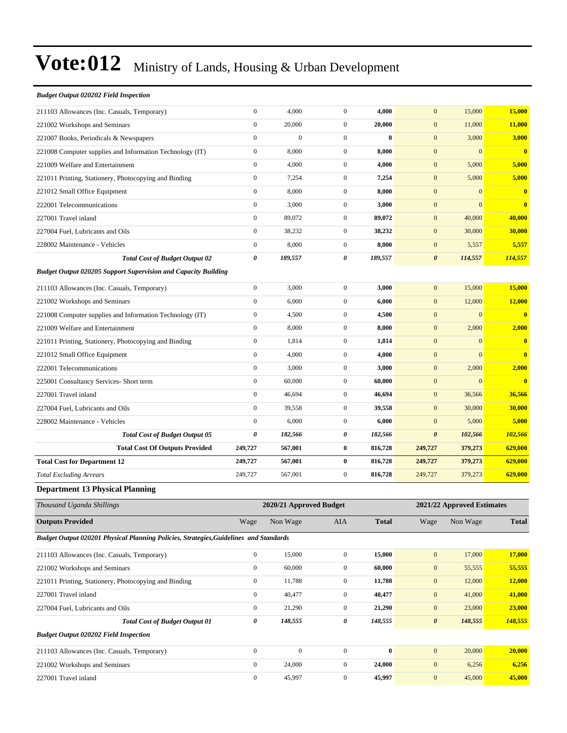| <b>Budget Output 020202 Field Inspection</b>                                          |                  |                         |                  |              |                       |                            |                         |
|---------------------------------------------------------------------------------------|------------------|-------------------------|------------------|--------------|-----------------------|----------------------------|-------------------------|
| 211103 Allowances (Inc. Casuals, Temporary)                                           | $\boldsymbol{0}$ | 4,000                   | $\boldsymbol{0}$ | 4,000        | $\mathbf{0}$          | 15,000                     | 15,000                  |
| 221002 Workshops and Seminars                                                         | $\boldsymbol{0}$ | 20,000                  | $\mathbf{0}$     | 20,000       | $\mathbf{0}$          | 11,000                     | 11,000                  |
| 221007 Books, Periodicals & Newspapers                                                | $\boldsymbol{0}$ | $\boldsymbol{0}$        | $\mathbf{0}$     | $\bf{0}$     | $\mathbf{0}$          | 3,000                      | 3,000                   |
| 221008 Computer supplies and Information Technology (IT)                              | $\boldsymbol{0}$ | 8,000                   | $\boldsymbol{0}$ | 8,000        | $\mathbf{0}$          | $\mathbf{0}$               | $\bf{0}$                |
| 221009 Welfare and Entertainment                                                      | $\boldsymbol{0}$ | 4,000                   | $\boldsymbol{0}$ | 4,000        | $\mathbf{0}$          | 5,000                      | 5,000                   |
| 221011 Printing, Stationery, Photocopying and Binding                                 | $\boldsymbol{0}$ | 7,254                   | $\mathbf{0}$     | 7,254        | $\mathbf{0}$          | 5,000                      | 5,000                   |
| 221012 Small Office Equipment                                                         | $\boldsymbol{0}$ | 8,000                   | $\mathbf{0}$     | 8,000        | $\mathbf{0}$          | $\mathbf{0}$               | $\bf{0}$                |
| 222001 Telecommunications                                                             | $\boldsymbol{0}$ | 3,000                   | $\mathbf{0}$     | 3,000        | $\mathbf{0}$          | $\overline{0}$             | $\bf{0}$                |
| 227001 Travel inland                                                                  | $\boldsymbol{0}$ | 89,072                  | $\boldsymbol{0}$ | 89,072       | $\boldsymbol{0}$      | 40,000                     | 40,000                  |
| 227004 Fuel, Lubricants and Oils                                                      | $\boldsymbol{0}$ | 38,232                  | $\boldsymbol{0}$ | 38,232       | $\boldsymbol{0}$      | 30,000                     | 30,000                  |
| 228002 Maintenance - Vehicles                                                         | $\boldsymbol{0}$ | 8,000                   | $\mathbf{0}$     | 8,000        | $\mathbf{0}$          | 5,557                      | 5,557                   |
| <b>Total Cost of Budget Output 02</b>                                                 | 0                | 189,557                 | 0                | 189,557      | $\boldsymbol{\theta}$ | 114,557                    | 114,557                 |
| <b>Budget Output 020205 Support Supervision and Capacity Building</b>                 |                  |                         |                  |              |                       |                            |                         |
| 211103 Allowances (Inc. Casuals, Temporary)                                           | $\boldsymbol{0}$ | 3,000                   | $\boldsymbol{0}$ | 3,000        | $\boldsymbol{0}$      | 15,000                     | 15,000                  |
| 221002 Workshops and Seminars                                                         | $\boldsymbol{0}$ | 6,000                   | $\boldsymbol{0}$ | 6,000        | $\boldsymbol{0}$      | 12,000                     | 12,000                  |
| 221008 Computer supplies and Information Technology (IT)                              | $\boldsymbol{0}$ | 4,500                   | $\boldsymbol{0}$ | 4,500        | $\boldsymbol{0}$      | $\boldsymbol{0}$           | $\mathbf{0}$            |
| 221009 Welfare and Entertainment                                                      | $\boldsymbol{0}$ | 8,000                   | $\mathbf{0}$     | 8,000        | $\boldsymbol{0}$      | 2,000                      | 2,000                   |
| 221011 Printing, Stationery, Photocopying and Binding                                 | $\boldsymbol{0}$ | 1,814                   | $\mathbf{0}$     | 1,814        | $\boldsymbol{0}$      | $\boldsymbol{0}$           | $\bf{0}$                |
| 221012 Small Office Equipment                                                         | $\boldsymbol{0}$ | 4,000                   | $\mathbf{0}$     | 4,000        | $\boldsymbol{0}$      | $\overline{0}$             | $\overline{\mathbf{0}}$ |
| 222001 Telecommunications                                                             | $\boldsymbol{0}$ | 3,000                   | $\boldsymbol{0}$ | 3,000        | $\boldsymbol{0}$      | 2,000                      | 2,000                   |
| 225001 Consultancy Services- Short term                                               | $\boldsymbol{0}$ | 60,000                  | $\boldsymbol{0}$ | 60,000       | $\boldsymbol{0}$      | $\boldsymbol{0}$           | $\bf{0}$                |
| 227001 Travel inland                                                                  | $\boldsymbol{0}$ | 46,694                  | $\mathbf{0}$     | 46,694       | $\boldsymbol{0}$      | 36,566                     | 36,566                  |
| 227004 Fuel, Lubricants and Oils                                                      | $\boldsymbol{0}$ | 39,558                  | $\mathbf{0}$     | 39,558       | $\boldsymbol{0}$      | 30,000                     | 30,000                  |
| 228002 Maintenance - Vehicles                                                         | $\boldsymbol{0}$ | 6,000                   | $\mathbf{0}$     | 6,000        | $\boldsymbol{0}$      | 5,000                      | 5,000                   |
| <b>Total Cost of Budget Output 05</b>                                                 | 0                | 182,566                 | 0                | 182,566      | $\boldsymbol{\theta}$ | 102,566                    | 102,566                 |
| <b>Total Cost Of Outputs Provided</b>                                                 | 249,727          | 567,001                 | $\bf{0}$         | 816,728      | 249,727               | 379,273                    | 629,000                 |
| <b>Total Cost for Department 12</b>                                                   | 249,727          | 567,001                 | $\bf{0}$         | 816,728      | 249,727               | 379,273                    | 629,000                 |
| <b>Total Excluding Arrears</b>                                                        | 249,727          | 567,001                 | $\mathbf{0}$     | 816,728      | 249,727               | 379,273                    | 629,000                 |
| <b>Department 13 Physical Planning</b>                                                |                  |                         |                  |              |                       |                            |                         |
| Thousand Uganda Shillings                                                             |                  | 2020/21 Approved Budget |                  |              |                       | 2021/22 Approved Estimates |                         |
| <b>Outputs Provided</b>                                                               | Wage             | Non Wage                | AIA              | <b>Total</b> | Wage                  | Non Wage                   | <b>Total</b>            |
| Budget Output 020201 Physical Planning Policies, Strategies, Guidelines and Standards |                  |                         |                  |              |                       |                            |                         |
| 211103 Allowances (Inc. Casuals, Temporary)                                           | $\boldsymbol{0}$ | 15,000                  | $\mathbf{0}$     | 15,000       | $\boldsymbol{0}$      | 17,000                     | 17,000                  |
| 221002 Workshops and Seminars                                                         | $\boldsymbol{0}$ | 60,000                  | $\boldsymbol{0}$ | 60,000       | $\boldsymbol{0}$      | 55,555                     | 55,555                  |
| 221011 Printing, Stationery, Photocopying and Binding                                 | $\boldsymbol{0}$ | 11,788                  | $\boldsymbol{0}$ | 11,788       | $\boldsymbol{0}$      | 12,000                     | 12,000                  |
| 227001 Travel inland                                                                  | $\boldsymbol{0}$ | 40,477                  | $\boldsymbol{0}$ | 40,477       | $\boldsymbol{0}$      | 41,000                     | 41,000                  |

227004 Fuel, Lubricants and Oils 0 21,290 0 **21,290** 0 23,000 **23,000**

211103 Allowances (Inc. Casuals, Temporary) 0 0 0 **0** 0 20,000 **20,000** 221002 Workshops and Seminars 0 24,000 0 **24,000** 0 6,256 **6,256** 227001 Travel inland 0 45,997 0 **45,997** 0 45,000 **45,000**

*Budget Output 020202 Field Inspection*

*Total Cost of Budget Output 01 0 148,555 0 148,555 0 148,555 148,555*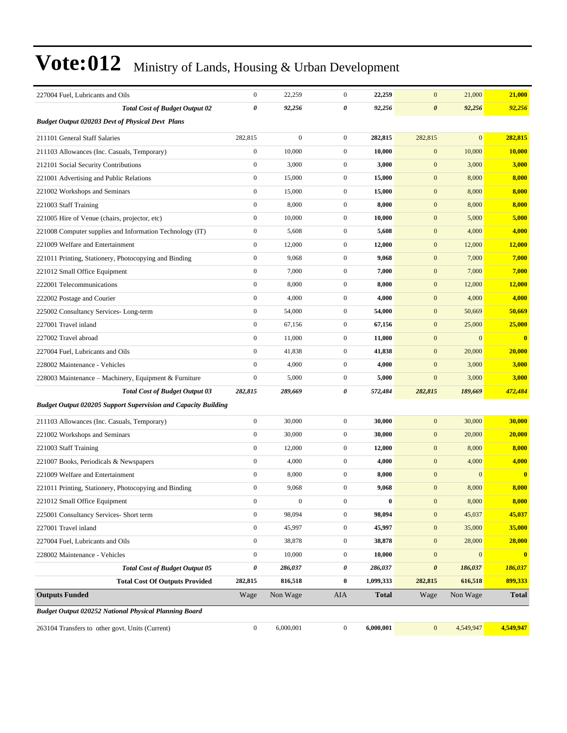| 227004 Fuel, Lubricants and Oils                                      | $\boldsymbol{0}$ | 22,259           | $\boldsymbol{0}$ | 22,259       | $\mathbf{0}$          | 21,000         | 21,000        |
|-----------------------------------------------------------------------|------------------|------------------|------------------|--------------|-----------------------|----------------|---------------|
| <b>Total Cost of Budget Output 02</b>                                 | 0                | 92,256           | 0                | 92,256       | $\boldsymbol{\theta}$ | 92,256         | 92,256        |
| <b>Budget Output 020203 Devt of Physical Devt Plans</b>               |                  |                  |                  |              |                       |                |               |
| 211101 General Staff Salaries                                         | 282,815          | $\mathbf{0}$     | $\mathbf{0}$     | 282,815      | 282,815               | $\overline{0}$ | 282,815       |
| 211103 Allowances (Inc. Casuals, Temporary)                           | $\boldsymbol{0}$ | 10,000           | $\mathbf{0}$     | 10,000       | $\boldsymbol{0}$      | 10,000         | 10,000        |
| 212101 Social Security Contributions                                  | $\boldsymbol{0}$ | 3,000            | $\mathbf{0}$     | 3,000        | $\boldsymbol{0}$      | 3,000          | 3,000         |
| 221001 Advertising and Public Relations                               | $\boldsymbol{0}$ | 15,000           | $\mathbf{0}$     | 15,000       | $\boldsymbol{0}$      | 8,000          | 8,000         |
| 221002 Workshops and Seminars                                         | $\boldsymbol{0}$ | 15,000           | $\mathbf{0}$     | 15,000       | $\boldsymbol{0}$      | 8,000          | 8,000         |
| 221003 Staff Training                                                 | $\boldsymbol{0}$ | 8,000            | $\mathbf{0}$     | 8,000        | $\boldsymbol{0}$      | 8,000          | 8,000         |
| 221005 Hire of Venue (chairs, projector, etc)                         | $\boldsymbol{0}$ | 10,000           | $\mathbf{0}$     | 10,000       | $\boldsymbol{0}$      | 5,000          | 5,000         |
| 221008 Computer supplies and Information Technology (IT)              | $\boldsymbol{0}$ | 5,608            | $\mathbf{0}$     | 5,608        | $\boldsymbol{0}$      | 4,000          | 4,000         |
| 221009 Welfare and Entertainment                                      | $\boldsymbol{0}$ | 12,000           | $\mathbf{0}$     | 12,000       | $\boldsymbol{0}$      | 12,000         | 12,000        |
| 221011 Printing, Stationery, Photocopying and Binding                 | $\boldsymbol{0}$ | 9,068            | $\mathbf{0}$     | 9,068        | $\boldsymbol{0}$      | 7,000          | 7,000         |
| 221012 Small Office Equipment                                         | $\boldsymbol{0}$ | 7,000            | $\mathbf{0}$     | 7,000        | $\mathbf{0}$          | 7,000          | 7,000         |
| 222001 Telecommunications                                             | $\boldsymbol{0}$ | 8,000            | $\mathbf{0}$     | 8,000        | $\boldsymbol{0}$      | 12,000         | <b>12,000</b> |
| 222002 Postage and Courier                                            | $\boldsymbol{0}$ | 4,000            | $\mathbf{0}$     | 4,000        | $\boldsymbol{0}$      | 4,000          | 4,000         |
| 225002 Consultancy Services-Long-term                                 | $\boldsymbol{0}$ | 54,000           | $\mathbf{0}$     | 54,000       | $\boldsymbol{0}$      | 50,669         | 50,669        |
| 227001 Travel inland                                                  | $\boldsymbol{0}$ | 67,156           | $\mathbf{0}$     | 67,156       | $\boldsymbol{0}$      | 25,000         | 25,000        |
| 227002 Travel abroad                                                  | $\boldsymbol{0}$ | 11,000           | $\mathbf{0}$     | 11,000       | $\mathbf{0}$          | $\overline{0}$ | $\bf{0}$      |
| 227004 Fuel, Lubricants and Oils                                      | $\boldsymbol{0}$ | 41,838           | $\mathbf{0}$     | 41,838       | $\boldsymbol{0}$      | 20,000         | 20,000        |
| 228002 Maintenance - Vehicles                                         | $\boldsymbol{0}$ | 4,000            | $\mathbf{0}$     | 4,000        | $\boldsymbol{0}$      | 3,000          | 3,000         |
| 228003 Maintenance - Machinery, Equipment & Furniture                 | $\boldsymbol{0}$ | 5,000            | $\mathbf{0}$     | 5,000        | $\mathbf{0}$          | 3,000          | 3,000         |
| <b>Total Cost of Budget Output 03</b>                                 | 282,815          | 289,669          | 0                | 572,484      | 282,815               | 189,669        | 472,484       |
| <b>Budget Output 020205 Support Supervision and Capacity Building</b> |                  |                  |                  |              |                       |                |               |
| 211103 Allowances (Inc. Casuals, Temporary)                           | $\boldsymbol{0}$ | 30,000           | $\mathbf{0}$     | 30,000       | $\boldsymbol{0}$      | 30,000         | 30,000        |
| 221002 Workshops and Seminars                                         | $\boldsymbol{0}$ | 30,000           | $\mathbf{0}$     | 30,000       | $\boldsymbol{0}$      | 20,000         | 20,000        |
| 221003 Staff Training                                                 | $\boldsymbol{0}$ | 12,000           | $\mathbf{0}$     | 12,000       | $\mathbf{0}$          | 8,000          | 8,000         |
| 221007 Books, Periodicals & Newspapers                                | $\boldsymbol{0}$ | 4,000            | $\mathbf{0}$     | 4,000        | $\mathbf{0}$          | 4,000          | 4,000         |
| 221009 Welfare and Entertainment                                      | $\boldsymbol{0}$ | 8,000            | $\mathbf{0}$     | 8,000        | $\boldsymbol{0}$      | $\overline{0}$ | $\bf{0}$      |
| 221011 Printing, Stationery, Photocopying and Binding                 | $\boldsymbol{0}$ | 9,068            | $\mathbf{0}$     | 9,068        | $\mathbf{0}$          | 8,000          | 8,000         |
| 221012 Small Office Equipment                                         | $\mathbf{0}$     | $\boldsymbol{0}$ | $\boldsymbol{0}$ | $\bf{0}$     | $\mathbf{0}$          | 8,000          | 8,000         |
| 225001 Consultancy Services- Short term                               | $\boldsymbol{0}$ | 98,094           | $\mathbf{0}$     | 98,094       | $\boldsymbol{0}$      | 45,037         | 45,037        |
| 227001 Travel inland                                                  | $\boldsymbol{0}$ | 45,997           | $\boldsymbol{0}$ | 45,997       | $\boldsymbol{0}$      | 35,000         | 35,000        |
| 227004 Fuel, Lubricants and Oils                                      | $\boldsymbol{0}$ | 38,878           | $\boldsymbol{0}$ | 38,878       | $\boldsymbol{0}$      | 28,000         | 28,000        |
| 228002 Maintenance - Vehicles                                         | $\boldsymbol{0}$ | 10,000           | $\boldsymbol{0}$ | 10,000       | $\mathbf{0}$          | $\overline{0}$ | $\bf{0}$      |
| <b>Total Cost of Budget Output 05</b>                                 | 0                | 286,037          | $\pmb{\theta}$   | 286,037      | $\pmb{\theta}$        | 186,037        | 186,037       |
| <b>Total Cost Of Outputs Provided</b>                                 | 282,815          | 816,518          | $\bf{0}$         | 1,099,333    | 282,815               | 616,518        | 899,333       |
| <b>Outputs Funded</b>                                                 | Wage             | Non Wage         | AIA              | <b>Total</b> | Wage                  | Non Wage       | <b>Total</b>  |
| Budget Output 020252 National Physical Planning Board                 |                  |                  |                  |              |                       |                |               |
| 263104 Transfers to other govt. Units (Current)                       | $\boldsymbol{0}$ | 6,000,001        | $\boldsymbol{0}$ | 6,000,001    | $\mathbf 0$           | 4,549,947      | 4,549,947     |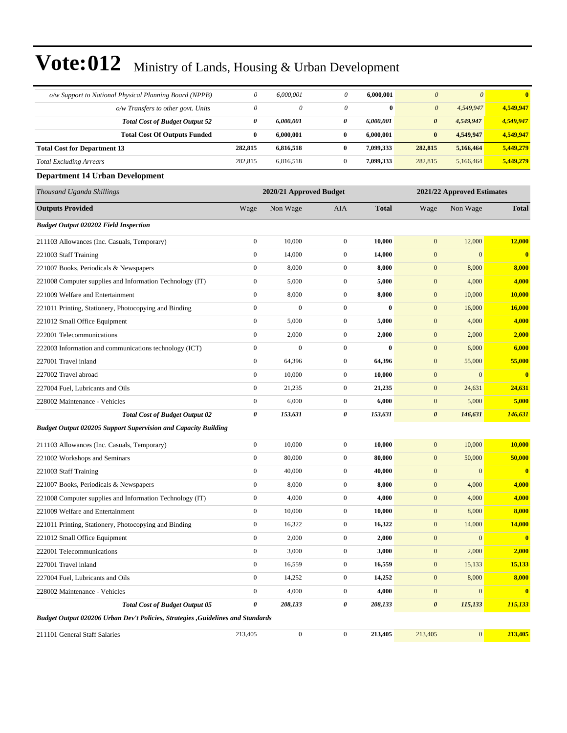| o/w Support to National Physical Planning Board (NPPB)                           | $\theta$                  | 6,000,001               | $\theta$                  | 6,000,001    | $\boldsymbol{\theta}$ | $\boldsymbol{\theta}$      | $\overline{\mathbf{0}}$ |
|----------------------------------------------------------------------------------|---------------------------|-------------------------|---------------------------|--------------|-----------------------|----------------------------|-------------------------|
| o/w Transfers to other govt. Units                                               | $\boldsymbol{\mathit{0}}$ | $\theta$                | $\boldsymbol{\mathit{0}}$ | $\bf{0}$     | $\boldsymbol{\theta}$ | 4,549,947                  | 4,549,947               |
| <b>Total Cost of Budget Output 52</b>                                            | 0                         | 6,000,001               | 0                         | 6,000,001    | $\boldsymbol{\theta}$ | 4,549,947                  | 4,549,947               |
| <b>Total Cost Of Outputs Funded</b>                                              | 0                         | 6,000,001               | $\bf{0}$                  | 6,000,001    | $\pmb{0}$             | 4,549,947                  | 4,549,947               |
| <b>Total Cost for Department 13</b>                                              | 282,815                   | 6,816,518               | $\bf{0}$                  | 7,099,333    | 282,815               | 5,166,464                  | 5,449,279               |
| <b>Total Excluding Arrears</b>                                                   | 282,815                   | 6,816,518               | $\boldsymbol{0}$          | 7,099,333    | 282,815               | 5,166,464                  | 5,449,279               |
| <b>Department 14 Urban Development</b>                                           |                           |                         |                           |              |                       |                            |                         |
| Thousand Uganda Shillings                                                        |                           | 2020/21 Approved Budget |                           |              |                       | 2021/22 Approved Estimates |                         |
| <b>Outputs Provided</b>                                                          | Wage                      | Non Wage                | AIA                       | <b>Total</b> | Wage                  | Non Wage                   | <b>Total</b>            |
| <b>Budget Output 020202 Field Inspection</b>                                     |                           |                         |                           |              |                       |                            |                         |
| 211103 Allowances (Inc. Casuals, Temporary)                                      | $\boldsymbol{0}$          | 10,000                  | $\boldsymbol{0}$          | 10,000       | $\mathbf{0}$          | 12,000                     | 12,000                  |
| 221003 Staff Training                                                            | $\boldsymbol{0}$          | 14,000                  | $\boldsymbol{0}$          | 14,000       | $\mathbf{0}$          | $\boldsymbol{0}$           | $\bf{0}$                |
| 221007 Books, Periodicals & Newspapers                                           | $\boldsymbol{0}$          | 8,000                   | $\mathbf{0}$              | 8,000        | $\boldsymbol{0}$      | 8,000                      | 8,000                   |
| 221008 Computer supplies and Information Technology (IT)                         | $\boldsymbol{0}$          | 5,000                   | $\boldsymbol{0}$          | 5,000        | $\boldsymbol{0}$      | 4,000                      | 4,000                   |
| 221009 Welfare and Entertainment                                                 | $\boldsymbol{0}$          | 8,000                   | $\boldsymbol{0}$          | 8,000        | $\mathbf{0}$          | 10,000                     | 10,000                  |
| 221011 Printing, Stationery, Photocopying and Binding                            | $\boldsymbol{0}$          | $\mathbf{0}$            | $\boldsymbol{0}$          | $\bf{0}$     | $\mathbf{0}$          | 16,000                     | 16,000                  |
| 221012 Small Office Equipment                                                    | $\boldsymbol{0}$          | 5,000                   | $\boldsymbol{0}$          | 5,000        | $\mathbf{0}$          | 4,000                      | 4,000                   |
| 222001 Telecommunications                                                        | $\boldsymbol{0}$          | 2,000                   | $\mathbf{0}$              | 2,000        | $\boldsymbol{0}$      | 2,000                      | 2,000                   |
| 222003 Information and communications technology (ICT)                           | $\boldsymbol{0}$          | $\mathbf{0}$            | $\boldsymbol{0}$          | $\bf{0}$     | $\boldsymbol{0}$      | 6,000                      | 6,000                   |
| 227001 Travel inland                                                             | $\boldsymbol{0}$          | 64,396                  | $\boldsymbol{0}$          | 64,396       | $\mathbf{0}$          | 55,000                     | 55,000                  |
| 227002 Travel abroad                                                             | $\boldsymbol{0}$          | 10,000                  | $\boldsymbol{0}$          | 10,000       | $\boldsymbol{0}$      | $\overline{0}$             | $\overline{\mathbf{0}}$ |
| 227004 Fuel, Lubricants and Oils                                                 | $\boldsymbol{0}$          | 21,235                  | $\boldsymbol{0}$          | 21,235       | $\mathbf{0}$          | 24,631                     | 24,631                  |
| 228002 Maintenance - Vehicles                                                    | $\boldsymbol{0}$          | 6,000                   | $\mathbf{0}$              | 6,000        | $\boldsymbol{0}$      | 5,000                      | 5,000                   |
| <b>Total Cost of Budget Output 02</b>                                            | 0                         | 153,631                 | $\pmb{\theta}$            | 153,631      | $\boldsymbol{\theta}$ | 146,631                    | 146,631                 |
| <b>Budget Output 020205 Support Supervision and Capacity Building</b>            |                           |                         |                           |              |                       |                            |                         |
| 211103 Allowances (Inc. Casuals, Temporary)                                      | $\boldsymbol{0}$          | 10,000                  | $\boldsymbol{0}$          | 10,000       | $\mathbf{0}$          | 10,000                     | 10,000                  |
| 221002 Workshops and Seminars                                                    | $\boldsymbol{0}$          | 80,000                  | $\boldsymbol{0}$          | 80,000       | $\boldsymbol{0}$      | 50,000                     | 50,000                  |
| 221003 Staff Training                                                            | $\boldsymbol{0}$          | 40,000                  | $\boldsymbol{0}$          | 40,000       | $\mathbf{0}$          | $\mathbf{0}$               | $\bf{0}$                |
| 221007 Books, Periodicals & Newspapers                                           | $\boldsymbol{0}$          | 8,000                   | $\boldsymbol{0}$          | 8,000        | $\mathbf{0}$          | 4,000                      | 4,000                   |
| 221008 Computer supplies and Information Technology (IT)                         | $\mathbf{0}$              | 4,000                   | $\boldsymbol{0}$          | 4,000        | $\mathbf{0}$          | 4,000                      | 4,000                   |
| 221009 Welfare and Entertainment                                                 | $\boldsymbol{0}$          | 10,000                  | $\boldsymbol{0}$          | 10,000       | $\boldsymbol{0}$      | 8,000                      | 8,000                   |
| 221011 Printing, Stationery, Photocopying and Binding                            | $\boldsymbol{0}$          | 16,322                  | $\boldsymbol{0}$          | 16,322       | $\boldsymbol{0}$      | 14,000                     | 14,000                  |
| 221012 Small Office Equipment                                                    | $\boldsymbol{0}$          | 2,000                   | $\boldsymbol{0}$          | 2,000        | $\boldsymbol{0}$      | 0                          | $\mathbf{0}$            |
| 222001 Telecommunications                                                        | $\boldsymbol{0}$          | 3,000                   | $\boldsymbol{0}$          | 3,000        | $\boldsymbol{0}$      | 2,000                      | 2,000                   |
| 227001 Travel inland                                                             | $\boldsymbol{0}$          | 16,559                  | $\boldsymbol{0}$          | 16,559       | $\boldsymbol{0}$      | 15,133                     | 15,133                  |
| 227004 Fuel, Lubricants and Oils                                                 | $\boldsymbol{0}$          | 14,252                  | $\boldsymbol{0}$          | 14,252       | $\boldsymbol{0}$      | 8,000                      | 8,000                   |
| 228002 Maintenance - Vehicles                                                    | $\boldsymbol{0}$          | 4,000                   | $\boldsymbol{0}$          | 4,000        | $\boldsymbol{0}$      | $\boldsymbol{0}$           | $\mathbf{0}$            |
| <b>Total Cost of Budget Output 05</b>                                            | 0                         | 208,133                 | 0                         | 208,133      | $\boldsymbol{\theta}$ | 115,133                    | 115,133                 |
| Budget Output 020206 Urban Dev't Policies, Strategies , Guidelines and Standards |                           |                         |                           |              |                       |                            |                         |
| 211101 General Staff Salaries                                                    | 213,405                   | $\boldsymbol{0}$        | $\boldsymbol{0}$          | 213,405      | 213,405               | 0                          | 213,405                 |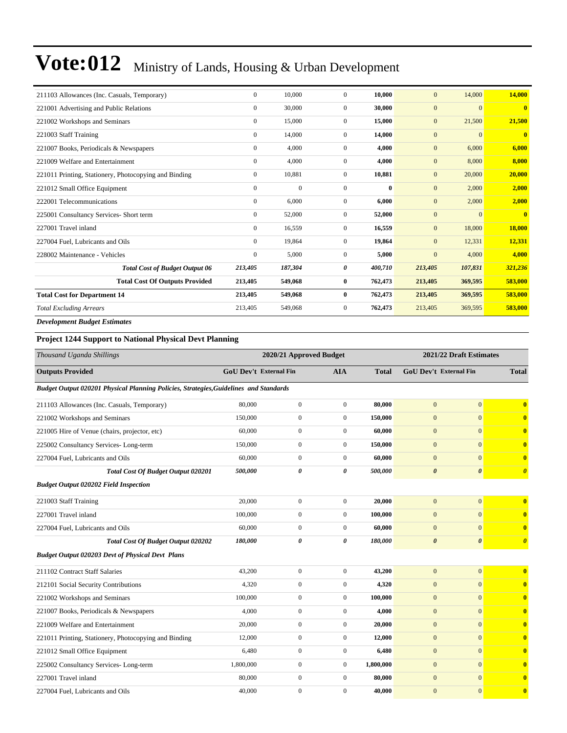| 211103 Allowances (Inc. Casuals, Temporary)           | $\Omega$       | 10.000       | $\Omega$       | 10,000   | $\mathbf{0}$ | 14,000         | 14,000                  |
|-------------------------------------------------------|----------------|--------------|----------------|----------|--------------|----------------|-------------------------|
| 221001 Advertising and Public Relations               | $\overline{0}$ | 30,000       | $\overline{0}$ | 30,000   | $\mathbf{0}$ | $\overline{0}$ | $\overline{\mathbf{0}}$ |
|                                                       |                |              |                |          |              |                |                         |
| 221002 Workshops and Seminars                         | $\overline{0}$ | 15,000       | $\overline{0}$ | 15,000   | $\mathbf{0}$ | 21,500         | 21,500                  |
| 221003 Staff Training                                 | $\overline{0}$ | 14,000       | $\overline{0}$ | 14,000   | $\mathbf{0}$ | $\overline{0}$ | $\overline{\mathbf{0}}$ |
| 221007 Books, Periodicals & Newspapers                | $\overline{0}$ | 4,000        | $\overline{0}$ | 4,000    | $\mathbf{0}$ | 6,000          | 6,000                   |
| 221009 Welfare and Entertainment                      | $\mathbf{0}$   | 4,000        | $\overline{0}$ | 4,000    | $\mathbf{0}$ | 8,000          | 8,000                   |
| 221011 Printing, Stationery, Photocopying and Binding | $\mathbf{0}$   | 10,881       | $\overline{0}$ | 10,881   | $\mathbf{0}$ | 20,000         | 20,000                  |
| 221012 Small Office Equipment                         | $\mathbf{0}$   | $\mathbf{0}$ | $\overline{0}$ | $\bf{0}$ | $\mathbf{0}$ | 2,000          | 2,000                   |
| 222001 Telecommunications                             | $\overline{0}$ | 6,000        | $\overline{0}$ | 6,000    | $\mathbf{0}$ | 2,000          | 2,000                   |
| 225001 Consultancy Services- Short term               | $\overline{0}$ | 52,000       | $\overline{0}$ | 52,000   | $\mathbf{0}$ | $\overline{0}$ | $\overline{0}$          |
| 227001 Travel inland                                  | $\overline{0}$ | 16,559       | 0              | 16,559   | $\mathbf{0}$ | 18,000         | 18,000                  |
| 227004 Fuel, Lubricants and Oils                      | $\overline{0}$ | 19,864       | $\overline{0}$ | 19,864   | $\mathbf{0}$ | 12,331         | 12,331                  |
| 228002 Maintenance - Vehicles                         | $\mathbf{0}$   | 5,000        | $\overline{0}$ | 5,000    | $\mathbf{0}$ | 4,000          | 4,000                   |
| <b>Total Cost of Budget Output 06</b>                 | 213,405        | 187,304      | 0              | 400,710  | 213,405      | 107,831        | 321,236                 |
| <b>Total Cost Of Outputs Provided</b>                 | 213,405        | 549,068      | $\bf{0}$       | 762,473  | 213,405      | 369,595        | 583,000                 |
| <b>Total Cost for Department 14</b>                   | 213,405        | 549,068      | $\bf{0}$       | 762,473  | 213,405      | 369,595        | 583,000                 |
| <b>Total Excluding Arrears</b>                        | 213,405        | 549,068      | 0              | 762,473  | 213,405      | 369,595        | 583,000                 |
| <b>Development Budget Estimates</b>                   |                |              |                |          |              |                |                         |

#### **Project 1244 Support to National Physical Devt Planning**

| Thousand Uganda Shillings                                                             |                               | 2020/21 Approved Budget |                |              |                       | 2021/22 Draft Estimates       |                         |
|---------------------------------------------------------------------------------------|-------------------------------|-------------------------|----------------|--------------|-----------------------|-------------------------------|-------------------------|
| <b>Outputs Provided</b>                                                               | <b>GoU Dev't External Fin</b> |                         | <b>AIA</b>     | <b>Total</b> |                       | <b>GoU Dev't External Fin</b> | <b>Total</b>            |
| Budget Output 020201 Physical Planning Policies, Strategies, Guidelines and Standards |                               |                         |                |              |                       |                               |                         |
| 211103 Allowances (Inc. Casuals, Temporary)                                           | 80,000                        | $\boldsymbol{0}$        | $\overline{0}$ | 80,000       | $\mathbf{0}$          | $\overline{0}$                | $\overline{\mathbf{0}}$ |
| 221002 Workshops and Seminars                                                         | 150,000                       | $\boldsymbol{0}$        | $\mathbf{0}$   | 150,000      | $\mathbf{0}$          | $\overline{0}$                | $\mathbf{0}$            |
| 221005 Hire of Venue (chairs, projector, etc)                                         | 60,000                        | $\boldsymbol{0}$        | $\overline{0}$ | 60,000       | $\mathbf{0}$          | $\mathbf{0}$                  | $\bf{0}$                |
| 225002 Consultancy Services-Long-term                                                 | 150,000                       | $\boldsymbol{0}$        | $\overline{0}$ | 150,000      | $\mathbf{0}$          | $\theta$                      | $\mathbf{0}$            |
| 227004 Fuel, Lubricants and Oils                                                      | 60,000                        | $\mathbf{0}$            | $\theta$       | 60.000       | $\mathbf{0}$          | $\theta$                      | $\bf{0}$                |
| <b>Total Cost Of Budget Output 020201</b>                                             | 500,000                       | $\boldsymbol{\theta}$   | 0              | 500,000      | $\boldsymbol{\theta}$ | $\boldsymbol{\theta}$         | $\boldsymbol{\theta}$   |
| <b>Budget Output 020202 Field Inspection</b>                                          |                               |                         |                |              |                       |                               |                         |
| 221003 Staff Training                                                                 | 20,000                        | $\boldsymbol{0}$        | $\overline{0}$ | 20,000       | $\overline{0}$        | $\mathbf{0}$                  | $\overline{\mathbf{0}}$ |
| 227001 Travel inland                                                                  | 100,000                       | $\mathbf{0}$            | $\overline{0}$ | 100.000      | $\mathbf{0}$          | $\overline{0}$                | $\bf{0}$                |
| 227004 Fuel, Lubricants and Oils                                                      | 60,000                        | $\boldsymbol{0}$        | $\overline{0}$ | 60,000       | $\mathbf{0}$          | $\overline{0}$                | $\bf{0}$                |
| <b>Total Cost Of Budget Output 020202</b>                                             | 180,000                       | $\pmb{\theta}$          | 0              | 180,000      | $\boldsymbol{\theta}$ | $\boldsymbol{\theta}$         | $\boldsymbol{\theta}$   |
| <b>Budget Output 020203 Devt of Physical Devt Plans</b>                               |                               |                         |                |              |                       |                               |                         |
| 211102 Contract Staff Salaries                                                        | 43,200                        | $\boldsymbol{0}$        | $\overline{0}$ | 43,200       | $\mathbf{0}$          | $\mathbf{0}$                  | $\overline{\mathbf{0}}$ |
| 212101 Social Security Contributions                                                  | 4,320                         | $\boldsymbol{0}$        | $\mathbf{0}$   | 4,320        | $\mathbf{0}$          | $\overline{0}$                | $\overline{\mathbf{0}}$ |
| 221002 Workshops and Seminars                                                         | 100,000                       | $\boldsymbol{0}$        | $\overline{0}$ | 100,000      | $\mathbf{0}$          | $\overline{0}$                | $\bf{0}$                |
| 221007 Books, Periodicals & Newspapers                                                | 4,000                         | $\boldsymbol{0}$        | $\mathbf{0}$   | 4,000        | $\mathbf{0}$          | $\overline{0}$                | $\overline{\mathbf{0}}$ |
| 221009 Welfare and Entertainment                                                      | 20,000                        | $\boldsymbol{0}$        | $\overline{0}$ | 20,000       | $\mathbf{0}$          | $\overline{0}$                | $\overline{\mathbf{0}}$ |
| 221011 Printing, Stationery, Photocopying and Binding                                 | 12,000                        | $\boldsymbol{0}$        | $\overline{0}$ | 12,000       | $\mathbf{0}$          | $\overline{0}$                | $\bf{0}$                |
| 221012 Small Office Equipment                                                         | 6,480                         | $\boldsymbol{0}$        | $\overline{0}$ | 6,480        | $\mathbf{0}$          | $\Omega$                      | $\bf{0}$                |
| 225002 Consultancy Services-Long-term                                                 | 1,800,000                     | $\boldsymbol{0}$        | $\overline{0}$ | 1,800,000    | $\mathbf{0}$          | $\theta$                      | $\overline{\mathbf{0}}$ |
| 227001 Travel inland                                                                  | 80,000                        | $\boldsymbol{0}$        | $\mathbf{0}$   | 80,000       | $\mathbf{0}$          | $\Omega$                      | $\bf{0}$                |
| 227004 Fuel, Lubricants and Oils                                                      | 40,000                        | $\boldsymbol{0}$        | $\overline{0}$ | 40,000       | $\overline{0}$        | $\overline{0}$                | $\overline{\mathbf{0}}$ |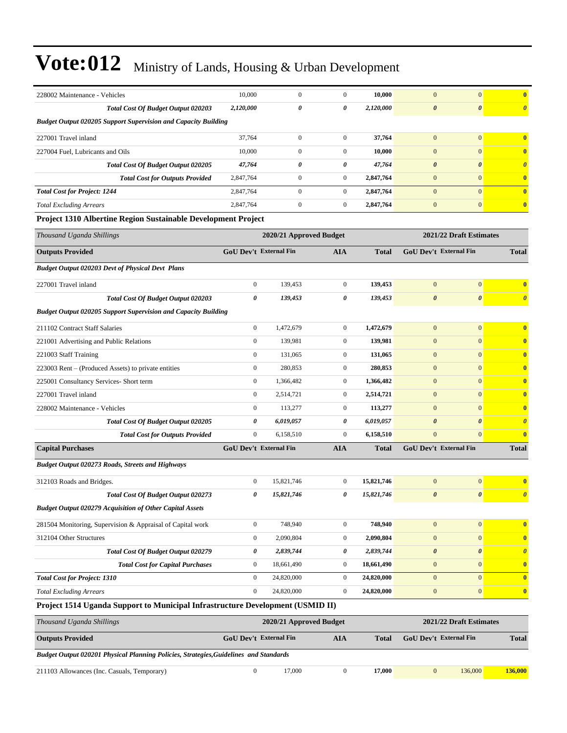| 228002 Maintenance - Vehicles                                         | 10,000       | $\mathbf{0}$                  | 0              | 10,000       | $\overline{0}$                | $\overline{0}$          | 0                     |
|-----------------------------------------------------------------------|--------------|-------------------------------|----------------|--------------|-------------------------------|-------------------------|-----------------------|
| <b>Total Cost Of Budget Output 020203</b>                             | 2,120,000    | 0                             | 0              | 2,120,000    | $\boldsymbol{\theta}$         | $\boldsymbol{\theta}$   | $\boldsymbol{\theta}$ |
| <b>Budget Output 020205 Support Supervision and Capacity Building</b> |              |                               |                |              |                               |                         |                       |
| 227001 Travel inland                                                  | 37,764       | $\overline{0}$                | $\Omega$       | 37,764       | $\mathbf{0}$                  | $\Omega$                | $\mathbf{0}$          |
| 227004 Fuel, Lubricants and Oils                                      | 10,000       | $\mathbf{0}$                  | $\overline{0}$ | 10,000       | $\mathbf{0}$                  | $\mathbf{0}$            | $\mathbf{0}$          |
| <b>Total Cost Of Budget Output 020205</b>                             | 47,764       | 0                             | 0              | 47,764       | $\boldsymbol{\theta}$         | $\boldsymbol{\theta}$   | $\theta$              |
| <b>Total Cost for Outputs Provided</b>                                | 2,847,764    | $\overline{0}$                | $\overline{0}$ | 2,847,764    | $\mathbf{0}$                  | $\Omega$                | $\mathbf{0}$          |
| <b>Total Cost for Project: 1244</b>                                   | 2,847,764    | $\overline{0}$                | $\overline{0}$ | 2,847,764    | $\mathbf{0}$                  | $\mathbf{0}$            | $\mathbf{0}$          |
| <b>Total Excluding Arrears</b>                                        | 2,847,764    | $\mathbf{0}$                  | $\overline{0}$ | 2,847,764    | $\overline{0}$                | $\mathbf{0}$            | $\mathbf{0}$          |
| <b>Project 1310 Albertine Region Sustainable Development Project</b>  |              |                               |                |              |                               |                         |                       |
| Thousand Uganda Shillings                                             |              | 2020/21 Approved Budget       |                |              |                               | 2021/22 Draft Estimates |                       |
| <b>Outputs Provided</b>                                               |              | <b>GoU Dev't External Fin</b> | <b>AIA</b>     | <b>Total</b> | <b>GoU Dev't External Fin</b> |                         | <b>Total</b>          |
| <b>Budget Output 020203 Devt of Physical Devt Plans</b>               |              |                               |                |              |                               |                         |                       |
| 227001 Travel inland                                                  | $\mathbf{0}$ | 139,453                       | $\overline{0}$ | 139,453      | $\mathbf{0}$                  | $\mathbf{0}$            | $\mathbf{0}$          |

| <b>Capital Purchases</b>                                              | <b>GoU Dev't External Fin</b> |           | <b>AIA</b>     | <b>Total</b> | <b>GoU Dev't External Fin</b> |                       | Total |
|-----------------------------------------------------------------------|-------------------------------|-----------|----------------|--------------|-------------------------------|-----------------------|-------|
| <b>Total Cost for Outputs Provided</b>                                | $\mathbf{0}$                  | 6,158,510 | $\mathbf{0}$   | 6,158,510    | $\overline{0}$                | $\mathbf{0}$          |       |
| <b>Total Cost Of Budget Output 020205</b>                             | 0                             | 6,019,057 | 0              | 6,019,057    | $\boldsymbol{\theta}$         | $\boldsymbol{\theta}$ |       |
| 228002 Maintenance - Vehicles                                         | $\overline{0}$                | 113,277   | $\overline{0}$ | 113,277      | $\overline{0}$                | $\mathbf{0}$          |       |
| 227001 Travel inland                                                  | $\overline{0}$                | 2,514,721 | $\overline{0}$ | 2,514,721    | $\overline{0}$                | $\mathbf{0}$          |       |
| 225001 Consultancy Services- Short term                               | $\overline{0}$                | 1,366,482 | $\overline{0}$ | 1,366,482    | $\overline{0}$                | $\mathbf{0}$          |       |
| 223003 Rent – (Produced Assets) to private entities                   | $\mathbf{0}$                  | 280,853   | $\overline{0}$ | 280,853      | $\overline{0}$                | $\overline{0}$        |       |
| 221003 Staff Training                                                 | $\mathbf{0}$                  | 131,065   | $\overline{0}$ | 131,065      | $\overline{0}$                | $\mathbf{0}$          |       |
| 221001 Advertising and Public Relations                               | $\mathbf{0}$                  | 139,981   | $\overline{0}$ | 139,981      | $\overline{0}$                | $\mathbf{0}$          |       |
| 211102 Contract Staff Salaries                                        | $\overline{0}$                | 1,472,679 | $\overline{0}$ | 1,472,679    | $\overline{0}$                | $\overline{0}$        |       |
| <b>Budget Output 020205 Support Supervision and Capacity Building</b> |                               |           |                |              |                               |                       |       |
| <b>Total Cost Of Budget Output 020203</b>                             | 0                             | 139,453   | 0              | 139,453      | $\boldsymbol{\theta}$         | $\boldsymbol{\theta}$ |       |
| 227001 Travel inland                                                  | $\mathbf{0}$                  | 139,453   | $\mathbf{0}$   | 139,453      | $\mathbf{0}$                  | $\mathbf{0}$          |       |
|                                                                       |                               |           |                |              |                               |                       |       |

*Budget Output 020273 Roads, Streets and Highways*

| 312103 Roads and Bridges.                                       | $\mathbf{0}$ | 15,821,746 | $\overline{0}$ | 15,821,746 | $\mathbf{0}$          | $\overline{0}$        | $\overline{0}$                   |
|-----------------------------------------------------------------|--------------|------------|----------------|------------|-----------------------|-----------------------|----------------------------------|
| Total Cost Of Budget Output 020273                              | 0            | 15,821,746 | 0              | 15,821,746 | $\boldsymbol{\theta}$ | $\boldsymbol{\theta}$ | $\overline{\boldsymbol{\theta}}$ |
| <b>Budget Output 020279 Acquisition of Other Capital Assets</b> |              |            |                |            |                       |                       |                                  |
| 281504 Monitoring, Supervision & Appraisal of Capital work      | $\Omega$     | 748,940    | $\Omega$       | 748,940    | $\Omega$              | $\Omega$              | $\overline{0}$                   |
| 312104 Other Structures                                         | $\mathbf{0}$ | 2,090,804  | $\mathbf{0}$   | 2,090,804  | $\overline{0}$        | $\Omega$              | $\mathbf{0}$                     |
| Total Cost Of Budget Output 020279                              | 0            | 2,839,744  | 0              | 2,839,744  | $\boldsymbol{\theta}$ | $\theta$              | $\theta$                         |
| <b>Total Cost for Capital Purchases</b>                         | $\mathbf{0}$ | 18.661.490 | $\overline{0}$ | 18,661,490 | $\Omega$              | $\Omega$              | $\mathbf{0}$                     |
| <b>Total Cost for Project: 1310</b>                             | $\mathbf{0}$ | 24,820,000 | $\mathbf{0}$   | 24,820,000 | $\Omega$              | $\Omega$              | $\mathbf{0}$                     |
| <b>Total Excluding Arrears</b>                                  | $\mathbf{0}$ | 24,820,000 | $\mathbf{0}$   | 24,820,000 | $\overline{0}$        | $\overline{0}$        | $\mathbf{0}$                     |

**Project 1514 Uganda Support to Municipal Infrastructure Development (USMID II)**

| Thousand Uganda Shillings                                                             |                               | 2020/21 Approved Budget | 2021/22 Draft Estimates |              |                               |         |              |
|---------------------------------------------------------------------------------------|-------------------------------|-------------------------|-------------------------|--------------|-------------------------------|---------|--------------|
| <b>Outputs Provided</b>                                                               | <b>GoU</b> Dev't External Fin |                         | AIA                     | <b>Total</b> | <b>GoU</b> Dev't External Fin |         | <b>Total</b> |
| Budget Output 020201 Physical Planning Policies, Strategies, Guidelines and Standards |                               |                         |                         |              |                               |         |              |
| 211103 Allowances (Inc. Casuals, Temporary)                                           |                               | 17,000                  |                         | 17.000       | $\theta$                      | 136,000 | 136,000      |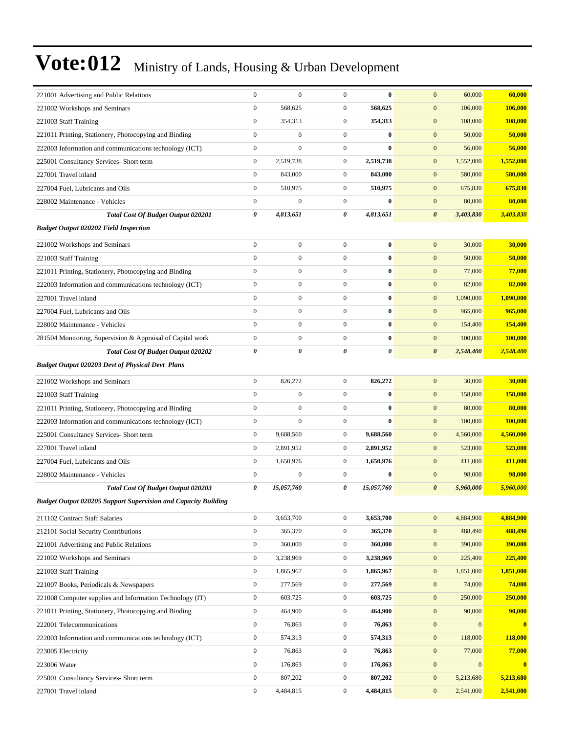| 221001 Advertising and Public Relations                               | $\boldsymbol{0}$ | $\overline{0}$   | $\mathbf{0}$          | $\bf{0}$   | 60,000<br>$\mathbf{0}$               | 60,000    |
|-----------------------------------------------------------------------|------------------|------------------|-----------------------|------------|--------------------------------------|-----------|
| 221002 Workshops and Seminars                                         | $\boldsymbol{0}$ | 568,625          | $\boldsymbol{0}$      | 568,625    | $\mathbf{0}$<br>106,000              | 106,000   |
| 221003 Staff Training                                                 | $\boldsymbol{0}$ | 354,313          | $\boldsymbol{0}$      | 354,313    | $\mathbf{0}$<br>108,000              | 108,000   |
| 221011 Printing, Stationery, Photocopying and Binding                 | $\boldsymbol{0}$ | $\boldsymbol{0}$ | $\boldsymbol{0}$      | $\bf{0}$   | $\mathbf{0}$<br>50,000               | 50,000    |
| 222003 Information and communications technology (ICT)                | $\boldsymbol{0}$ | $\boldsymbol{0}$ | $\boldsymbol{0}$      | $\bf{0}$   | $\mathbf{0}$<br>56,000               | 56,000    |
| 225001 Consultancy Services- Short term                               | $\boldsymbol{0}$ | 2,519,738        | $\boldsymbol{0}$      | 2,519,738  | $\mathbf{0}$<br>1,552,000            | 1,552,000 |
| 227001 Travel inland                                                  | $\overline{0}$   | 843,000          | $\boldsymbol{0}$      | 843,000    | $\mathbf{0}$<br>580,000              | 580,000   |
| 227004 Fuel, Lubricants and Oils                                      | $\boldsymbol{0}$ | 510,975          | $\boldsymbol{0}$      | 510,975    | $\mathbf{0}$<br>675,830              | 675,830   |
| 228002 Maintenance - Vehicles                                         | $\boldsymbol{0}$ | $\mathbf{0}$     | $\boldsymbol{0}$      | $\bf{0}$   | $\boldsymbol{0}$<br>80,000           | 80,000    |
| Total Cost Of Budget Output 020201                                    | 0                | 4,813,651        | 0                     | 4,813,651  | $\boldsymbol{\theta}$<br>3,403,830   | 3,403,830 |
| <b>Budget Output 020202 Field Inspection</b>                          |                  |                  |                       |            |                                      |           |
| 221002 Workshops and Seminars                                         | $\boldsymbol{0}$ | $\boldsymbol{0}$ | $\boldsymbol{0}$      | $\bf{0}$   | 30,000<br>$\mathbf{0}$               | 30,000    |
| 221003 Staff Training                                                 | $\overline{0}$   | $\boldsymbol{0}$ | $\mathbf{0}$          | $\bf{0}$   | $\mathbf{0}$<br>50,000               | 50,000    |
| 221011 Printing, Stationery, Photocopying and Binding                 | $\boldsymbol{0}$ | $\boldsymbol{0}$ | $\boldsymbol{0}$      | $\bf{0}$   | $\mathbf{0}$<br>77,000               | 77,000    |
| 222003 Information and communications technology (ICT)                | $\boldsymbol{0}$ | $\boldsymbol{0}$ | $\boldsymbol{0}$      | $\bf{0}$   | $\mathbf{0}$<br>82,000               | 82,000    |
| 227001 Travel inland                                                  | $\boldsymbol{0}$ | $\boldsymbol{0}$ | $\boldsymbol{0}$      | $\bf{0}$   | $\boldsymbol{0}$<br>1,090,000        | 1,090,000 |
| 227004 Fuel, Lubricants and Oils                                      | $\boldsymbol{0}$ | $\boldsymbol{0}$ | $\boldsymbol{0}$      | $\bf{0}$   | $\boldsymbol{0}$<br>965,000          | 965,000   |
| 228002 Maintenance - Vehicles                                         | $\overline{0}$   | $\boldsymbol{0}$ | $\boldsymbol{0}$      | $\bf{0}$   | $\boldsymbol{0}$<br>154,400          | 154,400   |
| 281504 Monitoring, Supervision & Appraisal of Capital work            | $\boldsymbol{0}$ | $\boldsymbol{0}$ | $\boldsymbol{0}$      | $\bf{0}$   | $\mathbf{0}$<br>100,000              | 100,000   |
| Total Cost Of Budget Output 020202                                    | 0                | 0                | $\boldsymbol{\theta}$ | 0          | $\boldsymbol{\theta}$<br>2,548,400   | 2,548,400 |
| <b>Budget Output 020203 Devt of Physical Devt Plans</b>               |                  |                  |                       |            |                                      |           |
| 221002 Workshops and Seminars                                         | $\boldsymbol{0}$ | 826,272          | $\boldsymbol{0}$      | 826,272    | $\mathbf{0}$<br>30,000               | 30,000    |
| 221003 Staff Training                                                 | $\overline{0}$   | $\boldsymbol{0}$ | $\boldsymbol{0}$      | $\bf{0}$   | $\mathbf{0}$<br>158,000              | 158,000   |
| 221011 Printing, Stationery, Photocopying and Binding                 | $\overline{0}$   | $\boldsymbol{0}$ | $\boldsymbol{0}$      | $\bf{0}$   | $\mathbf{0}$<br>80,000               | 80,000    |
| 222003 Information and communications technology (ICT)                | $\boldsymbol{0}$ | $\boldsymbol{0}$ | $\boldsymbol{0}$      | $\bf{0}$   | $\mathbf{0}$<br>100,000              | 100,000   |
| 225001 Consultancy Services- Short term                               | $\boldsymbol{0}$ | 9,688,560        | $\boldsymbol{0}$      | 9,688,560  | $\boldsymbol{0}$<br>4,560,000        | 4,560,000 |
| 227001 Travel inland                                                  | $\mathbf{0}$     | 2,891,952        | $\boldsymbol{0}$      | 2,891,952  | $\mathbf{0}$<br>523,000              | 523,000   |
| 227004 Fuel, Lubricants and Oils                                      | $\boldsymbol{0}$ | 1,650,976        | $\boldsymbol{0}$      | 1,650,976  | $\mathbf{0}$<br>411,000              | 411,000   |
| 228002 Maintenance - Vehicles                                         | $\mathbf{0}$     | $\boldsymbol{0}$ | $\boldsymbol{0}$      | $\bf{0}$   | $\mathbf{0}$<br>98,000               | 98,000    |
| Total Cost Of Budget Output 020203                                    | 0                | 15,057,760       | 0                     | 15,057,760 | $\boldsymbol{\theta}$<br>5,960,000   | 5,960,000 |
| <b>Budget Output 020205 Support Supervision and Capacity Building</b> |                  |                  |                       |            |                                      |           |
| 211102 Contract Staff Salaries                                        | $\boldsymbol{0}$ | 3,653,700        | $\boldsymbol{0}$      | 3,653,700  | $\mathbf{0}$<br>4,884,900            | 4,884,900 |
| 212101 Social Security Contributions                                  | $\mathbf{0}$     | 365,370          | $\boldsymbol{0}$      | 365,370    | 488,490<br>$\boldsymbol{0}$          | 488,490   |
| 221001 Advertising and Public Relations                               | $\boldsymbol{0}$ | 360,000          | $\boldsymbol{0}$      | 360,000    | $\boldsymbol{0}$<br>390,000          | 390,000   |
| 221002 Workshops and Seminars                                         | $\boldsymbol{0}$ | 3,238,969        | $\boldsymbol{0}$      | 3,238,969  | $\boldsymbol{0}$<br>225,400          | 225,400   |
| 221003 Staff Training                                                 | $\boldsymbol{0}$ | 1,865,967        | $\boldsymbol{0}$      | 1,865,967  | $\mathbf{0}$<br>1,851,000            | 1,851,000 |
| 221007 Books, Periodicals & Newspapers                                | $\boldsymbol{0}$ | 277,569          | $\boldsymbol{0}$      | 277,569    | $\boldsymbol{0}$<br>74,000           | 74,000    |
| 221008 Computer supplies and Information Technology (IT)              | $\boldsymbol{0}$ | 603,725          | $\mathbf{0}$          | 603,725    | $\boldsymbol{0}$<br>250,000          | 250,000   |
| 221011 Printing, Stationery, Photocopying and Binding                 | $\boldsymbol{0}$ | 464,900          | $\boldsymbol{0}$      | 464,900    | 90,000<br>$\boldsymbol{0}$           | 90,000    |
| 222001 Telecommunications                                             | $\boldsymbol{0}$ | 76,863           | $\boldsymbol{0}$      | 76,863     | $\boldsymbol{0}$<br>$\boldsymbol{0}$ | $\bf{0}$  |
| 222003 Information and communications technology (ICT)                | $\boldsymbol{0}$ | 574,313          | $\boldsymbol{0}$      | 574,313    | $\mathbf{0}$<br>118,000              | 118,000   |
| 223005 Electricity                                                    | $\boldsymbol{0}$ | 76,863           | $\boldsymbol{0}$      | 76,863     | 77,000<br>$\boldsymbol{0}$           | 77,000    |
| 223006 Water                                                          | $\mathbf{0}$     | 176,863          | $\boldsymbol{0}$      | 176,863    | $\boldsymbol{0}$<br>$\overline{0}$   | $\bf{0}$  |
| 225001 Consultancy Services- Short term                               | $\boldsymbol{0}$ | 807,202          | $\boldsymbol{0}$      | 807,202    | $\boldsymbol{0}$<br>5,213,680        | 5,213,680 |
| 227001 Travel inland                                                  | $\boldsymbol{0}$ | 4,484,815        | $\boldsymbol{0}$      | 4,484,815  | $\boldsymbol{0}$<br>2,541,000        | 2,541,000 |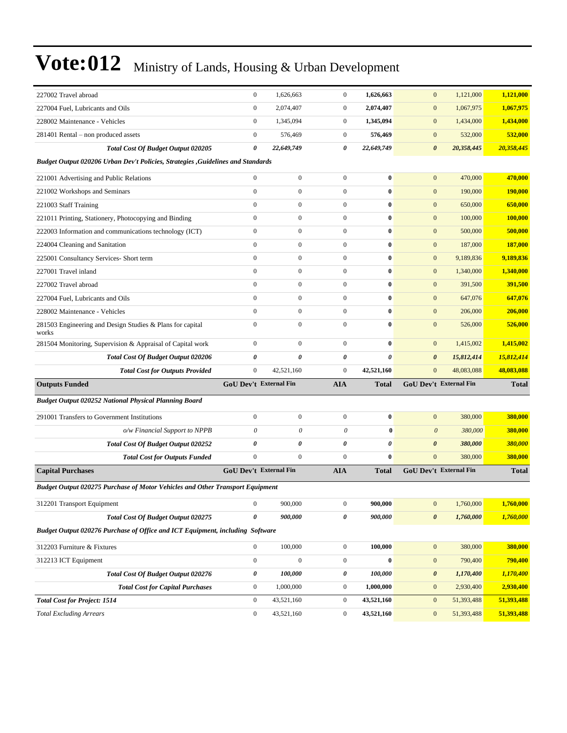| 227002 Travel abroad                                                                 | $\mathbf{0}$     | 1,626,663                     | $\boldsymbol{0}$ | 1,626,663             | $\mathbf{0}$          | 1,121,000              | 1,121,000    |
|--------------------------------------------------------------------------------------|------------------|-------------------------------|------------------|-----------------------|-----------------------|------------------------|--------------|
| 227004 Fuel, Lubricants and Oils                                                     | $\boldsymbol{0}$ | 2,074,407                     | $\boldsymbol{0}$ | 2,074,407             | $\mathbf{0}$          | 1,067,975              | 1,067,975    |
| 228002 Maintenance - Vehicles                                                        | $\mathbf{0}$     | 1,345,094                     | $\boldsymbol{0}$ | 1,345,094             | $\mathbf{0}$          | 1,434,000              | 1,434,000    |
| 281401 Rental – non produced assets                                                  | $\mathbf{0}$     | 576,469                       | $\boldsymbol{0}$ | 576,469               | $\mathbf{0}$          | 532,000                | 532,000      |
| Total Cost Of Budget Output 020205                                                   | 0                | 22,649,749                    | 0                | 22,649,749            | $\boldsymbol{\theta}$ | 20,358,445             | 20,358,445   |
| Budget Output 020206 Urban Dev't Policies, Strategies , Guidelines and Standards     |                  |                               |                  |                       |                       |                        |              |
| 221001 Advertising and Public Relations                                              | $\mathbf{0}$     | $\mathbf{0}$                  | $\boldsymbol{0}$ | $\bf{0}$              | $\mathbf{0}$          | 470,000                | 470,000      |
| 221002 Workshops and Seminars                                                        | $\mathbf{0}$     | $\boldsymbol{0}$              | $\boldsymbol{0}$ | $\bf{0}$              | $\mathbf{0}$          | 190,000                | 190,000      |
| 221003 Staff Training                                                                | $\boldsymbol{0}$ | $\mathbf{0}$                  | $\boldsymbol{0}$ | $\bf{0}$              | $\mathbf{0}$          | 650,000                | 650,000      |
| 221011 Printing, Stationery, Photocopying and Binding                                | $\boldsymbol{0}$ | $\boldsymbol{0}$              | $\boldsymbol{0}$ | $\bf{0}$              | $\mathbf{0}$          | 100,000                | 100,000      |
| 222003 Information and communications technology (ICT)                               | $\mathbf{0}$     | $\mathbf{0}$                  | $\boldsymbol{0}$ | $\bf{0}$              | $\mathbf{0}$          | 500,000                | 500,000      |
| 224004 Cleaning and Sanitation                                                       | $\mathbf{0}$     | $\boldsymbol{0}$              | $\boldsymbol{0}$ | $\bf{0}$              | $\boldsymbol{0}$      | 187,000                | 187,000      |
| 225001 Consultancy Services- Short term                                              | $\mathbf{0}$     | $\boldsymbol{0}$              | $\boldsymbol{0}$ | $\bf{0}$              | $\bf{0}$              | 9,189,836              | 9,189,836    |
| 227001 Travel inland                                                                 | $\boldsymbol{0}$ | $\mathbf{0}$                  | $\boldsymbol{0}$ | $\bf{0}$              | $\bf{0}$              | 1,340,000              | 1,340,000    |
| 227002 Travel abroad                                                                 | $\boldsymbol{0}$ | $\boldsymbol{0}$              | $\boldsymbol{0}$ | $\bf{0}$              | $\bf{0}$              | 391,500                | 391,500      |
| 227004 Fuel, Lubricants and Oils                                                     | $\mathbf{0}$     | $\boldsymbol{0}$              | $\boldsymbol{0}$ | $\bf{0}$              | $\mathbf{0}$          | 647,076                | 647,076      |
| 228002 Maintenance - Vehicles                                                        | $\mathbf{0}$     | $\boldsymbol{0}$              | $\boldsymbol{0}$ | $\bf{0}$              | $\bf{0}$              | 206,000                | 206,000      |
| 281503 Engineering and Design Studies & Plans for capital<br>works                   | $\mathbf{0}$     | $\boldsymbol{0}$              | $\boldsymbol{0}$ | $\bf{0}$              | $\mathbf{0}$          | 526,000                | 526,000      |
| 281504 Monitoring, Supervision & Appraisal of Capital work                           | $\mathbf{0}$     | $\boldsymbol{0}$              | $\boldsymbol{0}$ | $\bf{0}$              | $\mathbf{0}$          | 1,415,002              | 1,415,002    |
| <b>Total Cost Of Budget Output 020206</b>                                            | 0                | $\boldsymbol{\theta}$         | $\pmb{\theta}$   | $\boldsymbol{\theta}$ | $\boldsymbol{\theta}$ | 15,812,414             | 15,812,414   |
| <b>Total Cost for Outputs Provided</b>                                               | $\mathbf{0}$     | 42,521,160                    | $\boldsymbol{0}$ | 42,521,160            | $\mathbf{0}$          | 48,083,088             | 48,083,088   |
| <b>Outputs Funded</b>                                                                |                  | <b>GoU Dev't External Fin</b> | <b>AIA</b>       | <b>Total</b>          |                       | GoU Dev't External Fin | <b>Total</b> |
| Budget Output 020252 National Physical Planning Board                                |                  |                               |                  |                       |                       |                        |              |
| 291001 Transfers to Government Institutions                                          | $\boldsymbol{0}$ | $\boldsymbol{0}$              | $\boldsymbol{0}$ | $\bf{0}$              | $\mathbf{0}$          | 380,000                | 380,000      |
| o/w Financial Support to NPPB                                                        | $\theta$         | $\theta$                      | $\theta$         | $\bf{0}$              | $\boldsymbol{\theta}$ | 380,000                | 380,000      |
| Total Cost Of Budget Output 020252                                                   | 0                | $\boldsymbol{\theta}$         | 0                | 0                     | $\boldsymbol{\theta}$ | 380,000                | 380,000      |
| <b>Total Cost for Outputs Funded</b>                                                 | $\mathbf{0}$     | $\boldsymbol{0}$              | $\boldsymbol{0}$ | $\bf{0}$              | $\mathbf{0}$          | 380,000                | 380,000      |
| <b>Capital Purchases</b>                                                             |                  | <b>GoU Dev't External Fin</b> | <b>AIA</b>       | <b>Total</b>          |                       | GoU Dev't External Fin | <b>Total</b> |
| <b>Budget Output 020275 Purchase of Motor Vehicles and Other Transport Equipment</b> |                  |                               |                  |                       |                       |                        |              |
| 312201 Transport Equipment                                                           | $\mathbf{0}$     | 900,000                       | $\mathbf{0}$     | 900,000               | $\bf{0}$              | 1,760,000              | 1,760,000    |
| Total Cost Of Budget Output 020275                                                   | 0                | 900,000                       | 0                | 900,000               | $\boldsymbol{\theta}$ | 1,760,000              | 1,760,000    |
| Budget Output 020276 Purchase of Office and ICT Equipment, including Software        |                  |                               |                  |                       |                       |                        |              |
| 312203 Furniture & Fixtures                                                          | $\boldsymbol{0}$ | 100,000                       | $\boldsymbol{0}$ | 100,000               | $\mathbf{0}$          | 380,000                | 380,000      |
| 312213 ICT Equipment                                                                 | $\boldsymbol{0}$ | $\boldsymbol{0}$              | $\boldsymbol{0}$ | $\bf{0}$              | $\bf{0}$              | 790,400                | 790,400      |
| Total Cost Of Budget Output 020276                                                   | 0                | 100,000                       | 0                | 100,000               | $\boldsymbol{\theta}$ | 1,170,400              | 1,170,400    |
| <b>Total Cost for Capital Purchases</b>                                              | $\boldsymbol{0}$ | 1,000,000                     | $\boldsymbol{0}$ | 1,000,000             | $\bf{0}$              | 2,930,400              | 2,930,400    |
| <b>Total Cost for Project: 1514</b>                                                  | $\boldsymbol{0}$ | 43,521,160                    | $\boldsymbol{0}$ | 43,521,160            | $\bf{0}$              | 51,393,488             | 51,393,488   |
|                                                                                      |                  |                               |                  |                       |                       |                        |              |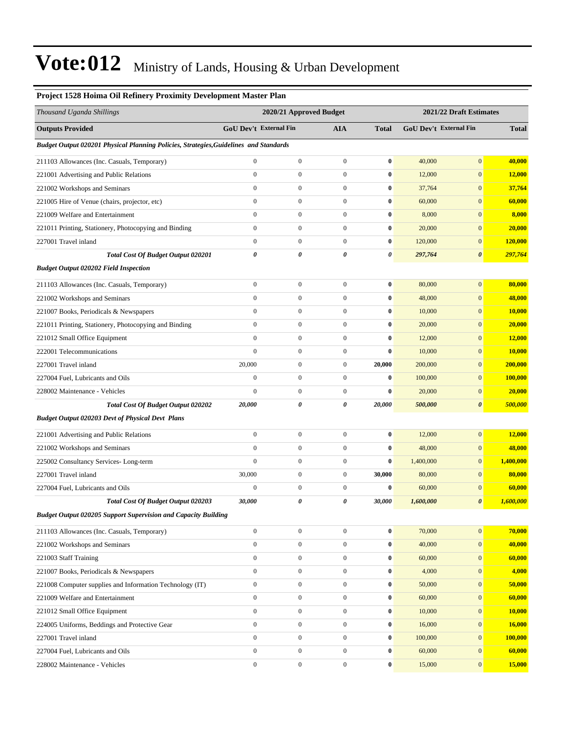| Project 1528 Hoima Oil Refinery Proximity Development Master Plan                     |                               |                         |                  |                         |                               |                       |               |  |
|---------------------------------------------------------------------------------------|-------------------------------|-------------------------|------------------|-------------------------|-------------------------------|-----------------------|---------------|--|
| Thousand Uganda Shillings                                                             |                               | 2020/21 Approved Budget |                  | 2021/22 Draft Estimates |                               |                       |               |  |
| <b>Outputs Provided</b>                                                               | <b>GoU Dev't External Fin</b> |                         | <b>AIA</b>       | <b>Total</b>            | <b>GoU Dev't External Fin</b> |                       | <b>Total</b>  |  |
| Budget Output 020201 Physical Planning Policies, Strategies, Guidelines and Standards |                               |                         |                  |                         |                               |                       |               |  |
| 211103 Allowances (Inc. Casuals, Temporary)                                           | $\boldsymbol{0}$              | $\boldsymbol{0}$        | $\boldsymbol{0}$ | $\bf{0}$                | 40,000                        | $\mathbf{0}$          | 40,000        |  |
| 221001 Advertising and Public Relations                                               | $\mathbf{0}$                  | $\boldsymbol{0}$        | $\boldsymbol{0}$ | $\bf{0}$                | 12,000                        | $\mathbf{0}$          | <b>12,000</b> |  |
| 221002 Workshops and Seminars                                                         | $\mathbf{0}$                  | $\boldsymbol{0}$        | $\boldsymbol{0}$ | $\bf{0}$                | 37,764                        | $\mathbf{0}$          | 37,764        |  |
| 221005 Hire of Venue (chairs, projector, etc)                                         | $\mathbf{0}$                  | $\boldsymbol{0}$        | $\boldsymbol{0}$ | $\bf{0}$                | 60,000                        | $\mathbf{0}$          | 60,000        |  |
| 221009 Welfare and Entertainment                                                      | $\mathbf{0}$                  | $\boldsymbol{0}$        | $\boldsymbol{0}$ | $\bf{0}$                | 8,000                         | $\boldsymbol{0}$      | 8,000         |  |
| 221011 Printing, Stationery, Photocopying and Binding                                 | $\boldsymbol{0}$              | $\boldsymbol{0}$        | $\boldsymbol{0}$ | $\bf{0}$                | 20,000                        | $\mathbf{0}$          | 20,000        |  |
| 227001 Travel inland                                                                  | $\mathbf{0}$                  | $\boldsymbol{0}$        | $\boldsymbol{0}$ | $\bf{0}$                | 120,000                       | $\boldsymbol{0}$      | 120,000       |  |
| Total Cost Of Budget Output 020201                                                    | 0                             | 0                       | 0                | 0                       | 297,764                       | 0                     | 297,764       |  |
| <b>Budget Output 020202 Field Inspection</b>                                          |                               |                         |                  |                         |                               |                       |               |  |
| 211103 Allowances (Inc. Casuals, Temporary)                                           | $\boldsymbol{0}$              | $\boldsymbol{0}$        | $\boldsymbol{0}$ | $\bf{0}$                | 80,000                        | $\mathbf{0}$          | 80,000        |  |
| 221002 Workshops and Seminars                                                         | $\mathbf{0}$                  | $\boldsymbol{0}$        | $\boldsymbol{0}$ | $\bf{0}$                | 48,000                        | $\mathbf{0}$          | 48,000        |  |
| 221007 Books, Periodicals & Newspapers                                                | $\mathbf{0}$                  | $\boldsymbol{0}$        | $\mathbf{0}$     | $\bf{0}$                | 10,000                        | $\mathbf{0}$          | 10,000        |  |
| 221011 Printing, Stationery, Photocopying and Binding                                 | $\mathbf{0}$                  | $\boldsymbol{0}$        | $\boldsymbol{0}$ | $\bf{0}$                | 20,000                        | $\mathbf{0}$          | 20,000        |  |
| 221012 Small Office Equipment                                                         | $\mathbf{0}$                  | $\boldsymbol{0}$        | $\boldsymbol{0}$ | $\bf{0}$                | 12,000                        | $\mathbf{0}$          | 12,000        |  |
| 222001 Telecommunications                                                             | $\mathbf{0}$                  | $\boldsymbol{0}$        | $\boldsymbol{0}$ | $\bf{0}$                | 10,000                        | $\mathbf{0}$          | 10,000        |  |
| 227001 Travel inland                                                                  | 20,000                        | $\boldsymbol{0}$        | $\boldsymbol{0}$ | 20,000                  | 200,000                       | $\mathbf{0}$          | 200,000       |  |
| 227004 Fuel, Lubricants and Oils                                                      | $\boldsymbol{0}$              | $\boldsymbol{0}$        | $\mathbf{0}$     | $\bf{0}$                | 100,000                       | $\mathbf{0}$          | 100,000       |  |
| 228002 Maintenance - Vehicles                                                         | $\overline{0}$                | $\boldsymbol{0}$        | $\boldsymbol{0}$ | $\bf{0}$                | 20,000                        | $\boldsymbol{0}$      | 20,000        |  |
| <b>Total Cost Of Budget Output 020202</b>                                             | 20,000                        | 0                       | 0                | 20,000                  | 500,000                       | $\pmb{\theta}$        | 500,000       |  |
| <b>Budget Output 020203 Devt of Physical Devt Plans</b>                               |                               |                         |                  |                         |                               |                       |               |  |
| 221001 Advertising and Public Relations                                               | $\boldsymbol{0}$              | $\boldsymbol{0}$        | $\boldsymbol{0}$ | $\bf{0}$                | 12,000                        | $\boldsymbol{0}$      | 12,000        |  |
| 221002 Workshops and Seminars                                                         | $\mathbf{0}$                  | $\boldsymbol{0}$        | $\boldsymbol{0}$ | $\bf{0}$                | 48,000                        | $\mathbf{0}$          | 48,000        |  |
| 225002 Consultancy Services-Long-term                                                 | $\mathbf{0}$                  | $\boldsymbol{0}$        | $\mathbf{0}$     | $\bf{0}$                | 1,400,000                     | $\mathbf{0}$          | 1,400,000     |  |
| 227001 Travel inland                                                                  | 30,000                        | $\boldsymbol{0}$        | $\boldsymbol{0}$ | 30,000                  | 80,000                        | $\mathbf{0}$          | 80,000        |  |
| 227004 Fuel, Lubricants and Oils                                                      | $\boldsymbol{0}$              | $\boldsymbol{0}$        | $\boldsymbol{0}$ | $\bf{0}$                | 60,000                        | $\mathbf{0}$          | 60,000        |  |
| Total Cost Of Budget Output 020203                                                    | 30.000                        | 0                       | 0                | 30,000                  | 1,600,000                     | $\boldsymbol{\theta}$ | 1,600,000     |  |
| <b>Budget Output 020205 Support Supervision and Capacity Building</b>                 |                               |                         |                  |                         |                               |                       |               |  |
| 211103 Allowances (Inc. Casuals, Temporary)                                           | $\mathbf{0}$                  | $\boldsymbol{0}$        | $\mathbf{0}$     | $\bf{0}$                | 70,000                        | $\mathbf{0}$          | 70,000        |  |
| 221002 Workshops and Seminars                                                         | $\mathbf{0}$                  | $\boldsymbol{0}$        | $\mathbf{0}$     | $\bf{0}$                | 40,000                        | $\mathbf{0}$          | 40,000        |  |
| 221003 Staff Training                                                                 | $\boldsymbol{0}$              | $\boldsymbol{0}$        | $\boldsymbol{0}$ | $\bf{0}$                | 60,000                        | $\mathbf{0}$          | 60,000        |  |
| 221007 Books, Periodicals & Newspapers                                                | $\boldsymbol{0}$              | $\boldsymbol{0}$        | $\mathbf{0}$     | $\bf{0}$                | 4,000                         | $\mathbf{0}$          | 4,000         |  |
| 221008 Computer supplies and Information Technology (IT)                              | $\mathbf{0}$                  | $\boldsymbol{0}$        | $\mathbf{0}$     | $\bf{0}$                | 50,000                        | $\mathbf{0}$          | 50,000        |  |
| 221009 Welfare and Entertainment                                                      | $\mathbf{0}$                  | $\boldsymbol{0}$        | $\mathbf{0}$     | $\bf{0}$                | 60,000                        | $\mathbf{0}$          | 60,000        |  |
| 221012 Small Office Equipment                                                         | $\mathbf{0}$                  | $\boldsymbol{0}$        | $\mathbf{0}$     | $\bf{0}$                | 10,000                        | $\mathbf{0}$          | 10,000        |  |
| 224005 Uniforms, Beddings and Protective Gear                                         | $\boldsymbol{0}$              | $\boldsymbol{0}$        | $\boldsymbol{0}$ | $\boldsymbol{0}$        | 16,000                        | $\mathbf{0}$          | 16,000        |  |
| 227001 Travel inland                                                                  | $\mathbf{0}$                  | $\boldsymbol{0}$        | $\mathbf{0}$     | $\bf{0}$                | 100,000                       | $\mathbf{0}$          | 100,000       |  |
| 227004 Fuel, Lubricants and Oils                                                      | $\mathbf{0}$                  | $\boldsymbol{0}$        | $\mathbf{0}$     | $\bf{0}$                | 60,000                        | $\mathbf{0}$          | 60,000        |  |
| 228002 Maintenance - Vehicles                                                         | $\mathbf{0}$                  | $\boldsymbol{0}$        | $\boldsymbol{0}$ | $\bf{0}$                | 15,000                        | $\mathbf{0}$          | 15,000        |  |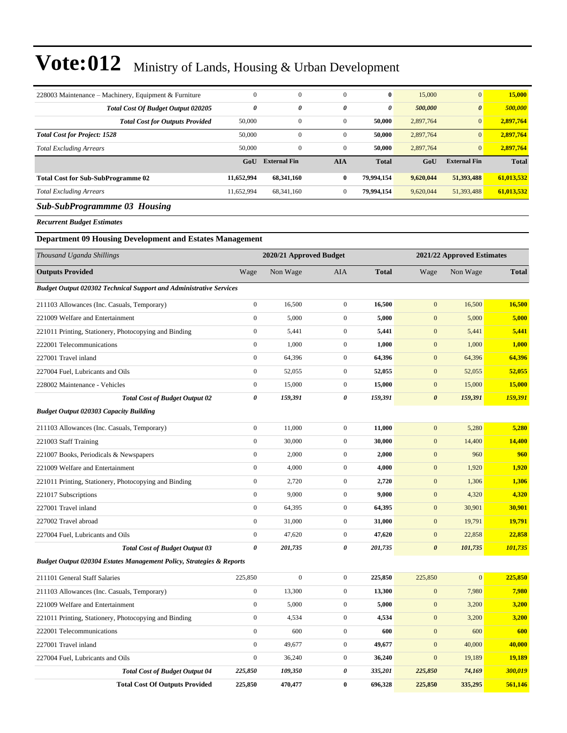| 228003 Maintenance – Machinery, Equipment & Furniture                     | $\boldsymbol{0}$                                      | $\boldsymbol{0}$    | $\boldsymbol{0}$ | $\bf{0}$              | 15,000                | $\mathbf{0}$        | 15,000        |
|---------------------------------------------------------------------------|-------------------------------------------------------|---------------------|------------------|-----------------------|-----------------------|---------------------|---------------|
| Total Cost Of Budget Output 020205                                        | $\pmb{\theta}$                                        | 0                   | 0                | $\boldsymbol{\theta}$ | 500,000               | $\pmb{\theta}$      | 500,000       |
| <b>Total Cost for Outputs Provided</b>                                    | 50,000                                                | $\boldsymbol{0}$    | $\boldsymbol{0}$ | 50,000                | 2,897,764             | $\mathbf{0}$        | 2,897,764     |
| <b>Total Cost for Project: 1528</b>                                       | 50,000                                                | 0                   | $\boldsymbol{0}$ | 50,000                | 2,897,764             | $\mathbf{0}$        | 2,897,764     |
| <b>Total Excluding Arrears</b>                                            | 50,000                                                | $\boldsymbol{0}$    | $\boldsymbol{0}$ | 50,000                | 2,897,764             | $\mathbf{0}$        | 2,897,764     |
|                                                                           | GoU                                                   | <b>External Fin</b> | <b>AIA</b>       | <b>Total</b>          | GoU                   | <b>External Fin</b> | <b>Total</b>  |
| <b>Total Cost for Sub-SubProgramme 02</b>                                 | 11,652,994                                            | 68,341,160          | $\bf{0}$         | 79,994,154            | 9,620,044             | 51,393,488          | 61,013,532    |
| Total Excluding Arrears                                                   | 11,652,994                                            | 68, 341, 160        | $\boldsymbol{0}$ | 79,994,154            | 9,620,044             | 51,393,488          | 61,013,532    |
| <b>Sub-SubProgrammme 03 Housing</b>                                       |                                                       |                     |                  |                       |                       |                     |               |
| <b>Recurrent Budget Estimates</b>                                         |                                                       |                     |                  |                       |                       |                     |               |
| <b>Department 09 Housing Development and Estates Management</b>           |                                                       |                     |                  |                       |                       |                     |               |
| Thousand Uganda Shillings                                                 | 2020/21 Approved Budget<br>2021/22 Approved Estimates |                     |                  |                       |                       |                     |               |
| <b>Outputs Provided</b>                                                   | Wage                                                  | Non Wage            | AIA              | <b>Total</b>          | Wage                  | Non Wage            | <b>Total</b>  |
| <b>Budget Output 020302 Technical Support and Administrative Services</b> |                                                       |                     |                  |                       |                       |                     |               |
| 211103 Allowances (Inc. Casuals, Temporary)                               | $\boldsymbol{0}$                                      | 16,500              | $\boldsymbol{0}$ | 16,500                | $\boldsymbol{0}$      | 16,500              | 16,500        |
| 221009 Welfare and Entertainment                                          | $\boldsymbol{0}$                                      | 5,000               | $\boldsymbol{0}$ | 5,000                 | $\mathbf{0}$          | 5,000               | 5,000         |
| 221011 Printing, Stationery, Photocopying and Binding                     | $\boldsymbol{0}$                                      | 5,441               | $\mathbf{0}$     | 5,441                 | $\mathbf{0}$          | 5,441               | 5,441         |
| 222001 Telecommunications                                                 | $\boldsymbol{0}$                                      | 1,000               | $\boldsymbol{0}$ | 1,000                 | $\mathbf{0}$          | 1,000               | 1,000         |
| 227001 Travel inland                                                      | $\boldsymbol{0}$                                      | 64,396              | $\boldsymbol{0}$ | 64,396                | $\mathbf{0}$          | 64,396              | 64,396        |
| 227004 Fuel, Lubricants and Oils                                          | $\mathbf{0}$                                          | 52,055              | $\boldsymbol{0}$ | 52,055                | $\mathbf{0}$          | 52,055              | 52,055        |
| 228002 Maintenance - Vehicles                                             | $\boldsymbol{0}$                                      | 15,000              | $\boldsymbol{0}$ | 15,000                | $\mathbf{0}$          | 15,000              | 15,000        |
| <b>Total Cost of Budget Output 02</b>                                     | $\pmb{\theta}$                                        | 159,391             | 0                | 159,391               | $\boldsymbol{\theta}$ | 159,391             | 159,391       |
| <b>Budget Output 020303 Capacity Building</b>                             |                                                       |                     |                  |                       |                       |                     |               |
| 211103 Allowances (Inc. Casuals, Temporary)                               | $\boldsymbol{0}$                                      | 11,000              | $\boldsymbol{0}$ | 11,000                | $\mathbf{0}$          | 5,280               | 5,280         |
| 221003 Staff Training                                                     | $\boldsymbol{0}$                                      | 30,000              | $\boldsymbol{0}$ | 30,000                | $\mathbf{0}$          | 14,400              | 14,400        |
| 221007 Books, Periodicals & Newspapers                                    | $\mathbf{0}$                                          | 2,000               | $\boldsymbol{0}$ | 2,000                 | $\mathbf{0}$          | 960                 | 960           |
| 221009 Welfare and Entertainment                                          | $\mathbf{0}$                                          | 4,000               | $\boldsymbol{0}$ | 4,000                 | $\mathbf{0}$          | 1,920               | 1,920         |
| 221011 Printing, Stationery, Photocopying and Binding                     | $\boldsymbol{0}$                                      | 2,720               | $\boldsymbol{0}$ | 2,720                 | $\mathbf{0}$          | 1,306               | 1,306         |
| 221017 Subscriptions                                                      | $\mathbf{0}$                                          | 9,000               | $\overline{0}$   | 9,000                 | $\mathbf{0}$          | 4,320               | 4,320         |
| 227001 Travel inland                                                      | $\boldsymbol{0}$                                      | 64,395              | $\boldsymbol{0}$ | 64,395                | $\mathbf{0}$          | 30,901              | 30,901        |
| 227002 Travel abroad                                                      | $\mathbf{0}$                                          | 31,000              | $\boldsymbol{0}$ | 31,000                | $\mathbf{0}$          | 19,791              | 19,791        |
| 227004 Fuel, Lubricants and Oils                                          | $\boldsymbol{0}$                                      | 47,620              | $\boldsymbol{0}$ | 47,620                | $\mathbf{0}$          | 22,858              | 22,858        |
| <b>Total Cost of Budget Output 03</b>                                     | $\pmb{\theta}$                                        | 201,735             | 0                | 201,735               | $\boldsymbol{\theta}$ | 101,735             | 101,735       |
| Budget Output 020304 Estates Management Policy, Strategies & Reports      |                                                       |                     |                  |                       |                       |                     |               |
| 211101 General Staff Salaries                                             | 225,850                                               | $\boldsymbol{0}$    | $\boldsymbol{0}$ | 225,850               | 225,850               | $\mathbf{0}$        | 225,850       |
| 211103 Allowances (Inc. Casuals, Temporary)                               | $\boldsymbol{0}$                                      | 13,300              | $\boldsymbol{0}$ | 13,300                | $\boldsymbol{0}$      | 7,980               | 7,980         |
| 221009 Welfare and Entertainment                                          | $\boldsymbol{0}$                                      | 5,000               | $\boldsymbol{0}$ | 5,000                 | $\boldsymbol{0}$      | 3,200               | 3,200         |
| 221011 Printing, Stationery, Photocopying and Binding                     | $\boldsymbol{0}$                                      | 4,534               | $\boldsymbol{0}$ | 4,534                 | $\mathbf{0}$          | 3,200               | 3,200         |
| 222001 Telecommunications                                                 | $\boldsymbol{0}$                                      | 600                 | $\boldsymbol{0}$ | 600                   | $\mathbf{0}$          | 600                 | 600           |
| 227001 Travel inland                                                      | $\boldsymbol{0}$                                      | 49,677              | $\boldsymbol{0}$ | 49,677                | $\mathbf{0}$          | 40,000              | 40,000        |
| 227004 Fuel, Lubricants and Oils                                          | $\boldsymbol{0}$                                      | 36,240              | $\boldsymbol{0}$ | 36,240                | $\mathbf{0}$          | 19,189              | <b>19,189</b> |
| <b>Total Cost of Budget Output 04</b>                                     | 225,850                                               | 109,350             | 0                | 335,201               | 225,850               | 74,169              | 300,019       |
| <b>Total Cost Of Outputs Provided</b>                                     | 225,850                                               | 470,477             | $\bf{0}$         | 696,328               | 225,850               | 335,295             | 561,146       |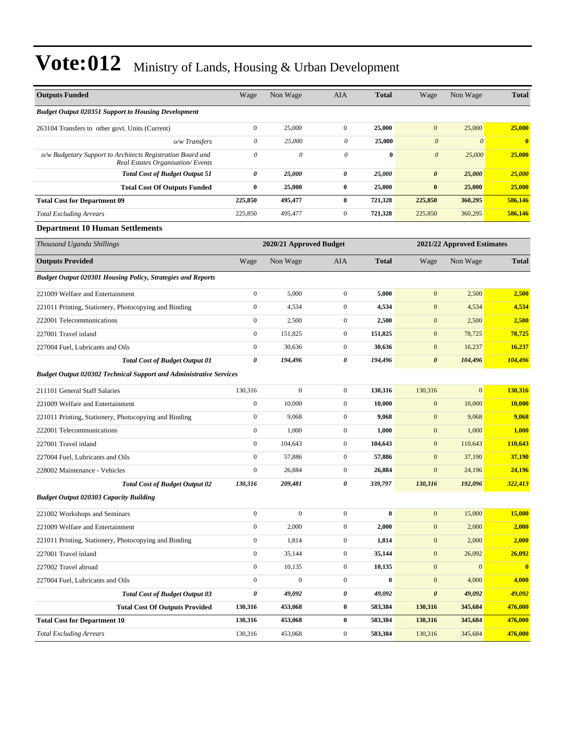| <b>Outputs Funded</b>                                                                          | Wage             | Non Wage                | <b>AIA</b>            | <b>Total</b> | Wage                  | Non Wage                   | <b>Total</b>            |
|------------------------------------------------------------------------------------------------|------------------|-------------------------|-----------------------|--------------|-----------------------|----------------------------|-------------------------|
| <b>Budget Output 020351 Support to Housing Development</b>                                     |                  |                         |                       |              |                       |                            |                         |
| 263104 Transfers to other govt. Units (Current)                                                | $\boldsymbol{0}$ | 25,000                  | $\mathbf{0}$          | 25,000       | $\mathbf{0}$          | 25,000                     | 25,000                  |
| o/w Transfers                                                                                  | $\theta$         | 25,000                  | $\theta$              | 25,000       | $\boldsymbol{\theta}$ | $\boldsymbol{\theta}$      | $\bf{0}$                |
| o/w Budgetary Support to Architects Registration Board and<br>Real Estates Organisation/Events | $\theta$         | 0                       | 0                     | $\bf{0}$     | $\boldsymbol{0}$      | 25,000                     | 25,000                  |
| <b>Total Cost of Budget Output 51</b>                                                          | 0                | 25,000                  | 0                     | 25,000       | 0                     | 25,000                     | 25,000                  |
| <b>Total Cost Of Outputs Funded</b>                                                            | $\bf{0}$         | 25,000                  | $\bf{0}$              | 25,000       | $\bf{0}$              | 25,000                     | 25,000                  |
| <b>Total Cost for Department 09</b>                                                            | 225,850          | 495,477                 | $\bf{0}$              | 721,328      | 225,850               | 360,295                    | 586,146                 |
| <b>Total Excluding Arrears</b>                                                                 | 225,850          | 495,477                 | $\mathbf{0}$          | 721,328      | 225,850               | 360,295                    | 586,146                 |
| <b>Department 10 Human Settlements</b>                                                         |                  |                         |                       |              |                       |                            |                         |
| Thousand Uganda Shillings                                                                      |                  | 2020/21 Approved Budget |                       |              |                       | 2021/22 Approved Estimates |                         |
| <b>Outputs Provided</b>                                                                        | Wage             | Non Wage                | <b>AIA</b>            | <b>Total</b> | Wage                  | Non Wage                   | <b>Total</b>            |
| Budget Output 020301 Housing Policy, Strategies and Reports                                    |                  |                         |                       |              |                       |                            |                         |
| 221009 Welfare and Entertainment                                                               | $\boldsymbol{0}$ | 5,000                   | $\mathbf{0}$          | 5,000        | $\mathbf{0}$          | 2,500                      | 2,500                   |
| 221011 Printing, Stationery, Photocopying and Binding                                          | $\boldsymbol{0}$ | 4,534                   | $\mathbf{0}$          | 4,534        | $\boldsymbol{0}$      | 4,534                      | 4,534                   |
| 222001 Telecommunications                                                                      | $\boldsymbol{0}$ | 2,500                   | $\mathbf{0}$          | 2,500        | $\mathbf{0}$          | 2,500                      | 2,500                   |
| 227001 Travel inland                                                                           | $\boldsymbol{0}$ | 151,825                 | $\mathbf{0}$          | 151,825      | $\mathbf{0}$          | 78,725                     | 78,725                  |
| 227004 Fuel, Lubricants and Oils                                                               | $\boldsymbol{0}$ | 30,636                  | $\mathbf{0}$          | 30,636       | $\mathbf{0}$          | 16,237                     | 16,237                  |
| <b>Total Cost of Budget Output 01</b>                                                          | 0                | 194,496                 | $\boldsymbol{\theta}$ | 194,496      | $\boldsymbol{\theta}$ | 104,496                    | 104,496                 |
| <b>Budget Output 020302 Technical Support and Administrative Services</b>                      |                  |                         |                       |              |                       |                            |                         |
| 211101 General Staff Salaries                                                                  | 130,316          | $\mathbf{0}$            | $\mathbf{0}$          | 130,316      | 130,316               | $\overline{0}$             | 130,316                 |
| 221009 Welfare and Entertainment                                                               | $\boldsymbol{0}$ | 10,000                  | $\mathbf{0}$          | 10,000       | $\mathbf{0}$          | 10,000                     | 10,000                  |
| 221011 Printing, Stationery, Photocopying and Binding                                          | $\boldsymbol{0}$ | 9,068                   | $\mathbf{0}$          | 9,068        | $\mathbf{0}$          | 9,068                      | 9,068                   |
| 222001 Telecommunications                                                                      | $\boldsymbol{0}$ | 1,000                   | $\mathbf{0}$          | 1,000        | $\mathbf{0}$          | 1,000                      | 1,000                   |
| 227001 Travel inland                                                                           | $\boldsymbol{0}$ | 104,643                 | $\mathbf{0}$          | 104,643      | $\mathbf{0}$          | 110,643                    | 110,643                 |
| 227004 Fuel, Lubricants and Oils                                                               | $\boldsymbol{0}$ | 57,886                  | $\mathbf{0}$          | 57,886       | $\mathbf{0}$          | 37,190                     | 37,190                  |
| 228002 Maintenance - Vehicles                                                                  | $\boldsymbol{0}$ | 26,884                  | $\mathbf{0}$          | 26,884       | $\mathbf{0}$          | 24,196                     | 24,196                  |
| <b>Total Cost of Budget Output 02</b>                                                          | 130,316          | 209,481                 | $\boldsymbol{\theta}$ | 339,797      | 130,316               | 192,096                    | 322,413                 |
| <b>Budget Output 020303 Capacity Building</b>                                                  |                  |                         |                       |              |                       |                            |                         |
| 221002 Workshops and Seminars                                                                  | $\boldsymbol{0}$ | $\mathbf{0}$            | $\mathbf{0}$          | $\bf{0}$     | $\mathbf{0}$          | 15,000                     | 15,000                  |
| 221009 Welfare and Entertainment                                                               | $\boldsymbol{0}$ | 2,000                   | $\mathbf{0}$          | 2,000        | $\mathbf{0}$          | 2,000                      | 2,000                   |
| 221011 Printing, Stationery, Photocopying and Binding                                          | $\boldsymbol{0}$ | 1,814                   | $\boldsymbol{0}$      | 1,814        | $\mathbf{0}$          | 2,000                      | 2,000                   |
| 227001 Travel inland                                                                           | $\boldsymbol{0}$ | 35,144                  | $\boldsymbol{0}$      | 35,144       | $\boldsymbol{0}$      | 26,092                     | 26,092                  |
| 227002 Travel abroad                                                                           | $\boldsymbol{0}$ | 10,135                  | $\mathbf{0}$          | 10,135       | $\boldsymbol{0}$      | $\mathbf{0}$               | $\overline{\mathbf{0}}$ |
| 227004 Fuel, Lubricants and Oils                                                               | $\boldsymbol{0}$ | $\boldsymbol{0}$        | $\boldsymbol{0}$      | $\bf{0}$     | $\boldsymbol{0}$      | 4,000                      | 4,000                   |
| <b>Total Cost of Budget Output 03</b>                                                          | 0                | 49,092                  | $\pmb{\theta}$        | 49,092       | $\pmb{\theta}$        | 49,092                     | 49,092                  |
| <b>Total Cost Of Outputs Provided</b>                                                          | 130,316          | 453,068                 | $\boldsymbol{0}$      | 583,384      | 130,316               | 345,684                    | 476,000                 |
| <b>Total Cost for Department 10</b>                                                            | 130,316          | 453,068                 | $\bf{0}$              | 583,384      | 130,316               | 345,684                    | 476,000                 |
| <b>Total Excluding Arrears</b>                                                                 | 130,316          | 453,068                 | $\boldsymbol{0}$      | 583,384      | 130,316               | 345,684                    | 476,000                 |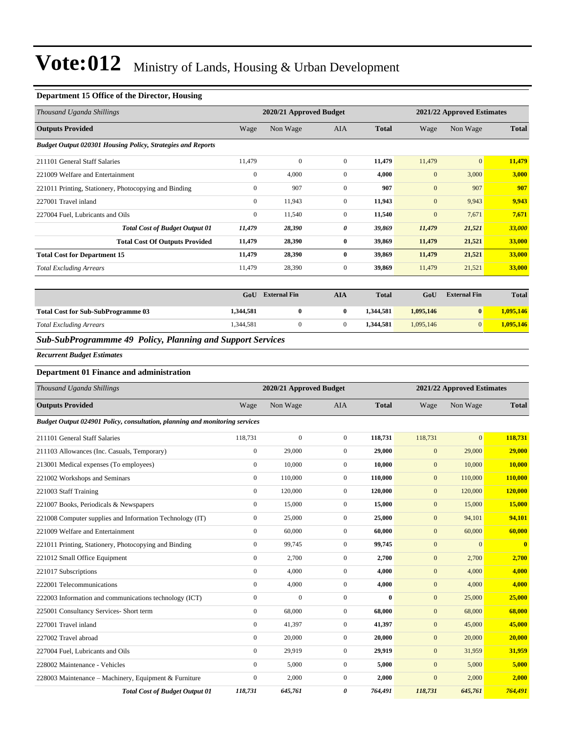#### **Department 15 Office of the Director, Housing**

| Thousand Uganda Shillings                                          | 2020/21 Approved Budget |          |                |              |              | 2021/22 Approved Estimates |              |  |
|--------------------------------------------------------------------|-------------------------|----------|----------------|--------------|--------------|----------------------------|--------------|--|
| <b>Outputs Provided</b>                                            | Wage                    | Non Wage | <b>AIA</b>     | <b>Total</b> | Wage         | Non Wage                   | <b>Total</b> |  |
| <b>Budget Output 020301 Housing Policy, Strategies and Reports</b> |                         |          |                |              |              |                            |              |  |
| 211101 General Staff Salaries                                      | 11,479                  | $\Omega$ | $\overline{0}$ | 11,479       | 11,479       | $\overline{0}$             | 11,479       |  |
| 221009 Welfare and Entertainment                                   | $\mathbf{0}$            | 4,000    | $\theta$       | 4,000        | $\mathbf{0}$ | 3,000                      | 3,000        |  |
| 221011 Printing, Stationery, Photocopying and Binding              | $\mathbf{0}$            | 907      | $\Omega$       | 907          | $\mathbf{0}$ | 907                        | 907          |  |
| 227001 Travel inland                                               | $\mathbf{0}$            | 11,943   | $\overline{0}$ | 11,943       | $\mathbf{0}$ | 9,943                      | 9,943        |  |
| 227004 Fuel, Lubricants and Oils                                   | $\mathbf{0}$            | 11,540   | $\mathbf{0}$   | 11,540       | $\mathbf{0}$ | 7,671                      | 7,671        |  |
| <b>Total Cost of Budget Output 01</b>                              | 11,479                  | 28,390   | 0              | 39,869       | 11,479       | 21,521                     | 33,000       |  |
| <b>Total Cost Of Outputs Provided</b>                              | 11,479                  | 28,390   | $\bf{0}$       | 39,869       | 11,479       | 21,521                     | 33,000       |  |
| <b>Total Cost for Department 15</b>                                | 11,479                  | 28,390   | $\bf{0}$       | 39,869       | 11,479       | 21,521                     | 33,000       |  |
| <b>Total Excluding Arrears</b>                                     | 11,479                  | 28,390   | $\mathbf{0}$   | 39,869       | 11,479       | 21,521                     | 33,000       |  |

|                                           | GoU       | <b>External Fin</b> | AIA | <b>Total</b> | GoU       | <b>External Fin</b> | <b>Total</b> |
|-------------------------------------------|-----------|---------------------|-----|--------------|-----------|---------------------|--------------|
| <b>Total Cost for Sub-SubProgramme 03</b> | 1,344,581 |                     |     | 1.344.581    | 1,095,146 | $\mathbf{0}$        | 1,095,146    |
| <b>Total Excluding Arrears</b>            | 1,344,581 |                     |     | 1.344.581    | 1.095.146 | $\Omega$            | 1.095.146    |

*Sub-SubProgrammme 49 Policy, Planning and Support Services*

*Recurrent Budget Estimates*

#### **Department 01 Finance and administration**

| Thousand Uganda Shillings                                                   |                  | 2020/21 Approved Budget |                  |              |              | 2021/22 Approved Estimates |              |
|-----------------------------------------------------------------------------|------------------|-------------------------|------------------|--------------|--------------|----------------------------|--------------|
| <b>Outputs Provided</b>                                                     | Wage             | Non Wage                | <b>AIA</b>       | <b>Total</b> | Wage         | Non Wage                   | <b>Total</b> |
| Budget Output 024901 Policy, consultation, planning and monitoring services |                  |                         |                  |              |              |                            |              |
| 211101 General Staff Salaries                                               | 118,731          | $\mathbf{0}$            | $\overline{0}$   | 118,731      | 118,731      | $\overline{0}$             | 118,731      |
| 211103 Allowances (Inc. Casuals, Temporary)                                 | $\boldsymbol{0}$ | 29,000                  | $\mathbf{0}$     | 29,000       | $\mathbf{0}$ | 29,000                     | 29,000       |
| 213001 Medical expenses (To employees)                                      | $\mathbf{0}$     | 10,000                  | $\mathbf{0}$     | 10,000       | $\mathbf{0}$ | 10,000                     | 10,000       |
| 221002 Workshops and Seminars                                               | $\overline{0}$   | 110,000                 | $\overline{0}$   | 110,000      | $\mathbf{0}$ | 110,000                    | 110,000      |
| 221003 Staff Training                                                       | $\mathbf{0}$     | 120,000                 | $\mathbf{0}$     | 120,000      | $\mathbf{0}$ | 120,000                    | 120,000      |
| 221007 Books, Periodicals & Newspapers                                      | $\mathbf{0}$     | 15,000                  | $\mathbf{0}$     | 15,000       | $\mathbf{0}$ | 15,000                     | 15,000       |
| 221008 Computer supplies and Information Technology (IT)                    | $\boldsymbol{0}$ | 25,000                  | $\mathbf{0}$     | 25,000       | $\mathbf{0}$ | 94,101                     | 94,101       |
| 221009 Welfare and Entertainment                                            | $\mathbf{0}$     | 60,000                  | $\overline{0}$   | 60,000       | $\mathbf{0}$ | 60,000                     | 60,000       |
| 221011 Printing, Stationery, Photocopying and Binding                       | $\mathbf{0}$     | 99,745                  | $\mathbf{0}$     | 99,745       | $\mathbf{0}$ | $\overline{0}$             | $\bf{0}$     |
| 221012 Small Office Equipment                                               | $\mathbf{0}$     | 2,700                   | $\boldsymbol{0}$ | 2,700        | $\mathbf{0}$ | 2,700                      | 2,700        |
| 221017 Subscriptions                                                        | $\mathbf{0}$     | 4,000                   | $\overline{0}$   | 4,000        | $\mathbf{0}$ | 4,000                      | 4,000        |
| 222001 Telecommunications                                                   | $\mathbf{0}$     | 4,000                   | $\mathbf{0}$     | 4,000        | $\mathbf{0}$ | 4,000                      | 4,000        |
| 222003 Information and communications technology (ICT)                      | $\boldsymbol{0}$ | $\overline{0}$          | $\mathbf{0}$     | $\mathbf{0}$ | $\mathbf{0}$ | 25,000                     | 25,000       |
| 225001 Consultancy Services- Short term                                     | $\mathbf{0}$     | 68,000                  | $\overline{0}$   | 68.000       | $\mathbf{0}$ | 68,000                     | 68,000       |
| 227001 Travel inland                                                        | $\mathbf{0}$     | 41,397                  | $\mathbf{0}$     | 41,397       | $\mathbf{0}$ | 45,000                     | 45,000       |
| 227002 Travel abroad                                                        | $\mathbf{0}$     | 20,000                  | $\overline{0}$   | 20,000       | $\mathbf{0}$ | 20,000                     | 20,000       |
| 227004 Fuel, Lubricants and Oils                                            | $\mathbf{0}$     | 29,919                  | $\mathbf{0}$     | 29,919       | $\mathbf{0}$ | 31,959                     | 31,959       |
| 228002 Maintenance - Vehicles                                               | $\mathbf{0}$     | 5,000                   | $\mathbf{0}$     | 5,000        | $\mathbf{0}$ | 5,000                      | 5,000        |
| 228003 Maintenance - Machinery, Equipment & Furniture                       | $\boldsymbol{0}$ | 2,000                   | $\mathbf{0}$     | 2,000        | $\mathbf{0}$ | 2,000                      | 2,000        |
| <b>Total Cost of Budget Output 01</b>                                       | 118,731          | 645,761                 | 0                | 764,491      | 118,731      | 645,761                    | 764,491      |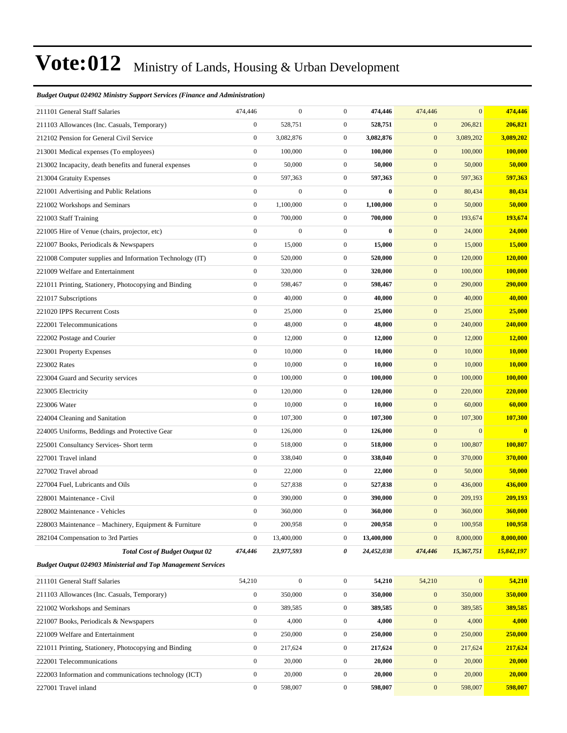#### *Budget Output 024902 Ministry Support Services (Finance and Administration)*

| 211101 General Staff Salaries                                       | 474,446          | $\overline{0}$   | $\overline{0}$   | 474,446    | 474,446          | $\overline{0}$ | 474,446    |
|---------------------------------------------------------------------|------------------|------------------|------------------|------------|------------------|----------------|------------|
| 211103 Allowances (Inc. Casuals, Temporary)                         | $\boldsymbol{0}$ | 528,751          | $\overline{0}$   | 528,751    | $\boldsymbol{0}$ | 206,821        | 206,821    |
| 212102 Pension for General Civil Service                            | $\boldsymbol{0}$ | 3,082,876        | $\mathbf{0}$     | 3,082,876  | $\boldsymbol{0}$ | 3,089,202      | 3,089,202  |
| 213001 Medical expenses (To employees)                              | $\boldsymbol{0}$ | 100,000          | $\mathbf{0}$     | 100,000    | $\mathbf{0}$     | 100,000        | 100,000    |
| 213002 Incapacity, death benefits and funeral expenses              | $\boldsymbol{0}$ | 50,000           | $\mathbf{0}$     | 50,000     | $\mathbf{0}$     | 50,000         | 50,000     |
| 213004 Gratuity Expenses                                            | $\boldsymbol{0}$ | 597,363          | $\boldsymbol{0}$ | 597,363    | $\boldsymbol{0}$ | 597,363        | 597,363    |
| 221001 Advertising and Public Relations                             | $\boldsymbol{0}$ | $\boldsymbol{0}$ | $\overline{0}$   | $\bf{0}$   | $\mathbf{0}$     | 80,434         | 80,434     |
| 221002 Workshops and Seminars                                       | $\boldsymbol{0}$ | 1,100,000        | $\overline{0}$   | 1,100,000  | $\mathbf{0}$     | 50,000         | 50,000     |
| 221003 Staff Training                                               | $\boldsymbol{0}$ | 700,000          | $\mathbf{0}$     | 700,000    | $\mathbf{0}$     | 193,674        | 193,674    |
| 221005 Hire of Venue (chairs, projector, etc)                       | $\boldsymbol{0}$ | $\boldsymbol{0}$ | $\overline{0}$   | $\bf{0}$   | $\mathbf{0}$     | 24,000         | 24,000     |
| 221007 Books, Periodicals & Newspapers                              | $\boldsymbol{0}$ | 15,000           | $\boldsymbol{0}$ | 15,000     | $\boldsymbol{0}$ | 15,000         | 15,000     |
| 221008 Computer supplies and Information Technology (IT)            | $\boldsymbol{0}$ | 520,000          | $\overline{0}$   | 520,000    | $\mathbf{0}$     | 120,000        | 120,000    |
| 221009 Welfare and Entertainment                                    | $\boldsymbol{0}$ | 320,000          | $\overline{0}$   | 320,000    | $\mathbf{0}$     | 100,000        | 100,000    |
| 221011 Printing, Stationery, Photocopying and Binding               | $\boldsymbol{0}$ | 598,467          | $\overline{0}$   | 598,467    | $\mathbf{0}$     | 290,000        | 290,000    |
| 221017 Subscriptions                                                | $\boldsymbol{0}$ | 40,000           | $\overline{0}$   | 40,000     | $\mathbf{0}$     | 40,000         | 40,000     |
| 221020 IPPS Recurrent Costs                                         | $\boldsymbol{0}$ | 25,000           | $\boldsymbol{0}$ | 25,000     | $\boldsymbol{0}$ | 25,000         | 25,000     |
| 222001 Telecommunications                                           | $\boldsymbol{0}$ | 48,000           | $\overline{0}$   | 48,000     | $\mathbf{0}$     | 240,000        | 240,000    |
| 222002 Postage and Courier                                          | $\boldsymbol{0}$ | 12,000           | $\boldsymbol{0}$ | 12,000     | $\mathbf{0}$     | 12,000         | 12,000     |
| 223001 Property Expenses                                            | $\boldsymbol{0}$ | 10,000           | $\mathbf{0}$     | 10,000     | $\mathbf{0}$     | 10,000         | 10,000     |
| 223002 Rates                                                        | $\boldsymbol{0}$ | 10,000           | $\mathbf{0}$     | 10,000     | $\mathbf{0}$     | 10,000         | 10,000     |
| 223004 Guard and Security services                                  | $\boldsymbol{0}$ | 100,000          | $\overline{0}$   | 100,000    | $\boldsymbol{0}$ | 100,000        | 100,000    |
| 223005 Electricity                                                  | $\boldsymbol{0}$ | 120,000          | $\overline{0}$   | 120,000    | $\mathbf{0}$     | 220,000        | 220,000    |
| 223006 Water                                                        | $\boldsymbol{0}$ | 10,000           | $\overline{0}$   | 10,000     | $\mathbf{0}$     | 60,000         | 60,000     |
| 224004 Cleaning and Sanitation                                      | $\boldsymbol{0}$ | 107,300          | $\overline{0}$   | 107,300    | $\boldsymbol{0}$ | 107,300        | 107,300    |
| 224005 Uniforms, Beddings and Protective Gear                       | $\boldsymbol{0}$ | 126,000          | $\overline{0}$   | 126,000    | $\boldsymbol{0}$ | $\overline{0}$ | $\bf{0}$   |
| 225001 Consultancy Services- Short term                             | $\boldsymbol{0}$ | 518,000          | $\overline{0}$   | 518,000    | $\boldsymbol{0}$ | 100,807        | 100,807    |
| 227001 Travel inland                                                | $\boldsymbol{0}$ | 338,040          | $\overline{0}$   | 338,040    | $\mathbf{0}$     | 370,000        | 370,000    |
| 227002 Travel abroad                                                | $\boldsymbol{0}$ | 22,000           | $\overline{0}$   | 22,000     | $\mathbf{0}$     | 50,000         | 50,000     |
| 227004 Fuel, Lubricants and Oils                                    | $\boldsymbol{0}$ | 527,838          | $\mathbf{0}$     | 527,838    | $\mathbf{0}$     | 436,000        | 436,000    |
| 228001 Maintenance - Civil                                          | $\boldsymbol{0}$ | 390,000          | $\mathbf{0}$     | 390,000    | $\mathbf{0}$     | 209,193        | 209,193    |
| 228002 Maintenance - Vehicles                                       | $\mathbf{0}$     | 360,000          | $\mathbf{0}$     | 360,000    | $\mathbf{0}$     | 360,000        | 360,000    |
| 228003 Maintenance - Machinery, Equipment & Furniture               | $\boldsymbol{0}$ | 200,958          | $\boldsymbol{0}$ | 200,958    | $\boldsymbol{0}$ | 100,958        | 100,958    |
| 282104 Compensation to 3rd Parties                                  | $\boldsymbol{0}$ | 13,400,000       | $\mathbf{0}$     | 13,400,000 | $\boldsymbol{0}$ | 8,000,000      | 8,000,000  |
| <b>Total Cost of Budget Output 02</b>                               | 474,446          | 23,977,593       | 0                | 24,452,038 | 474,446          | 15,367,751     | 15,842,197 |
| <b>Budget Output 024903 Ministerial and Top Management Services</b> |                  |                  |                  |            |                  |                |            |
| 211101 General Staff Salaries                                       | 54,210           | $\boldsymbol{0}$ | $\boldsymbol{0}$ | 54,210     | 54,210           | $\overline{0}$ | 54,210     |
| 211103 Allowances (Inc. Casuals, Temporary)                         | $\boldsymbol{0}$ | 350,000          | $\boldsymbol{0}$ | 350,000    | $\boldsymbol{0}$ | 350,000        | 350,000    |
| 221002 Workshops and Seminars                                       | $\boldsymbol{0}$ | 389,585          | $\boldsymbol{0}$ | 389,585    | $\mathbf{0}$     | 389,585        | 389,585    |
| 221007 Books, Periodicals & Newspapers                              | $\boldsymbol{0}$ | 4,000            | $\boldsymbol{0}$ | 4,000      | $\mathbf{0}$     | 4,000          | 4,000      |
| 221009 Welfare and Entertainment                                    | $\boldsymbol{0}$ | 250,000          | $\boldsymbol{0}$ | 250,000    | $\mathbf{0}$     | 250,000        | 250,000    |
| 221011 Printing, Stationery, Photocopying and Binding               | $\boldsymbol{0}$ | 217,624          | $\boldsymbol{0}$ | 217,624    | $\mathbf{0}$     | 217,624        | 217,624    |
| 222001 Telecommunications                                           | $\boldsymbol{0}$ | 20,000           | $\boldsymbol{0}$ | 20,000     | $\boldsymbol{0}$ | 20,000         | 20,000     |
| 222003 Information and communications technology (ICT)              | $\boldsymbol{0}$ | 20,000           | $\boldsymbol{0}$ | 20,000     | $\mathbf{0}$     | 20,000         | 20,000     |
| 227001 Travel inland                                                | $\boldsymbol{0}$ | 598,007          | $\boldsymbol{0}$ | 598,007    | $\mathbf{0}$     | 598,007        | 598,007    |
|                                                                     |                  |                  |                  |            |                  |                |            |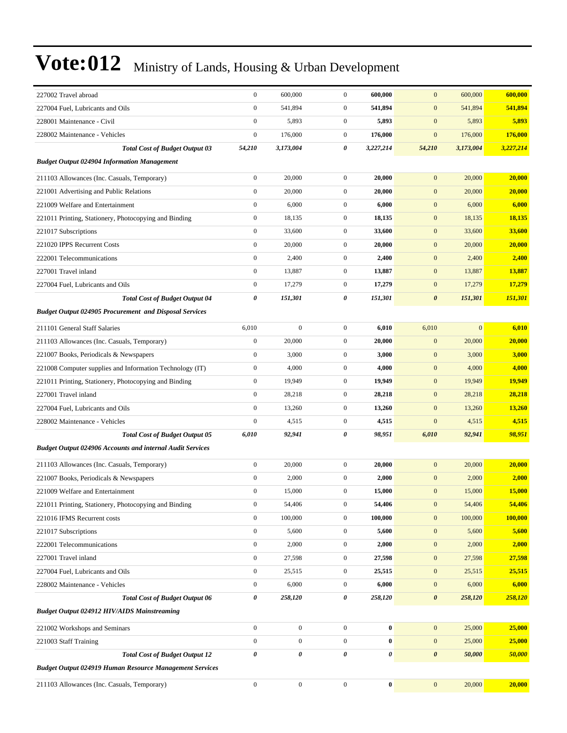| 227002 Travel abroad                                             | $\boldsymbol{0}$ | 600,000          | $\mathbf{0}$     | 600,000   | $\mathbf{0}$          | 600,000      | 600,000   |
|------------------------------------------------------------------|------------------|------------------|------------------|-----------|-----------------------|--------------|-----------|
| 227004 Fuel, Lubricants and Oils                                 | $\boldsymbol{0}$ | 541,894          | $\mathbf{0}$     | 541,894   | $\mathbf{0}$          | 541,894      | 541,894   |
| 228001 Maintenance - Civil                                       | $\boldsymbol{0}$ | 5,893            | $\boldsymbol{0}$ | 5,893     | $\boldsymbol{0}$      | 5,893        | 5,893     |
| 228002 Maintenance - Vehicles                                    | $\boldsymbol{0}$ | 176,000          | $\boldsymbol{0}$ | 176,000   | $\mathbf{0}$          | 176,000      | 176,000   |
| <b>Total Cost of Budget Output 03</b>                            | 54,210           | 3,173,004        | 0                | 3,227,214 | 54,210                | 3,173,004    | 3,227,214 |
| <b>Budget Output 024904 Information Management</b>               |                  |                  |                  |           |                       |              |           |
| 211103 Allowances (Inc. Casuals, Temporary)                      | $\boldsymbol{0}$ | 20,000           | $\mathbf{0}$     | 20,000    | $\mathbf{0}$          | 20,000       | 20,000    |
| 221001 Advertising and Public Relations                          | $\boldsymbol{0}$ | 20,000           | $\boldsymbol{0}$ | 20,000    | $\mathbf{0}$          | 20,000       | 20,000    |
| 221009 Welfare and Entertainment                                 | $\boldsymbol{0}$ | 6,000            | $\boldsymbol{0}$ | 6,000     | $\mathbf{0}$          | 6,000        | 6,000     |
| 221011 Printing, Stationery, Photocopying and Binding            | $\boldsymbol{0}$ | 18,135           | $\boldsymbol{0}$ | 18,135    | $\mathbf{0}$          | 18,135       | 18,135    |
| 221017 Subscriptions                                             | $\boldsymbol{0}$ | 33,600           | $\mathbf{0}$     | 33,600    | $\mathbf{0}$          | 33,600       | 33,600    |
| 221020 IPPS Recurrent Costs                                      | $\boldsymbol{0}$ | 20,000           | $\boldsymbol{0}$ | 20,000    | $\mathbf{0}$          | 20,000       | 20,000    |
| 222001 Telecommunications                                        | $\boldsymbol{0}$ | 2,400            | $\boldsymbol{0}$ | 2,400     | $\mathbf{0}$          | 2,400        | 2,400     |
| 227001 Travel inland                                             | $\boldsymbol{0}$ | 13,887           | $\boldsymbol{0}$ | 13,887    | $\mathbf{0}$          | 13,887       | 13,887    |
| 227004 Fuel, Lubricants and Oils                                 | $\boldsymbol{0}$ | 17,279           | $\boldsymbol{0}$ | 17,279    | $\mathbf{0}$          | 17,279       | 17,279    |
| <b>Total Cost of Budget Output 04</b>                            | 0                | 151,301          | 0                | 151,301   | $\boldsymbol{\theta}$ | 151,301      | 151,301   |
| <b>Budget Output 024905 Procurement and Disposal Services</b>    |                  |                  |                  |           |                       |              |           |
| 211101 General Staff Salaries                                    | 6,010            | $\boldsymbol{0}$ | $\boldsymbol{0}$ | 6,010     | 6,010                 | $\mathbf{0}$ | 6,010     |
| 211103 Allowances (Inc. Casuals, Temporary)                      | $\boldsymbol{0}$ | 20,000           | $\mathbf{0}$     | 20,000    | $\mathbf{0}$          | 20,000       | 20,000    |
| 221007 Books, Periodicals & Newspapers                           | $\boldsymbol{0}$ | 3,000            | $\mathbf{0}$     | 3,000     | $\boldsymbol{0}$      | 3,000        | 3,000     |
| 221008 Computer supplies and Information Technology (IT)         | $\boldsymbol{0}$ | 4,000            | $\boldsymbol{0}$ | 4,000     | $\mathbf{0}$          | 4,000        | 4,000     |
| 221011 Printing, Stationery, Photocopying and Binding            | $\boldsymbol{0}$ | 19,949           | $\boldsymbol{0}$ | 19,949    | $\mathbf{0}$          | 19,949       | 19,949    |
| 227001 Travel inland                                             | $\boldsymbol{0}$ | 28,218           | $\boldsymbol{0}$ | 28,218    | $\mathbf{0}$          | 28,218       | 28,218    |
| 227004 Fuel, Lubricants and Oils                                 | $\boldsymbol{0}$ | 13,260           | $\mathbf{0}$     | 13,260    | $\mathbf{0}$          | 13,260       | 13,260    |
| 228002 Maintenance - Vehicles                                    | $\boldsymbol{0}$ | 4,515            | $\mathbf{0}$     | 4,515     | $\boldsymbol{0}$      | 4,515        | 4,515     |
| <b>Total Cost of Budget Output 05</b>                            | 6,010            | 92,941           | 0                | 98,951    | 6,010                 | 92,941       | 98,951    |
| <b>Budget Output 024906 Accounts and internal Audit Services</b> |                  |                  |                  |           |                       |              |           |
| 211103 Allowances (Inc. Casuals, Temporary)                      | $\boldsymbol{0}$ | 20,000           | $\mathbf{0}$     | 20,000    | $\mathbf{0}$          | 20,000       | 20,000    |
| 221007 Books, Periodicals & Newspapers                           | $\boldsymbol{0}$ | 2,000            | $\boldsymbol{0}$ | 2,000     | $\mathbf{0}$          | 2,000        | 2,000     |
| 221009 Welfare and Entertainment                                 | $\boldsymbol{0}$ | 15,000           | $\mathbf{0}$     | 15,000    | $\mathbf{0}$          | 15,000       | 15,000    |
| 221011 Printing, Stationery, Photocopying and Binding            | $\boldsymbol{0}$ | 54,406           | $\boldsymbol{0}$ | 54,406    | $\boldsymbol{0}$      | 54,406       | 54,406    |
| 221016 IFMS Recurrent costs                                      | $\boldsymbol{0}$ | 100,000          | $\mathbf{0}$     | 100,000   | $\mathbf{0}$          | 100,000      | 100,000   |
| 221017 Subscriptions                                             | $\boldsymbol{0}$ | 5,600            | $\boldsymbol{0}$ | 5,600     | $\mathbf{0}$          | 5,600        | 5,600     |
| 222001 Telecommunications                                        | $\boldsymbol{0}$ | 2,000            | $\boldsymbol{0}$ | 2,000     | $\boldsymbol{0}$      | 2,000        | 2,000     |
| 227001 Travel inland                                             | $\boldsymbol{0}$ | 27,598           | $\boldsymbol{0}$ | 27,598    | $\mathbf{0}$          | 27,598       | 27,598    |
| 227004 Fuel, Lubricants and Oils                                 | $\boldsymbol{0}$ | 25,515           | $\boldsymbol{0}$ | 25,515    | $\boldsymbol{0}$      | 25,515       | 25,515    |
| 228002 Maintenance - Vehicles                                    | $\boldsymbol{0}$ | 6,000            | $\boldsymbol{0}$ | 6,000     | $\boldsymbol{0}$      | 6,000        | 6,000     |
| <b>Total Cost of Budget Output 06</b>                            | $\pmb{\theta}$   | 258,120          | 0                | 258,120   | $\boldsymbol{\theta}$ | 258,120      | 258,120   |
| <b>Budget Output 024912 HIV/AIDS Mainstreaming</b>               |                  |                  |                  |           |                       |              |           |
| 221002 Workshops and Seminars                                    | $\boldsymbol{0}$ | $\boldsymbol{0}$ | $\mathbf 0$      | $\bf{0}$  | $\boldsymbol{0}$      | 25,000       | 25,000    |
| 221003 Staff Training                                            | $\boldsymbol{0}$ | $\boldsymbol{0}$ | $\boldsymbol{0}$ | $\bf{0}$  | $\mathbf{0}$          | 25,000       | 25,000    |
| <b>Total Cost of Budget Output 12</b>                            | 0                | 0                | 0                | 0         | $\boldsymbol{\theta}$ | 50,000       | 50,000    |
| <b>Budget Output 024919 Human Resource Management Services</b>   |                  |                  |                  |           |                       |              |           |
| 211103 Allowances (Inc. Casuals, Temporary)                      | $\boldsymbol{0}$ | $\boldsymbol{0}$ | $\boldsymbol{0}$ | $\bf{0}$  | $\boldsymbol{0}$      | 20,000       | 20,000    |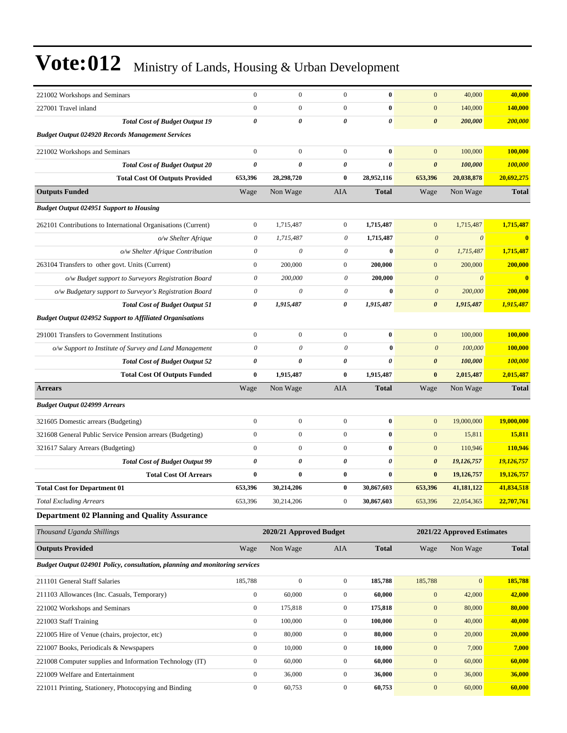| 221002 Workshops and Seminars                                               | $\boldsymbol{0}$      | $\boldsymbol{0}$        | $\mathbf{0}$     | $\bf{0}$     | $\mathbf{0}$          | 40,000                     | 40,000       |
|-----------------------------------------------------------------------------|-----------------------|-------------------------|------------------|--------------|-----------------------|----------------------------|--------------|
| 227001 Travel inland                                                        | $\mathbf{0}$          | $\boldsymbol{0}$        | $\mathbf{0}$     | $\bf{0}$     | $\boldsymbol{0}$      | 140,000                    | 140,000      |
| <b>Total Cost of Budget Output 19</b>                                       | $\boldsymbol{\theta}$ | 0                       | $\theta$         | 0            | $\boldsymbol{\theta}$ | 200,000                    | 200,000      |
| <b>Budget Output 024920 Records Management Services</b>                     |                       |                         |                  |              |                       |                            |              |
| 221002 Workshops and Seminars                                               | $\boldsymbol{0}$      | $\boldsymbol{0}$        | $\mathbf{0}$     | $\bf{0}$     | $\mathbf{0}$          | 100,000                    | 100,000      |
| <b>Total Cost of Budget Output 20</b>                                       | $\boldsymbol{\theta}$ | 0                       | $\pmb{\theta}$   | 0            | $\boldsymbol{\theta}$ | 100,000                    | 100,000      |
| <b>Total Cost Of Outputs Provided</b>                                       | 653,396               | 28,298,720              | $\bf{0}$         | 28,952,116   | 653,396               | 20,038,878                 | 20,692,275   |
| <b>Outputs Funded</b>                                                       | Wage                  | Non Wage                | AIA              | Total        | Wage                  | Non Wage                   | <b>Total</b> |
| <b>Budget Output 024951 Support to Housing</b>                              |                       |                         |                  |              |                       |                            |              |
| 262101 Contributions to International Organisations (Current)               | $\boldsymbol{0}$      | 1,715,487               | $\mathbf{0}$     | 1,715,487    | $\boldsymbol{0}$      | 1,715,487                  | 1,715,487    |
| o/w Shelter Afrique                                                         | $\theta$              | 1,715,487               | 0                | 1,715,487    | $\boldsymbol{0}$      | $\boldsymbol{\theta}$      | $\bf{0}$     |
| o/w Shelter Afrique Contribution                                            | $\theta$              | $\boldsymbol{\theta}$   | $\theta$         | $\bf{0}$     | $\boldsymbol{\theta}$ | 1,715,487                  | 1,715,487    |
| 263104 Transfers to other govt. Units (Current)                             | $\boldsymbol{0}$      | 200,000                 | $\boldsymbol{0}$ | 200,000      | $\mathbf{0}$          | 200,000                    | 200,000      |
| o/w Budget support to Surveyors Registration Board                          | $\boldsymbol{\theta}$ | 200,000                 | 0                | 200,000      | $\boldsymbol{0}$      | $\theta$                   | $\bf{0}$     |
| o/w Budgetary support to Surveyor's Registration Board                      | $\theta$              | $\theta$                | $\theta$         | $\bf{0}$     | $\boldsymbol{\theta}$ | 200,000                    | 200,000      |
| <b>Total Cost of Budget Output 51</b>                                       | 0                     | 1,915,487               | 0                | 1,915,487    | $\boldsymbol{\theta}$ | 1,915,487                  | 1,915,487    |
| <b>Budget Output 024952 Support to Affiliated Organisations</b>             |                       |                         |                  |              |                       |                            |              |
| 291001 Transfers to Government Institutions                                 | $\boldsymbol{0}$      | $\boldsymbol{0}$        | $\boldsymbol{0}$ | $\bf{0}$     | $\overline{0}$        | 100,000                    | 100,000      |
| o/w Support to Institute of Survey and Land Management                      | $\theta$              | $\theta$                | $\theta$         | $\bf{0}$     | $\boldsymbol{0}$      | 100,000                    | 100,000      |
| <b>Total Cost of Budget Output 52</b>                                       | 0                     | 0                       | 0                | 0            | $\boldsymbol{\theta}$ | 100,000                    | 100,000      |
| <b>Total Cost Of Outputs Funded</b>                                         | $\bf{0}$              | 1,915,487               | $\bf{0}$         | 1,915,487    | $\bf{0}$              | 2,015,487                  | 2,015,487    |
| <b>Arrears</b>                                                              | Wage                  | Non Wage                | AIA              | <b>Total</b> | Wage                  | Non Wage                   | <b>Total</b> |
| <b>Budget Output 024999 Arrears</b>                                         |                       |                         |                  |              |                       |                            |              |
| 321605 Domestic arrears (Budgeting)                                         | $\boldsymbol{0}$      | $\boldsymbol{0}$        | $\boldsymbol{0}$ | $\bf{0}$     | $\mathbf{0}$          | 19,000,000                 | 19,000,000   |
| 321608 General Public Service Pension arrears (Budgeting)                   | $\boldsymbol{0}$      | $\boldsymbol{0}$        | $\mathbf{0}$     | $\bf{0}$     | $\mathbf{0}$          | 15,811                     | 15,811       |
| 321617 Salary Arrears (Budgeting)                                           | $\boldsymbol{0}$      | $\boldsymbol{0}$        | $\mathbf{0}$     | $\bf{0}$     | $\mathbf{0}$          | 110,946                    | 110,946      |
| <b>Total Cost of Budget Output 99</b>                                       | 0                     | 0                       | 0                | 0            | $\boldsymbol{\theta}$ | 19,126,757                 | 19,126,757   |
| <b>Total Cost Of Arrears</b>                                                | $\bf{0}$              | $\bf{0}$                | $\bf{0}$         | $\bf{0}$     | $\bf{0}$              | 19,126,757                 | 19,126,757   |
| <b>Total Cost for Department 01</b>                                         | 653,396               | 30,214,206              | $\bf{0}$         | 30,867,603   | 653,396               | 41,181,122                 | 41,834,518   |
| <b>Total Excluding Arrears</b>                                              | 653,396               | 30,214,206              | $\boldsymbol{0}$ | 30,867,603   | 653,396               | 22,054,365                 | 22,707,761   |
| <b>Department 02 Planning and Quality Assurance</b>                         |                       |                         |                  |              |                       |                            |              |
| Thousand Uganda Shillings                                                   |                       | 2020/21 Approved Budget |                  |              |                       | 2021/22 Approved Estimates |              |
| <b>Outputs Provided</b>                                                     | Wage                  | Non Wage                | AIA              | <b>Total</b> | Wage                  | Non Wage                   | <b>Total</b> |
| Budget Output 024901 Policy, consultation, planning and monitoring services |                       |                         |                  |              |                       |                            |              |
| 211101 General Staff Salaries                                               | 185,788               | $\boldsymbol{0}$        | $\boldsymbol{0}$ | 185,788      | 185,788               | $\boldsymbol{0}$           | 185,788      |
| 211103 Allowances (Inc. Casuals, Temporary)                                 | $\boldsymbol{0}$      | 60,000                  | $\boldsymbol{0}$ | 60,000       | $\boldsymbol{0}$      | 42,000                     | 42,000       |
| 221002 Workshops and Seminars                                               | $\boldsymbol{0}$      | 175,818                 | $\boldsymbol{0}$ | 175,818      | $\boldsymbol{0}$      | 80,000                     | 80,000       |
| 221003 Staff Training                                                       | $\boldsymbol{0}$      | 100,000                 | $\mathbf{0}$     | 100,000      | $\boldsymbol{0}$      | 40,000                     | 40,000       |
| 221005 Hire of Venue (chairs, projector, etc)                               | $\boldsymbol{0}$      | 80,000                  | $\boldsymbol{0}$ | 80,000       | $\mathbf{0}$          | 20,000                     | 20,000       |
| 221007 Books, Periodicals & Newspapers                                      | $\boldsymbol{0}$      | 10,000                  | $\boldsymbol{0}$ | 10,000       | $\boldsymbol{0}$      | 7,000                      | 7,000        |
| 221008 Computer supplies and Information Technology (IT)                    | $\boldsymbol{0}$      | 60,000                  | $\boldsymbol{0}$ | 60,000       | $\boldsymbol{0}$      | 60,000                     | 60,000       |
| 221009 Welfare and Entertainment                                            | $\boldsymbol{0}$      | 36,000                  | $\boldsymbol{0}$ | 36,000       | $\boldsymbol{0}$      | 36,000                     | 36,000       |
| 221011 Printing, Stationery, Photocopying and Binding                       | $\boldsymbol{0}$      | 60,753                  | $\boldsymbol{0}$ | 60,753       | $\boldsymbol{0}$      | 60,000                     | 60,000       |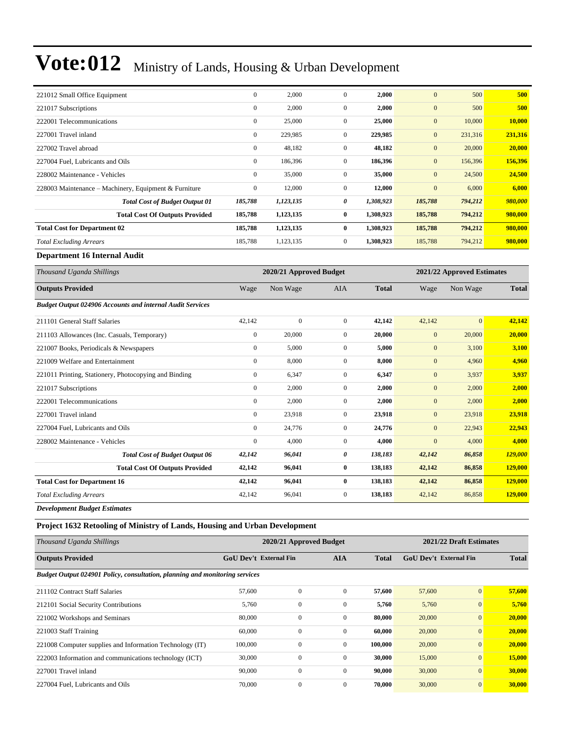| 221012 Small Office Equipment                         | $\mathbf{0}$     | 2,000     | $\mathbf{0}$   | 2,000     | $\mathbf{0}$ | 500     | 500     |
|-------------------------------------------------------|------------------|-----------|----------------|-----------|--------------|---------|---------|
| 221017 Subscriptions                                  | $\boldsymbol{0}$ | 2,000     | $\mathbf{0}$   | 2,000     | $\mathbf{0}$ | 500     | 500     |
| 222001 Telecommunications                             | $\mathbf{0}$     | 25,000    | $\mathbf{0}$   | 25,000    | $\mathbf{0}$ | 10,000  | 10,000  |
| 227001 Travel inland                                  | $\mathbf{0}$     | 229,985   | $\mathbf{0}$   | 229,985   | $\mathbf{0}$ | 231,316 | 231,316 |
| 227002 Travel abroad                                  | $\boldsymbol{0}$ | 48,182    | $\mathbf{0}$   | 48,182    | $\mathbf{0}$ | 20,000  | 20,000  |
| 227004 Fuel, Lubricants and Oils                      | $\mathbf{0}$     | 186,396   | $\overline{0}$ | 186,396   | $\mathbf{0}$ | 156,396 | 156,396 |
| 228002 Maintenance - Vehicles                         | $\boldsymbol{0}$ | 35,000    | $\mathbf{0}$   | 35,000    | $\mathbf{0}$ | 24,500  | 24,500  |
| 228003 Maintenance – Machinery, Equipment & Furniture | $\mathbf{0}$     | 12,000    | $\overline{0}$ | 12,000    | $\mathbf{0}$ | 6,000   | 6,000   |
| <b>Total Cost of Budget Output 01</b>                 | 185,788          | 1,123,135 | 0              | 1,308,923 | 185,788      | 794,212 | 980,000 |
| <b>Total Cost Of Outputs Provided</b>                 | 185,788          | 1,123,135 | $\bf{0}$       | 1,308,923 | 185,788      | 794,212 | 980,000 |
| <b>Total Cost for Department 02</b>                   | 185,788          | 1,123,135 | $\bf{0}$       | 1,308,923 | 185,788      | 794,212 | 980,000 |
| <b>Total Excluding Arrears</b>                        | 185,788          | 1,123,135 | $\mathbf{0}$   | 1,308,923 | 185,788      | 794,212 | 980,000 |
|                                                       |                  |           |                |           |              |         |         |

**Department 16 Internal Audit**

| Thousand Uganda Shillings                                        |                  | 2020/21 Approved Budget |                | 2021/22 Approved Estimates |              |              |              |
|------------------------------------------------------------------|------------------|-------------------------|----------------|----------------------------|--------------|--------------|--------------|
| <b>Outputs Provided</b>                                          | Wage             | Non Wage                | AIA            | <b>Total</b>               | Wage         | Non Wage     | <b>Total</b> |
| <b>Budget Output 024906 Accounts and internal Audit Services</b> |                  |                         |                |                            |              |              |              |
| 211101 General Staff Salaries                                    | 42,142           | $\mathbf{0}$            | $\mathbf{0}$   | 42,142                     | 42,142       | $\mathbf{0}$ | 42,142       |
| 211103 Allowances (Inc. Casuals, Temporary)                      | $\boldsymbol{0}$ | 20,000                  | $\overline{0}$ | 20,000                     | $\mathbf{0}$ | 20,000       | 20,000       |
| 221007 Books, Periodicals & Newspapers                           | $\mathbf{0}$     | 5,000                   | $\overline{0}$ | 5,000                      | $\mathbf{0}$ | 3,100        | 3,100        |
| 221009 Welfare and Entertainment                                 | $\overline{0}$   | 8,000                   | $\overline{0}$ | 8,000                      | $\mathbf{0}$ | 4,960        | 4,960        |
| 221011 Printing, Stationery, Photocopying and Binding            | $\overline{0}$   | 6,347                   | $\overline{0}$ | 6,347                      | $\mathbf{0}$ | 3,937        | 3,937        |
| 221017 Subscriptions                                             | $\mathbf{0}$     | 2,000                   | $\overline{0}$ | 2,000                      | $\mathbf{0}$ | 2,000        | 2,000        |
| 222001 Telecommunications                                        | $\mathbf{0}$     | 2,000                   | $\overline{0}$ | 2,000                      | $\mathbf{0}$ | 2,000        | 2,000        |
| 227001 Travel inland                                             | $\mathbf{0}$     | 23,918                  | $\overline{0}$ | 23,918                     | $\mathbf{0}$ | 23,918       | 23,918       |
| 227004 Fuel, Lubricants and Oils                                 | $\Omega$         | 24,776                  | $\overline{0}$ | 24,776                     | $\mathbf{0}$ | 22,943       | 22,943       |
| 228002 Maintenance - Vehicles                                    | $\mathbf{0}$     | 4,000                   | $\overline{0}$ | 4,000                      | $\mathbf{0}$ | 4,000        | 4,000        |
| <b>Total Cost of Budget Output 06</b>                            | 42,142           | 96,041                  | 0              | 138,183                    | 42,142       | 86,858       | 129,000      |
| <b>Total Cost Of Outputs Provided</b>                            | 42,142           | 96,041                  | $\bf{0}$       | 138,183                    | 42,142       | 86,858       | 129,000      |
| <b>Total Cost for Department 16</b>                              | 42,142           | 96,041                  | $\bf{0}$       | 138,183                    | 42,142       | 86,858       | 129,000      |
| <b>Total Excluding Arrears</b>                                   | 42,142           | 96,041                  | $\overline{0}$ | 138,183                    | 42,142       | 86,858       | 129,000      |

*Development Budget Estimates*

#### **Project 1632 Retooling of Ministry of Lands, Housing and Urban Development**

| Thousand Uganda Shillings                                                          |                               | 2020/21 Approved Budget | 2021/22 Draft Estimates |         |                        |                |        |
|------------------------------------------------------------------------------------|-------------------------------|-------------------------|-------------------------|---------|------------------------|----------------|--------|
| <b>Outputs Provided</b>                                                            | <b>GoU Dev't External Fin</b> |                         | <b>AIA</b>              | Total   | GoU Dev't External Fin | <b>Total</b>   |        |
| <b>Budget Output 024901 Policy, consultation, planning and monitoring services</b> |                               |                         |                         |         |                        |                |        |
| 211102 Contract Staff Salaries                                                     | 57,600                        | $\mathbf{0}$            | $\mathbf{0}$            | 57,600  | 57,600                 | $\mathbf{0}$   | 57,600 |
| 212101 Social Security Contributions                                               | 5,760                         | $\mathbf{0}$            | $\mathbf{0}$            | 5,760   | 5,760                  | $\mathbf{0}$   | 5,760  |
| 221002 Workshops and Seminars                                                      | 80,000                        | $\mathbf{0}$            | $\mathbf{0}$            | 80,000  | 20,000                 | $\mathbf{0}$   | 20,000 |
| 221003 Staff Training                                                              | 60,000                        | $\mathbf{0}$            | $\mathbf{0}$            | 60.000  | 20,000                 | $\overline{0}$ | 20,000 |
| 221008 Computer supplies and Information Technology (IT)                           | 100,000                       | $\mathbf{0}$            | $\mathbf{0}$            | 100,000 | 20,000                 | $\mathbf{0}$   | 20,000 |
| 222003 Information and communications technology (ICT)                             | 30,000                        | $\mathbf{0}$            | $\mathbf{0}$            | 30,000  | 15,000                 | $\mathbf{0}$   | 15,000 |
| 227001 Travel inland                                                               | 90,000                        | $\mathbf{0}$            | $\Omega$                | 90,000  | 30,000                 | $\mathbf{0}$   | 30,000 |
| 227004 Fuel, Lubricants and Oils                                                   | 70,000                        | $\mathbf{0}$            | $\mathbf{0}$            | 70,000  | 30,000                 | $\overline{0}$ | 30,000 |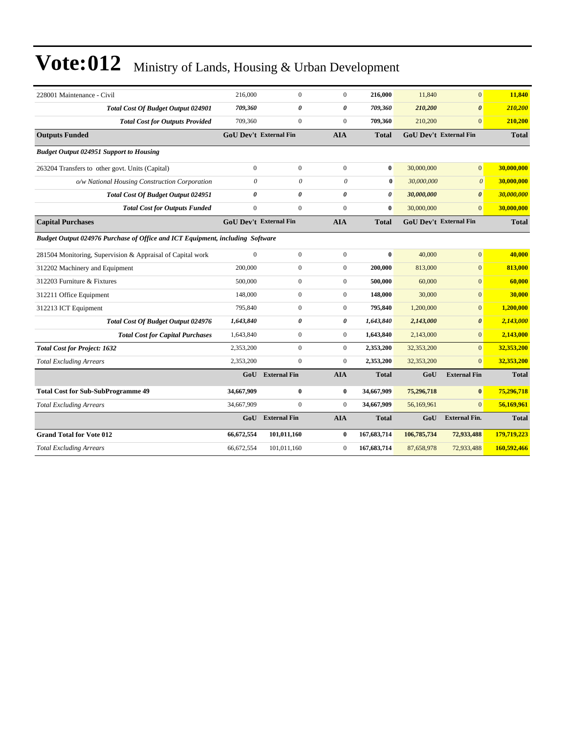| 228001 Maintenance - Civil                                                    | 216,000                       | $\mathbf{0}$        | $\overline{0}$        | 216,000      | 11,840      | $\mathbf{0}$                  | 11,840       |
|-------------------------------------------------------------------------------|-------------------------------|---------------------|-----------------------|--------------|-------------|-------------------------------|--------------|
| <b>Total Cost Of Budget Output 024901</b>                                     | 709,360                       | $\theta$            | $\theta$              | 709,360      | 210,200     | $\boldsymbol{\theta}$         | 210,200      |
| <b>Total Cost for Outputs Provided</b>                                        | 709,360                       | $\mathbf{0}$        | $\mathbf{0}$          | 709,360      | 210,200     | $\overline{0}$                | 210,200      |
| <b>Outputs Funded</b>                                                         | GoU Dev't External Fin        |                     | <b>AIA</b>            | <b>Total</b> |             | <b>GoU Dev't External Fin</b> | <b>Total</b> |
| <b>Budget Output 024951 Support to Housing</b>                                |                               |                     |                       |              |             |                               |              |
| 263204 Transfers to other govt. Units (Capital)                               | $\mathbf{0}$                  | $\mathbf{0}$        | $\Omega$              | $\bf{0}$     | 30,000,000  | $\overline{0}$                | 30,000,000   |
| o/w National Housing Construction Corporation                                 | $\theta$                      | $\theta$            | $\theta$              | $\bf{0}$     | 30,000,000  | $\mathcal{O}$                 | 30,000,000   |
| Total Cost Of Budget Output 024951                                            | 0                             | 0                   | $\boldsymbol{\theta}$ | $\theta$     | 30,000,000  | $\boldsymbol{\theta}$         | 30,000,000   |
| <b>Total Cost for Outputs Funded</b>                                          | $\boldsymbol{0}$              | $\mathbf{0}$        | $\mathbf{0}$          | $\bf{0}$     | 30,000,000  | $\Omega$                      | 30,000,000   |
| <b>Capital Purchases</b>                                                      | <b>GoU Dev't External Fin</b> |                     | <b>AIA</b>            | <b>Total</b> |             | <b>GoU Dev't External Fin</b> | <b>Total</b> |
| Budget Output 024976 Purchase of Office and ICT Equipment, including Software |                               |                     |                       |              |             |                               |              |
| 281504 Monitoring, Supervision & Appraisal of Capital work                    | $\mathbf{0}$                  | $\boldsymbol{0}$    | $\mathbf{0}$          | $\bf{0}$     | 40,000      | $\mathbf{0}$                  | 40,000       |
| 312202 Machinery and Equipment                                                | 200,000                       | $\boldsymbol{0}$    | $\mathbf{0}$          | 200,000      | 813,000     | $\mathbf{0}$                  | 813,000      |
| 312203 Furniture & Fixtures                                                   | 500,000                       | $\mathbf{0}$        | $\mathbf{0}$          | 500,000      | 60,000      | $\overline{0}$                | 60,000       |
| 312211 Office Equipment                                                       | 148,000                       | $\mathbf{0}$        | $\mathbf{0}$          | 148,000      | 30,000      | $\overline{0}$                | 30,000       |
| 312213 ICT Equipment                                                          | 795,840                       | $\overline{0}$      | $\overline{0}$        | 795,840      | 1,200,000   | $\mathbf{0}$                  | 1,200,000    |
| <b>Total Cost Of Budget Output 024976</b>                                     | 1,643,840                     | 0                   | $\boldsymbol{\theta}$ | 1,643,840    | 2,143,000   | $\boldsymbol{\theta}$         | 2,143,000    |
| <b>Total Cost for Capital Purchases</b>                                       | 1,643,840                     | $\mathbf{0}$        | $\overline{0}$        | 1,643,840    | 2,143,000   | $\overline{0}$                | 2,143,000    |
| <b>Total Cost for Project: 1632</b>                                           | 2,353,200                     | $\mathbf{0}$        | $\overline{0}$        | 2,353,200    | 32,353,200  | $\overline{0}$                | 32,353,200   |
| <b>Total Excluding Arrears</b>                                                | 2,353,200                     | $\mathbf{0}$        | $\mathbf{0}$          | 2,353,200    | 32,353,200  | $\overline{0}$                | 32,353,200   |
|                                                                               | GoU                           | <b>External Fin</b> | <b>AIA</b>            | <b>Total</b> | GoU         | <b>External Fin</b>           | <b>Total</b> |
| <b>Total Cost for Sub-SubProgramme 49</b>                                     | 34,667,909                    | $\bf{0}$            | $\bf{0}$              | 34,667,909   | 75,296,718  | $\bf{0}$                      | 75,296,718   |
| <b>Total Excluding Arrears</b>                                                | 34,667,909                    | $\mathbf{0}$        | $\mathbf{0}$          | 34,667,909   | 56,169,961  | $\overline{0}$                | 56,169,961   |
|                                                                               | GoU                           | <b>External Fin</b> | <b>AIA</b>            | <b>Total</b> | GoU         | <b>External Fin.</b>          | <b>Total</b> |
| <b>Grand Total for Vote 012</b>                                               | 66,672,554                    | 101,011,160         | $\bf{0}$              | 167,683,714  | 106,785,734 | 72,933,488                    | 179,719,223  |
| <b>Total Excluding Arrears</b>                                                | 66,672,554                    | 101,011,160         | $\boldsymbol{0}$      | 167,683,714  | 87,658,978  | 72,933,488                    | 160,592,466  |